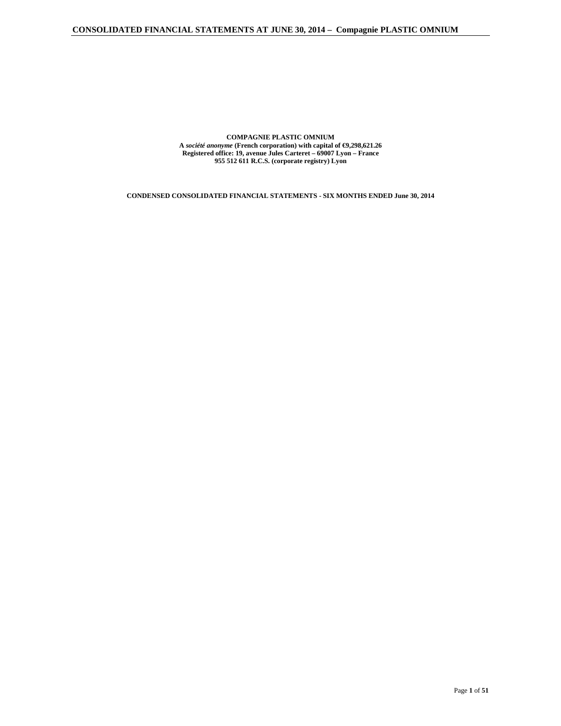**COMPAGNIE PLASTIC OMNIUM A** *société anonyme* **(French corporation) with capital of €9,298,621.26 Registered office: 19, avenue Jules Carteret – 69007 Lyon – France 955 512 611 R.C.S. (corporate registry) Lyon** 

**CONDENSED CONSOLIDATED FINANCIAL STATEMENTS - SIX MONTHS ENDED June 30, 2014**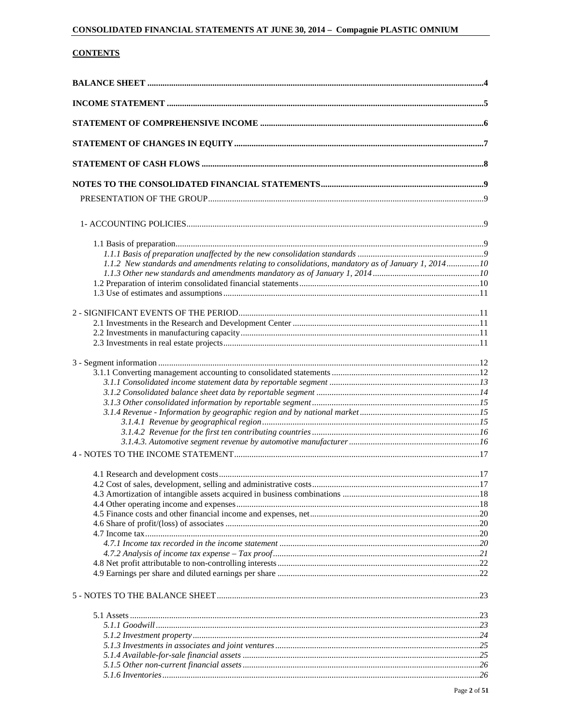# **CONTENTS**

| 1.1.2 New standards and amendments relating to consolidations, mandatory as of January 1, 201410 |  |
|--------------------------------------------------------------------------------------------------|--|
|                                                                                                  |  |
|                                                                                                  |  |
|                                                                                                  |  |
|                                                                                                  |  |
|                                                                                                  |  |
|                                                                                                  |  |
|                                                                                                  |  |
|                                                                                                  |  |
|                                                                                                  |  |
|                                                                                                  |  |
|                                                                                                  |  |
|                                                                                                  |  |
|                                                                                                  |  |
|                                                                                                  |  |
|                                                                                                  |  |
|                                                                                                  |  |
|                                                                                                  |  |
|                                                                                                  |  |
|                                                                                                  |  |
|                                                                                                  |  |
|                                                                                                  |  |
|                                                                                                  |  |
|                                                                                                  |  |
|                                                                                                  |  |
|                                                                                                  |  |
|                                                                                                  |  |
|                                                                                                  |  |
|                                                                                                  |  |
|                                                                                                  |  |
|                                                                                                  |  |
|                                                                                                  |  |
|                                                                                                  |  |
|                                                                                                  |  |
|                                                                                                  |  |
|                                                                                                  |  |
|                                                                                                  |  |
|                                                                                                  |  |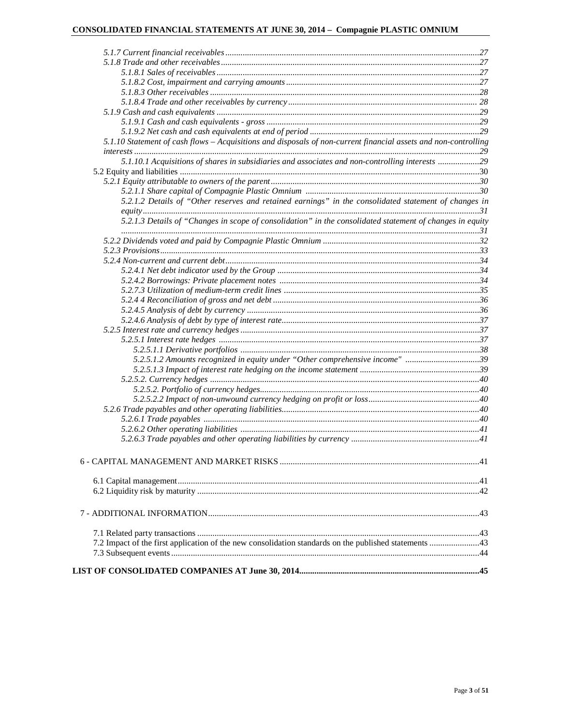| 5.1.10 Statement of cash flows - Acquisitions and disposals of non-current financial assets and non-controlling |  |
|-----------------------------------------------------------------------------------------------------------------|--|
|                                                                                                                 |  |
| 5.1.10.1 Acquisitions of shares in subsidiaries and associates and non-controlling interests 29                 |  |
|                                                                                                                 |  |
|                                                                                                                 |  |
|                                                                                                                 |  |
| 5.2.1.2 Details of "Other reserves and retained earnings" in the consolidated statement of changes in           |  |
|                                                                                                                 |  |
| 5.2.1.3 Details of "Changes in scope of consolidation" in the consolidated statement of changes in equity       |  |
|                                                                                                                 |  |
|                                                                                                                 |  |
|                                                                                                                 |  |
|                                                                                                                 |  |
|                                                                                                                 |  |
|                                                                                                                 |  |
|                                                                                                                 |  |
|                                                                                                                 |  |
|                                                                                                                 |  |
|                                                                                                                 |  |
|                                                                                                                 |  |
|                                                                                                                 |  |
|                                                                                                                 |  |
| 5.2.5.1.2 Amounts recognized in equity under "Other comprehensive income" 39                                    |  |
|                                                                                                                 |  |
|                                                                                                                 |  |
|                                                                                                                 |  |
|                                                                                                                 |  |
|                                                                                                                 |  |
|                                                                                                                 |  |
|                                                                                                                 |  |
|                                                                                                                 |  |
|                                                                                                                 |  |
|                                                                                                                 |  |
|                                                                                                                 |  |
|                                                                                                                 |  |
|                                                                                                                 |  |
|                                                                                                                 |  |
|                                                                                                                 |  |
|                                                                                                                 |  |
|                                                                                                                 |  |
|                                                                                                                 |  |
|                                                                                                                 |  |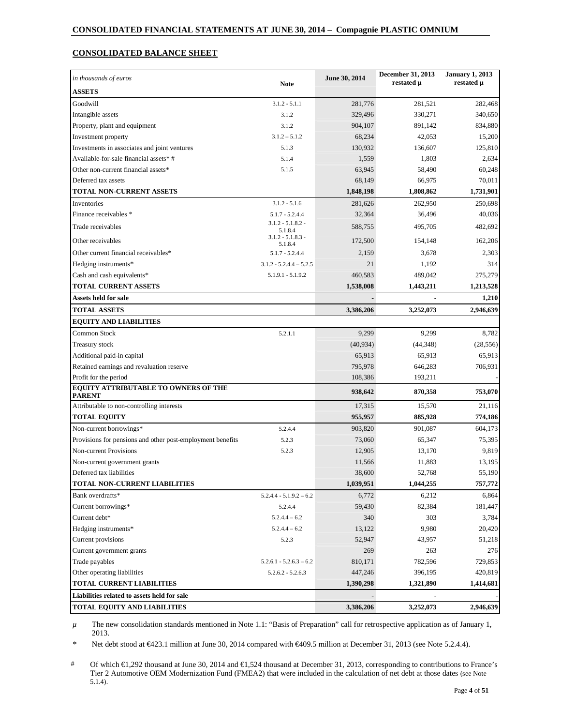# **CONSOLIDATED BALANCE SHEET**

| in thousands of euros                                      |                                | June 30, 2014 | December 31, 2013<br>restated µ | <b>January 1, 2013</b><br>restated µ |
|------------------------------------------------------------|--------------------------------|---------------|---------------------------------|--------------------------------------|
| <b>ASSETS</b>                                              | <b>Note</b>                    |               |                                 |                                      |
| Goodwill                                                   | $3.1.2 - 5.1.1$                | 281,776       | 281,521                         | 282,468                              |
| Intangible assets                                          | 3.1.2                          | 329,496       | 330,271                         | 340,650                              |
| Property, plant and equipment                              | 3.1.2                          | 904,107       | 891,142                         | 834,880                              |
| Investment property                                        | $3.1.2 - 5.1.2$                | 68,234        | 42,053                          | 15,200                               |
| Investments in associates and joint ventures               | 5.1.3                          | 130,932       | 136,607                         | 125,810                              |
| Available-for-sale financial assets*#                      | 5.1.4                          | 1,559         | 1,803                           | 2,634                                |
| Other non-current financial assets*                        | 5.1.5                          | 63,945        | 58,490                          | 60,248                               |
| Deferred tax assets                                        |                                | 68,149        | 66,975                          | 70.011                               |
| TOTAL NON-CURRENT ASSETS                                   |                                | 1,848,198     | 1,808,862                       | 1,731,901                            |
| Inventories                                                | $3.1.2 - 5.1.6$                | 281,626       | 262,950                         | 250,698                              |
| Finance receivables *                                      | $5.1.7 - 5.2.4.4$              | 32,364        | 36,496                          | 40,036                               |
| Trade receivables                                          | $3.1.2 - 5.1.8.2 -$<br>5.1.8.4 | 588,755       | 495,705                         | 482,692                              |
| Other receivables                                          | $3.1.2 - 5.1.8.3 -$<br>5.1.8.4 | 172,500       | 154,148                         | 162,206                              |
| Other current financial receivables*                       | $5.1.7 - 5.2.4.4$              | 2,159         | 3,678                           | 2,303                                |
| Hedging instruments*                                       | $3.1.2 - 5.2.4.4 - 5.2.5$      | 21            | 1,192                           | 314                                  |
| Cash and cash equivalents*                                 | $5.1.9.1 - 5.1.9.2$            | 460,583       | 489,042                         | 275,279                              |
| <b>TOTAL CURRENT ASSETS</b>                                |                                | 1,538,008     | 1,443,211                       | 1,213,528                            |
| Assets held for sale                                       |                                |               |                                 | 1,210                                |
| <b>TOTAL ASSETS</b>                                        |                                | 3,386,206     | 3,252,073                       | 2,946,639                            |
| <b>EQUITY AND LIABILITIES</b>                              |                                |               |                                 |                                      |
| Common Stock                                               | 5.2.1.1                        | 9,299         | 9,299                           | 8,782                                |
| Treasury stock                                             |                                | (40, 934)     | (44, 348)                       | (28, 556)                            |
| Additional paid-in capital                                 |                                | 65,913        | 65,913                          | 65,913                               |
| Retained earnings and revaluation reserve                  |                                | 795,978       | 646,283                         | 706,931                              |
| Profit for the period                                      |                                | 108,386       | 193,211                         |                                      |
| EQUITY ATTRIBUTABLE TO OWNERS OF THE<br><b>PARENT</b>      |                                | 938,642       | 870,358                         | 753,070                              |
| Attributable to non-controlling interests                  |                                | 17,315        | 15,570                          | 21,116                               |
| <b>TOTAL EQUITY</b>                                        |                                | 955,957       | 885,928                         | 774,186                              |
| Non-current borrowings*                                    | 5.2.4.4                        | 903,820       | 901,087                         | 604,173                              |
| Provisions for pensions and other post-employment benefits | 5.2.3                          | 73,060        | 65,347                          | 75,395                               |
| Non-current Provisions                                     | 5.2.3                          | 12,905        | 13,170                          | 9,819                                |
| Non-current government grants                              |                                | 11,566        | 11,883                          | 13,195                               |
| Deferred tax liabilities                                   |                                | 38,600        | 52,768                          | 55,190                               |
| TOTAL NON-CURRENT LIABILITIES                              |                                | 1,039,951     | 1,044,255                       | 757,772                              |
| Bank overdrafts*                                           | $5.2.4.4 - 5.1.9.2 - 6.2$      | 6,772         | 6,212                           | 6,864                                |
| Current borrowings*                                        | 5.2.4.4                        | 59,430        | 82,384                          | 181,447                              |
| Current debt*                                              | $5.2.4.4 - 6.2$                | 340           | 303                             | 3,784                                |
| Hedging instruments*                                       | $5.2.4.4 - 6.2$                | 13,122        | 9,980                           | 20,420                               |
| Current provisions                                         | 5.2.3                          | 52,947        | 43,957                          | 51,218                               |
| Current government grants                                  |                                | 269           | 263                             | 276                                  |
| Trade payables                                             | $5.2.6.1 - 5.2.6.3 - 6.2$      | 810,171       | 782,596                         | 729,853                              |
| Other operating liabilities                                | $5.2.6.2 - 5.2.6.3$            | 447,246       | 396,195                         | 420,819                              |
| <b>TOTAL CURRENT LIABILITIES</b>                           |                                | 1,390,298     | 1,321,890                       | 1,414,681                            |
| Liabilities related to assets held for sale                |                                |               |                                 |                                      |
| <b>TOTAL EQUITY AND LIABILITIES</b>                        |                                | 3,386,206     | 3,252,073                       | 2,946,639                            |

*µ* The new consolidation standards mentioned in Note 1.1: "Basis of Preparation" call for retrospective application as of January 1, 2013.

Net debt stood at €423.1 million at June 30, 2014 compared with €409.5 million at December 31, 2013 (see Note 5.2.4.4).

# Of which €1,292 thousand at June 30, 2014 and €1,524 thousand at December 31, 2013, corresponding to contributions to France's Tier 2 Automotive OEM Modernization Fund (FMEA2) that were included in the calculation of net debt at those dates (see Note 5.1.4).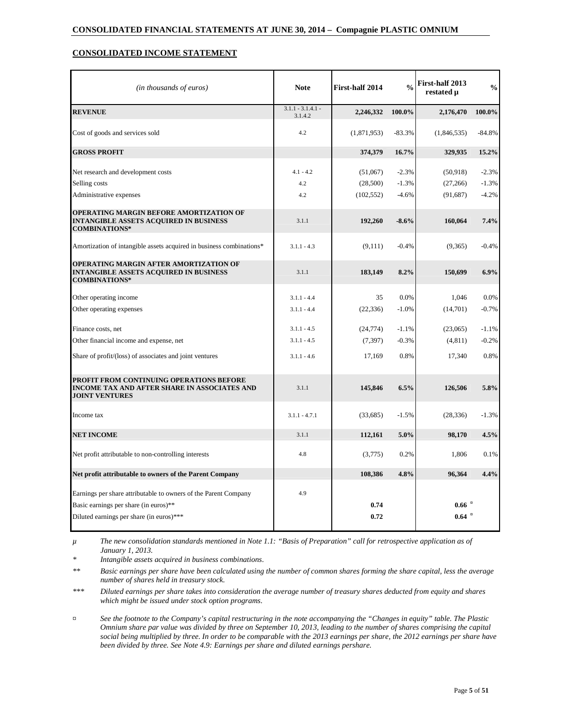# **CONSOLIDATED INCOME STATEMENT**

| (in thousands of euros)                                                                                                                              | <b>Note</b>                    | First-half 2014        | $\frac{0}{0}$      | First-half 2013<br>restated u              | $\frac{0}{0}$      |
|------------------------------------------------------------------------------------------------------------------------------------------------------|--------------------------------|------------------------|--------------------|--------------------------------------------|--------------------|
| <b>REVENUE</b>                                                                                                                                       | $3.1.1 - 3.1.4.1 -$<br>3.1.4.2 | 2,246,332              | 100.0%             | 2,176,470                                  | 100.0%             |
| Cost of goods and services sold                                                                                                                      | 4.2                            | (1,871,953)            | $-83.3%$           | (1,846,535)                                | $-84.8%$           |
| <b>GROSS PROFIT</b>                                                                                                                                  |                                | 374,379                | 16.7%              | 329,935                                    | 15.2%              |
| Net research and development costs<br>Selling costs                                                                                                  | $4.1 - 4.2$<br>4.2             | (51,067)               | $-2.3%$<br>$-1.3%$ | (50, 918)                                  | $-2.3%$<br>$-1.3%$ |
| Administrative expenses                                                                                                                              | 4.2                            | (28,500)<br>(102, 552) | $-4.6%$            | (27,266)<br>(91,687)                       | $-4.2%$            |
|                                                                                                                                                      |                                |                        |                    |                                            |                    |
| OPERATING MARGIN BEFORE AMORTIZATION OF<br>INTANGIBLE ASSETS ACQUIRED IN BUSINESS<br><b>COMBINATIONS*</b>                                            | 3.1.1                          | 192,260                | $-8.6%$            | 160,064                                    | 7.4%               |
| Amortization of intangible assets acquired in business combinations*                                                                                 | $3.1.1 - 4.3$                  | (9,111)                | $-0.4%$            | (9,365)                                    | $-0.4%$            |
| OPERATING MARGIN AFTER AMORTIZATION OF<br><b>INTANGIBLE ASSETS ACQUIRED IN BUSINESS</b><br><b>COMBINATIONS*</b>                                      | 3.1.1                          | 183,149                | 8.2%               | 150,699                                    | 6.9%               |
| Other operating income                                                                                                                               | $3.1.1 - 4.4$                  | 35                     | 0.0%               | 1.046                                      | 0.0%               |
| Other operating expenses                                                                                                                             | $3.1.1 - 4.4$                  | (22, 336)              | $-1.0%$            | (14,701)                                   | $-0.7%$            |
| Finance costs, net                                                                                                                                   | $3.1.1 - 4.5$                  | (24, 774)              | $-1.1%$            | (23,065)                                   | $-1.1%$            |
| Other financial income and expense, net                                                                                                              | $3.1.1 - 4.5$                  | (7, 397)               | $-0.3%$            | (4, 811)                                   | $-0.2%$            |
| Share of profit/(loss) of associates and joint ventures                                                                                              | $3.1.1 - 4.6$                  | 17,169                 | 0.8%               | 17,340                                     | 0.8%               |
| PROFIT FROM CONTINUING OPERATIONS BEFORE<br>INCOME TAX AND AFTER SHARE IN ASSOCIATES AND<br><b>JOINT VENTURES</b>                                    | 3.1.1                          | 145,846                | 6.5%               | 126,506                                    | 5.8%               |
| Income tax                                                                                                                                           | $3.1.1 - 4.7.1$                | (33,685)               | $-1.5%$            | (28, 336)                                  | $-1.3%$            |
| <b>NET INCOME</b>                                                                                                                                    | 3.1.1                          | 112,161                | 5.0%               | 98,170                                     | 4.5%               |
| Net profit attributable to non-controlling interests                                                                                                 | 4.8                            | (3,775)                | 0.2%               | 1,806                                      | 0.1%               |
| Net profit attributable to owners of the Parent Company                                                                                              |                                | 108,386                | 4.8%               | 96,364                                     | 4.4%               |
| Earnings per share attributable to owners of the Parent Company<br>Basic earnings per share (in euros)**<br>Diluted earnings per share (in euros)*** | 4.9                            | 0.74<br>0.72           |                    | $0.66$ $\mathrm{R}$<br>$0.64$ $\mathrm{R}$ |                    |

*µ The new consolidation standards mentioned in Note 1.1: "Basis of Preparation" call for retrospective application as of January 1, 2013.* 

*\* Intangible assets acquired in business combinations.* 

*\*\* Basic earnings per share have been calculated using the number of common shares forming the share capital, less the average number of shares held in treasury stock.* 

*\*\*\* Diluted earnings per share takes into consideration the average number of treasury shares deducted from equity and shares which might be issued under stock option programs.* 

*¤ See the footnote to the Company's capital restructuring in the note accompanying the "Changes in equity" table. The Plastic Omnium share par value was divided by three on September 10, 2013, leading to the number of shares comprising the capital*  social being multiplied by three. In order to be comparable with the 2013 earnings per share, the 2012 earnings per share have *been divided by three. See Note 4.9: Earnings per share and diluted earnings pershare.*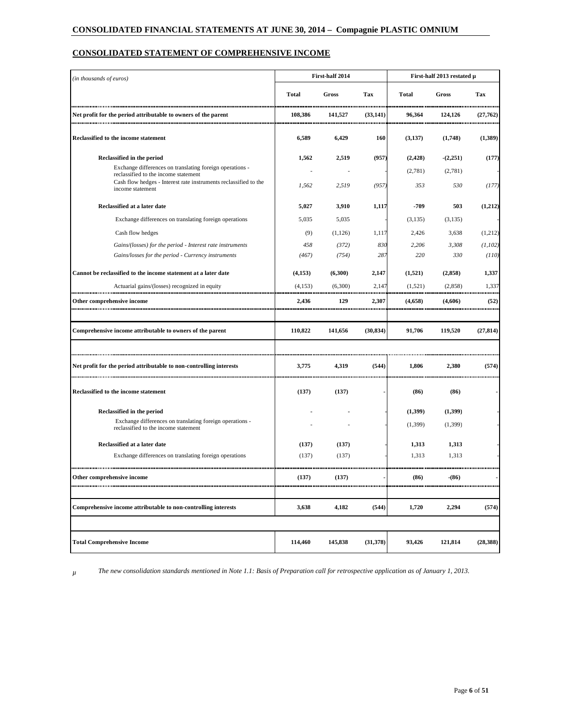# **CONSOLIDATED STATEMENT OF COMPREHENSIVE INCOME**

| (in thousands of euros)                                                                          |              | First-half 2014 |           |              | First-half 2013 restated µ |           |  |  |  |
|--------------------------------------------------------------------------------------------------|--------------|-----------------|-----------|--------------|----------------------------|-----------|--|--|--|
|                                                                                                  | <b>Total</b> | Gross           | Tax       | <b>Total</b> | Gross                      | Tax       |  |  |  |
| Net profit for the period attributable to owners of the parent                                   | 108.386      | 141,527         | (33, 141) | 96,364       | 124,126                    | (27,762)  |  |  |  |
| Reclassified to the income statement                                                             | 6,589        | 6,429           | 160       | (3,137)      | (1,748)                    | (1,389)   |  |  |  |
| Reclassified in the period                                                                       | 1,562        | 2,519           | (957)     | (2, 428)     | (2,251)                    | (177)     |  |  |  |
| Exchange differences on translating foreign operations -<br>reclassified to the income statement |              |                 |           | (2,781)      | (2,781)                    |           |  |  |  |
| Cash flow hedges - Interest rate instruments reclassified to the<br>income statement             | 1,562        | 2,519           | (957)     | 353          | 530                        | (177)     |  |  |  |
| Reclassified at a later date                                                                     | 5,027        | 3,910           | 1,117     | -709         | 503                        | (1,212)   |  |  |  |
| Exchange differences on translating foreign operations                                           | 5,035        | 5,035           |           | (3,135)      | (3,135)                    |           |  |  |  |
| Cash flow hedges                                                                                 | (9)          | (1, 126)        | 1,117     | 2,426        | 3,638                      | (1,212)   |  |  |  |
| Gains/(losses) for the period - Interest rate instruments                                        | 458          | (372)           | 830       | 2,206        | 3,308                      | (1,102)   |  |  |  |
| Gains/losses for the period - Currency instruments                                               | (467)        | (754)           | 287       | 220          | 330                        | (110)     |  |  |  |
| Cannot be reclassified to the income statement at a later date                                   | (4,153)      | (6,300)         | 2,147     | (1,521)      | (2, 858)                   | 1,337     |  |  |  |
| Actuarial gains/(losses) recognized in equity                                                    | (4,153)      | (6,300)<br>     | 2,147     | (1,521)      | (2,858)                    | 1,337     |  |  |  |
| Other comprehensive income                                                                       | 2.436        | 129             | 2.307     | (4,658)      | (4,606)                    | (52)      |  |  |  |
|                                                                                                  |              |                 |           |              |                            |           |  |  |  |
| Comprehensive income attributable to owners of the parent                                        | 110,822      | 141,656         | (30, 834) | 91,706       | 119,520                    | (27, 814) |  |  |  |
|                                                                                                  |              |                 |           |              |                            |           |  |  |  |
| Net profit for the period attributable to non-controlling interests                              | 3,775        | 4,319           | (544)     | 1,806        | 2,380                      | (574)     |  |  |  |
| Reclassified to the income statement                                                             | (137)        | (137)           |           | (86)         | (86)                       |           |  |  |  |
| Reclassified in the period                                                                       |              |                 |           | (1,399)      | (1,399)                    |           |  |  |  |
| Exchange differences on translating foreign operations -<br>reclassified to the income statement |              |                 |           | (1,399)      | (1,399)                    |           |  |  |  |
| Reclassified at a later date                                                                     | (137)        | (137)           |           | 1,313        | 1,313                      |           |  |  |  |
| Exchange differences on translating foreign operations                                           | (137)        | (137)           |           | 1,313        | 1,313                      |           |  |  |  |
|                                                                                                  |              |                 |           |              |                            |           |  |  |  |
| ehensive income                                                                                  | (137)        | (137)           |           | (86)         | (86)                       |           |  |  |  |
|                                                                                                  |              |                 |           |              |                            |           |  |  |  |
| Comprehensive income attributable to non-controlling interests                                   | 3,638        | 4,182           | (544)     | 1,720        | 2,294                      | (574)     |  |  |  |
|                                                                                                  |              |                 |           |              |                            |           |  |  |  |
| <b>Total Comprehensive Income</b>                                                                | 114,460      | 145,838         | (31, 378) | 93,426       | 121,814                    | (28, 388) |  |  |  |

*µ The new consolidation standards mentioned in Note 1.1: Basis of Preparation call for retrospective application as of January 1, 2013.*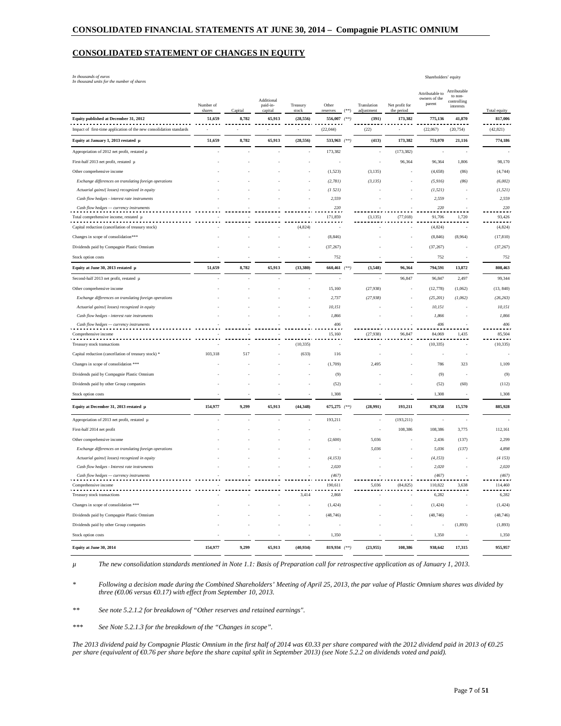#### **CONSOLIDATED STATEMENT OF CHANGES IN EQUITY**

*In thousands of euros In thousand units for the number of shares* 

|                                                                                              | Number of<br>shares | Capital | Additional<br>paid-in-<br>capital | Treasury<br>stock        | Other<br>reserves | (*    | Translation<br>adjustment | Net profit for<br>the period | Attributable to<br>owners of the<br>parent | Attributable<br>to non-<br>controlling<br>interests | Total equity      |
|----------------------------------------------------------------------------------------------|---------------------|---------|-----------------------------------|--------------------------|-------------------|-------|---------------------------|------------------------------|--------------------------------------------|-----------------------------------------------------|-------------------|
| Equity published at December 31, 2012                                                        | 51,659              | 8,782   | 65,913                            | (28, 556)                | 556,007           | $(**$ | (391)                     | 173,382                      | 775,136                                    | 41,870                                              | 817,006           |
| Impact of first-time application of the new consolidation standards                          |                     |         |                                   | $\overline{\phantom{a}}$ | (22,044)          |       | (22)                      | i,                           | (22,067)                                   | (20, 754)                                           | (42, 821)         |
| Equity at January 1, 2013 restated µ                                                         | 51,659              | 8,782   | 65,913                            | (28, 556)                | 533,963 (**)      |       | (413)                     | 173,382                      | 753,070                                    | 21,116                                              | 774,186           |
| Appropriation of 2012 net profit, restated µ                                                 |                     |         |                                   |                          | 173,382           |       |                           | (173, 382)                   |                                            |                                                     |                   |
| First-half 2013 net profit, restated µ                                                       |                     |         |                                   |                          |                   |       |                           | 96,364                       | 96,364                                     | 1,806                                               | 98,170            |
| Other comprehensive income                                                                   |                     |         |                                   |                          | (1, 523)          |       | (3, 135)                  |                              | (4, 658)                                   | (86)                                                | (4,744)           |
| Exchange differences on translating foreign operations                                       |                     |         |                                   |                          | (2, 781)          |       | (3, 135)                  |                              | (5, 916)                                   | (86)                                                | (6,002)           |
| Actuarial gains/( losses) recognized in equity                                               |                     |         |                                   |                          | (1521)            |       |                           |                              | (1, 521)                                   |                                                     | (1, 521)          |
| Cash flow hedges - interest rate instruments                                                 |                     |         |                                   |                          | 2,559             |       |                           |                              | 2,559                                      |                                                     | 2,559             |
| Cash flow hedges - currency instruments                                                      |                     |         |                                   |                          | 220               |       |                           |                              | 220                                        |                                                     | 220               |
| Total comprehensive income, restated µ<br>Capital reduction (cancellation of treasury stock) |                     |         |                                   | (4, 824)                 | 171,859<br>٠      |       | (3, 135)                  | (77, 018)                    | 91,706<br>(4,824)                          | 1,720                                               | 93,426<br>(4,824) |
| Changes in scope of consolidation***                                                         |                     |         |                                   |                          | (8, 846)          |       |                           |                              | (8, 846)                                   | (8,964)                                             | (17, 810)         |
| Dividends paid by Compagnie Plastic Omnium                                                   |                     |         |                                   |                          | (37, 267)         |       |                           |                              | (37, 267)                                  |                                                     | (37, 267)         |
| Stock option costs                                                                           |                     |         |                                   |                          | 752               |       |                           |                              | 752                                        |                                                     | 752               |
| Equity at June 30, 2013 restated μ                                                           | 51,659              | 8,782   | 65,913                            | (33, 380)                | 660,461           |       | (3,548)                   | 96,364                       | 794,591                                    | 13,872                                              | 808,463           |
| Second-half 2013 net profit, restated µ                                                      |                     |         |                                   |                          |                   |       |                           | 96,847                       | 96,847                                     | 2,497                                               | 99,344            |
| Other comprehensive income                                                                   |                     |         |                                   |                          | 15,160            |       | (27,938)                  |                              | (12, 778)                                  | (1,062)                                             | (13, 840)         |
| Exchange differences on translating foreign operations                                       |                     |         |                                   |                          | 2,737             |       | (27, 938)                 |                              | (25, 201)                                  | (1,062)                                             | (26, 263)         |
| Actuarial gains/( losses) recognized in equity                                               |                     |         |                                   |                          | 10,151            |       |                           |                              | 10,151                                     |                                                     | 10,151            |
| Cash flow hedges - interest rate instruments                                                 |                     |         |                                   |                          | 1.866             |       |                           |                              | 1.866                                      |                                                     | 1,866             |
| Cash flow hedges - currency instruments                                                      |                     |         |                                   |                          | 406               |       |                           |                              | 406                                        |                                                     | 406               |
| Comprehensive income                                                                         |                     |         |                                   |                          | 15,160            |       | (27,938)                  | 96,847                       | 84,069                                     | 1,435                                               | 85,504            |
| Treasury stock transactions                                                                  |                     |         |                                   | (10, 335)                | - -<br>٠          |       |                           |                              | (10, 335)                                  |                                                     | (10, 335)         |
| Capital reduction (cancellation of treasury stock) *                                         | 103,318             | 517     |                                   | (633)                    | 116               |       |                           |                              |                                            |                                                     |                   |
| Changes in scope of consolidation ***                                                        |                     |         |                                   |                          | (1,709)           |       | 2,495                     |                              | 786                                        | 323                                                 | 1,109             |
| Dividends paid by Compagnie Plastic Omnium                                                   |                     |         |                                   |                          | (9)               |       |                           |                              | (9)                                        |                                                     | (9)               |
| Dividends paid by other Group companies                                                      |                     |         |                                   |                          | (52)              |       |                           |                              | (52)                                       | (60)                                                | (112)             |
| Stock option costs                                                                           |                     |         |                                   |                          | 1,308             |       |                           |                              | 1,308                                      |                                                     | 1,308             |
| Equity at December 31, 2013 restated µ                                                       | 154,977             | 9,299   | 65,913                            | (44, 348)                | 675,275 (**)      |       | (28,991)                  | 193,211                      | 870,358                                    | 15,570                                              | 885,928           |
|                                                                                              |                     |         |                                   |                          |                   |       |                           |                              |                                            |                                                     |                   |
| Appropriation of 2013 net profit, restated µ                                                 |                     |         |                                   |                          | 193,211           |       |                           | (193, 211)                   |                                            |                                                     |                   |
| First-half 2014 net profit                                                                   |                     |         |                                   |                          |                   |       |                           | 108,386                      | 108,386                                    | 3,775                                               | 112,161           |
| Other comprehensive income                                                                   |                     |         |                                   |                          | (2,600)           |       | 5,036                     |                              | 2,436                                      | (137)                                               | 2,299             |
| Exchange differences on translating foreign operations                                       |                     |         |                                   |                          |                   |       | 5,036                     |                              | 5,036                                      | (137)                                               | 4,898             |
| Actuarial gains/( losses) recognized in equity                                               |                     |         |                                   |                          | (4, 153)<br>2.020 |       |                           |                              | (4, 153)<br>2.020                          |                                                     | (4153)<br>2,020   |
| Cash flow hedges - Interest rate instruments<br>Cash flow hedges - currency instruments      |                     |         |                                   |                          | (467)             |       |                           |                              | (467)                                      |                                                     | (467)             |
| Comprehensive income                                                                         |                     |         |                                   |                          | 190,611           |       | 5,036                     | (84, 825)                    | 110,822                                    | 3,638                                               | 114,460           |
| Treasury stock transactions                                                                  |                     |         |                                   | 3,414                    | 2,868             |       |                           |                              | 6,282                                      |                                                     | 6,282             |
| Changes in scope of consolidation ***                                                        |                     |         |                                   |                          | (1, 424)          |       |                           |                              | (1, 424)                                   |                                                     | (1, 424)          |
| Dividends paid by Compagnie Plastic Omnium                                                   |                     |         |                                   |                          | (48, 746)         |       |                           |                              | (48, 746)                                  |                                                     | (48, 746)         |
| Dividends paid by other Group companies                                                      |                     |         |                                   |                          |                   |       |                           |                              |                                            | (1, 893)                                            | (1, 893)          |
| Stock option costs                                                                           |                     |         |                                   |                          | 1.350             |       |                           |                              | 1,350                                      | $\sim$                                              | 1,350             |
| Equity at June 30, 2014                                                                      | 154,977             | 9,299   | 65,913                            | (40, 934)                | 819,934 (**)      |       | (23,955)                  | 108,386                      | 938,642                                    | 17,315                                              | 955,957           |

*µ The new consolidation standards mentioned in Note 1.1: Basis of Preparation call for retrospective application as of January 1, 2013.* 

*\* Following a decision made during the Combined Shareholders' Meeting of April 25, 2013, the par value of Plastic Omnium shares was divided by three (€0.06 versus €0.17) with effect from September 10, 2013.* 

*\*\* See note 5.2.1.2 for breakdown of "Other reserves and retained earnings".* 

*\*\*\* See Note 5.2.1.3 for the breakdown of the "Changes in scope".* 

*The 2013 dividend paid by Compagnie Plastic Omnium in the first half of 2014 was €0.33 per share compared with the 2012 dividend paid in 2013 of €0.25 per share (equivalent of €0.76 per share before the share capital split in September 2013) (see Note 5.2.2 on dividends voted and paid).*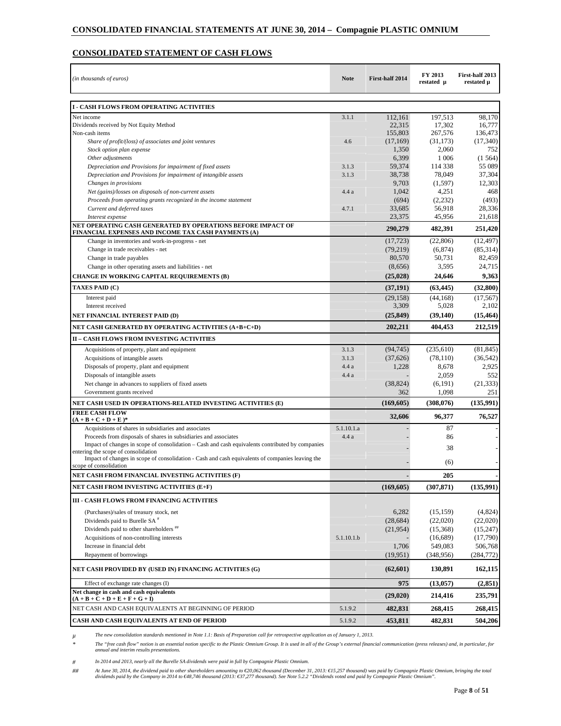# **CONSOLIDATED STATEMENT OF CASH FLOWS**

| (in thousands of euros)                                                                                                                 | <b>Note</b>    | First-half 2014       | FY 2013<br>restated µ | First-half 2013<br>restated µ |
|-----------------------------------------------------------------------------------------------------------------------------------------|----------------|-----------------------|-----------------------|-------------------------------|
| <b>I - CASH FLOWS FROM OPERATING ACTIVITIES</b>                                                                                         |                |                       |                       |                               |
| Net income                                                                                                                              | 3.1.1          | 112,161               | 197,513               | 98,170                        |
| Dividends received by Not Equity Method                                                                                                 |                | 22,315                | 17,302                | 16,777                        |
| Non-cash items                                                                                                                          |                | 155,803               | 267,576               | 136,473                       |
| Share of profit/(loss) of associates and joint ventures                                                                                 | 4.6            | (17,169)              | (31, 173)             | (17, 340)                     |
| Stock option plan expense                                                                                                               |                | 1,350                 | 2,060                 | 752                           |
| Other adjustments                                                                                                                       |                | 6,399                 | 1 0 0 6               | (1, 564)                      |
| Depreciation and Provisions for impairment of fixed assets<br>Depreciation and Provisions for impairment of intangible assets           | 3.1.3<br>3.1.3 | 59,374<br>38,738      | 114 338<br>78,049     | 55 089<br>37,304              |
| Changes in provisions                                                                                                                   |                | 9,703                 | (1,597)               | 12.303                        |
| Net (gains)/losses on disposals of non-current assets                                                                                   | 4.4a           | 1,042                 | 4,251                 | 468                           |
| Proceeds from operating grants recognized in the income statement                                                                       |                | (694)                 | (2,232)               | (493)                         |
| Current and deferred taxes                                                                                                              | 4.7.1          | 33,685                | 56,918                | 28,336                        |
| Interest expense                                                                                                                        |                | 23,375                | 45,956                | 21,618                        |
| NET OPERATING CASH GENERATED BY OPERATIONS BEFORE IMPACT OF                                                                             |                | 290,279               | 482,391               | 251,420                       |
| FINANCIAL EXPENSES AND INCOME TAX CASH PAYMENTS (A)                                                                                     |                |                       |                       |                               |
| Change in inventories and work-in-progress - net<br>Change in trade receivables - net                                                   |                | (17, 723)<br>(79,219) | (22,806)<br>(6, 874)  | (12, 497)<br>(85,314)         |
| Change in trade payables                                                                                                                |                | 80,570                | 50,731                | 82,459                        |
| Change in other operating assets and liabilities - net                                                                                  |                | (8,656)               | 3,595                 | 24,715                        |
| <b>CHANGE IN WORKING CAPITAL REQUIREMENTS (B)</b>                                                                                       |                | (25, 028)             | 24,646                | 9,363                         |
| <b>TAXES PAID (C)</b>                                                                                                                   |                | (37, 191)             | (63, 445)             | (32, 800)                     |
| Interest paid                                                                                                                           |                | (29, 158)             | (44, 168)             | (17, 567)                     |
| Interest received                                                                                                                       |                | 3,309                 | 5,028                 | 2,102                         |
| NET FINANCIAL INTEREST PAID (D)                                                                                                         |                | (25, 849)             | (39, 140)             | (15, 464)                     |
| NET CASH GENERATED BY OPERATING ACTIVITIES (A+B+C+D)                                                                                    |                | 202,211               | 404,453               | 212,519                       |
| <b>II - CASH FLOWS FROM INVESTING ACTIVITIES</b>                                                                                        |                |                       |                       |                               |
| Acquisitions of property, plant and equipment                                                                                           | 3.1.3          | (94, 745)             | (235,610)             | (81, 845)                     |
| Acquisitions of intangible assets                                                                                                       | 3.1.3          | (37,626)              | (78, 110)             | (36, 542)                     |
| Disposals of property, plant and equipment                                                                                              | 4.4 a          | 1,228                 | 8,678                 | 2,925                         |
| Disposals of intangible assets                                                                                                          | 4.4 a          |                       | 2,059                 | 552                           |
| Net change in advances to suppliers of fixed assets                                                                                     |                | (38, 824)             | (6,191)               | (21, 333)                     |
| Government grants received                                                                                                              |                | 362                   | 1,098                 | 251                           |
| NET CASH USED IN OPERATIONS-RELATED INVESTING ACTIVITIES (E)                                                                            |                | (169, 605)            | (308,076)             | (135,991)                     |
| <b>FREE CASH FLOW</b><br>$(A + B + C + D + E)*$                                                                                         |                | 32,606                | 96,377                | 76,527                        |
| Acquisitions of shares in subsidiaries and associates                                                                                   | 5.1.10.1.a     |                       | 87                    |                               |
| Proceeds from disposals of shares in subsidiaries and associates                                                                        | 4.4 a          |                       | 86                    |                               |
| Impact of changes in scope of consolidation – Cash and cash equivalents contributed by companies                                        |                |                       | 38                    |                               |
| entering the scope of consolidation<br>Impact of changes in scope of consolidation - Cash and cash equivalents of companies leaving the |                |                       |                       |                               |
| scope of consolidation                                                                                                                  |                |                       | (6)                   |                               |
| NET CASH FROM FINANCIAL INVESTING ACTIVITIES (F)                                                                                        |                |                       | 205                   |                               |
| NET CASH FROM INVESTING ACTIVITIES (E+F)                                                                                                |                | (169,605)             | (307, 871)            | (135,991)                     |
| III - CASH FLOWS FROM FINANCING ACTIVITIES                                                                                              |                |                       |                       |                               |
| (Purchases)/sales of treasury stock, net                                                                                                |                | 6,282                 | (15, 159)             | (4,824)                       |
| Dividends paid to Burelle SA <sup>#</sup>                                                                                               |                | (28, 684)             | (22,020)              | (22,020)                      |
| Dividends paid to other shareholders <sup>##</sup>                                                                                      |                | (21, 954)             | (15,368)              | (15,247)                      |
| Acquisitions of non-controlling interests                                                                                               | 5.1.10.1.b     |                       | (16,689)              | (17,790)                      |
| Increase in financial debt                                                                                                              |                | 1,706                 | 549,083               | 506,768                       |
| Repayment of borrowings                                                                                                                 |                | (19.951)              | (348,956)             | (284, 772)                    |
| NET CASH PROVIDED BY (USED IN) FINANCING ACTIVITIES (G)                                                                                 |                | (62, 601)             | 130,891               | 162,115                       |
| Effect of exchange rate changes (I)                                                                                                     |                | 975                   | (13, 057)             | (2, 851)                      |
| Net change in cash and cash equivalents<br>$(A + B + C + D + E + F + G + I)$                                                            |                | (29, 020)             | 214,416               | 235,791                       |
| NET CASH AND CASH EQUIVALENTS AT BEGINNING OF PERIOD                                                                                    | 5.1.9.2        | 482,831               | 268,415               | 268,415                       |
| CASH AND CASH EQUIVALENTS AT END OF PERIOD                                                                                              | 5.1.9.2        | 453,811               | 482,831               | 504,206                       |

*µ The new consolidation standards mentioned in Note 1.1: Basis of Preparation call for retrospective application as of January 1, 2013.* 

*\* The "free cash flow" notion is an essential notion specific to the Plastic Omnium Group. It is used in all of the Group's external financial communication (press releases) and, in particular, for annual and interim results presentations.* 

*# In 2014 and 2013, nearly all the Burelle SA dividends were paid in full by Compagnie Plastic Omnium.* 

## At June 30, 2014, the dividend paid to other shareholders amounting to €20,062 thousand (December 31, 2013: €15,257 thousand) was paid by Compagnie Plastic Omnium, bringing the total<br>dividends paid by the Company in 20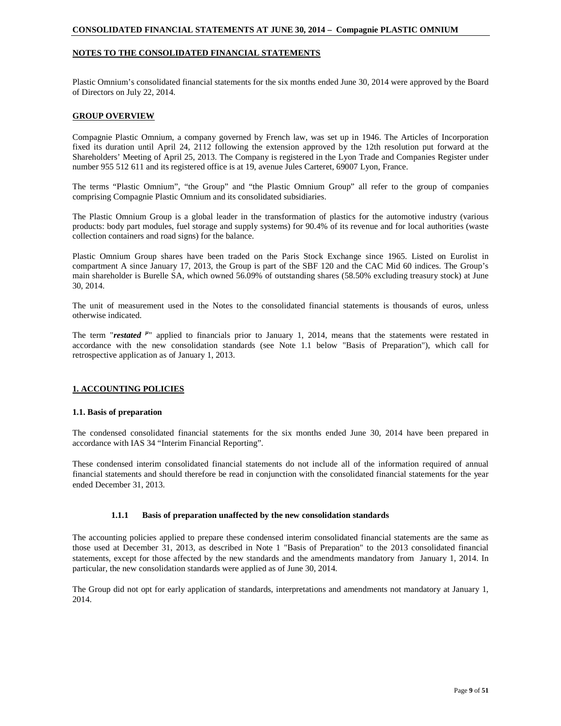### **NOTES TO THE CONSOLIDATED FINANCIAL STATEMENTS**

Plastic Omnium's consolidated financial statements for the six months ended June 30, 2014 were approved by the Board of Directors on July 22, 2014.

### **GROUP OVERVIEW**

Compagnie Plastic Omnium, a company governed by French law, was set up in 1946. The Articles of Incorporation fixed its duration until April 24, 2112 following the extension approved by the 12th resolution put forward at the Shareholders' Meeting of April 25, 2013. The Company is registered in the Lyon Trade and Companies Register under number 955 512 611 and its registered office is at 19, avenue Jules Carteret, 69007 Lyon, France.

The terms "Plastic Omnium", "the Group" and "the Plastic Omnium Group" all refer to the group of companies comprising Compagnie Plastic Omnium and its consolidated subsidiaries.

The Plastic Omnium Group is a global leader in the transformation of plastics for the automotive industry (various products: body part modules, fuel storage and supply systems) for 90.4% of its revenue and for local authorities (waste collection containers and road signs) for the balance.

Plastic Omnium Group shares have been traded on the Paris Stock Exchange since 1965. Listed on Eurolist in compartment A since January 17, 2013, the Group is part of the SBF 120 and the CAC Mid 60 indices. The Group's main shareholder is Burelle SA, which owned 56.09% of outstanding shares (58.50% excluding treasury stock) at June 30, 2014.

The unit of measurement used in the Notes to the consolidated financial statements is thousands of euros, unless otherwise indicated.

The term "*restated* <sup>µ</sup>" applied to financials prior to January 1, 2014, means that the statements were restated in accordance with the new consolidation standards (see Note 1.1 below "Basis of Preparation"), which call for retrospective application as of January 1, 2013.

# **1. ACCOUNTING POLICIES**

#### **1.1. Basis of preparation**

The condensed consolidated financial statements for the six months ended June 30, 2014 have been prepared in accordance with IAS 34 "Interim Financial Reporting".

These condensed interim consolidated financial statements do not include all of the information required of annual financial statements and should therefore be read in conjunction with the consolidated financial statements for the year ended December 31, 2013.

#### **1.1.1 Basis of preparation unaffected by the new consolidation standards**

The accounting policies applied to prepare these condensed interim consolidated financial statements are the same as those used at December 31, 2013*,* as described in Note 1 "Basis of Preparation" to the 2013 consolidated financial statements, except for those affected by the new standards and the amendments mandatory from January 1, 2014. In particular, the new consolidation standards were applied as of June 30, 2014.

The Group did not opt for early application of standards, interpretations and amendments not mandatory at January 1, 2014.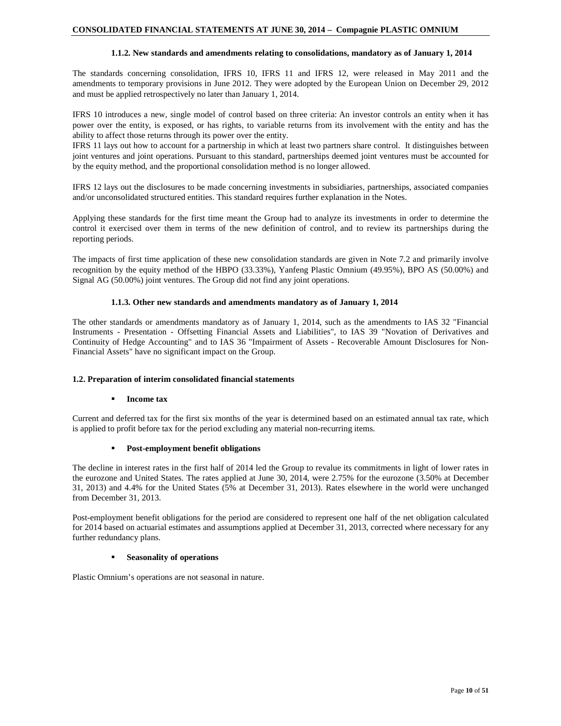### **1.1.2. New standards and amendments relating to consolidations, mandatory as of January 1, 2014**

The standards concerning consolidation, IFRS 10, IFRS 11 and IFRS 12, were released in May 2011 and the amendments to temporary provisions in June 2012. They were adopted by the European Union on December 29, 2012 and must be applied retrospectively no later than January 1, 2014.

IFRS 10 introduces a new, single model of control based on three criteria: An investor controls an entity when it has power over the entity, is exposed, or has rights, to variable returns from its involvement with the entity and has the ability to affect those returns through its power over the entity.

IFRS 11 lays out how to account for a partnership in which at least two partners share control. It distinguishes between joint ventures and joint operations. Pursuant to this standard, partnerships deemed joint ventures must be accounted for by the equity method, and the proportional consolidation method is no longer allowed.

IFRS 12 lays out the disclosures to be made concerning investments in subsidiaries, partnerships, associated companies and/or unconsolidated structured entities. This standard requires further explanation in the Notes.

Applying these standards for the first time meant the Group had to analyze its investments in order to determine the control it exercised over them in terms of the new definition of control, and to review its partnerships during the reporting periods.

The impacts of first time application of these new consolidation standards are given in Note 7.2 and primarily involve recognition by the equity method of the HBPO (33.33%), Yanfeng Plastic Omnium (49.95%), BPO AS (50.00%) and Signal AG (50.00%) joint ventures. The Group did not find any joint operations.

#### **1.1.3. Other new standards and amendments mandatory as of January 1, 2014**

The other standards or amendments mandatory as of January 1, 2014, such as the amendments to IAS 32 "Financial Instruments - Presentation - Offsetting Financial Assets and Liabilities", to IAS 39 "Novation of Derivatives and Continuity of Hedge Accounting" and to IAS 36 "Impairment of Assets - Recoverable Amount Disclosures for Non-Financial Assets" have no significant impact on the Group.

# **1.2. Preparation of interim consolidated financial statements**

#### **Income tax**

Current and deferred tax for the first six months of the year is determined based on an estimated annual tax rate, which is applied to profit before tax for the period excluding any material non-recurring items.

#### **Post-employment benefit obligations**

The decline in interest rates in the first half of 2014 led the Group to revalue its commitments in light of lower rates in the eurozone and United States. The rates applied at June 30, 2014, were 2.75% for the eurozone (3.50% at December 31, 2013) and 4.4% for the United States (5% at December 31, 2013). Rates elsewhere in the world were unchanged from December 31, 2013.

Post-employment benefit obligations for the period are considered to represent one half of the net obligation calculated for 2014 based on actuarial estimates and assumptions applied at December 31, 2013, corrected where necessary for any further redundancy plans.

### **Seasonality of operations**

Plastic Omnium's operations are not seasonal in nature.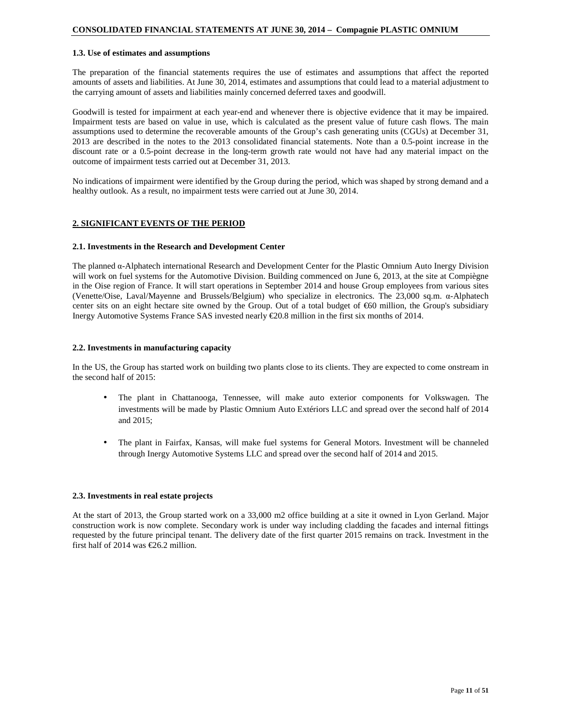#### **1.3. Use of estimates and assumptions**

The preparation of the financial statements requires the use of estimates and assumptions that affect the reported amounts of assets and liabilities. At June 30, 2014, estimates and assumptions that could lead to a material adjustment to the carrying amount of assets and liabilities mainly concerned deferred taxes and goodwill.

Goodwill is tested for impairment at each year-end and whenever there is objective evidence that it may be impaired. Impairment tests are based on value in use, which is calculated as the present value of future cash flows. The main assumptions used to determine the recoverable amounts of the Group's cash generating units (CGUs) at December 31, 2013 are described in the notes to the 2013 consolidated financial statements. Note than a 0.5-point increase in the discount rate or a 0.5-point decrease in the long-term growth rate would not have had any material impact on the outcome of impairment tests carried out at December 31, 2013.

No indications of impairment were identified by the Group during the period, which was shaped by strong demand and a healthy outlook. As a result, no impairment tests were carried out at June 30, 2014.

#### **2. SIGNIFICANT EVENTS OF THE PERIOD**

#### **2.1. Investments in the Research and Development Center**

The planned α-Alphatech international Research and Development Center for the Plastic Omnium Auto Inergy Division will work on fuel systems for the Automotive Division. Building commenced on June 6, 2013, at the site at Compiègne in the Oise region of France. It will start operations in September 2014 and house Group employees from various sites (Venette/Oise, Laval/Mayenne and Brussels/Belgium) who specialize in electronics. The 23,000 sq.m. α-Alphatech center sits on an eight hectare site owned by the Group. Out of a total budget of  $\epsilon$ 60 million, the Group's subsidiary Inergy Automotive Systems France SAS invested nearly €20.8 million in the first six months of 2014.

#### **2.2. Investments in manufacturing capacity**

In the US, the Group has started work on building two plants close to its clients. They are expected to come onstream in the second half of 2015:

- The plant in Chattanooga, Tennessee, will make auto exterior components for Volkswagen. The investments will be made by Plastic Omnium Auto Extériors LLC and spread over the second half of 2014 and 2015;
- The plant in Fairfax, Kansas, will make fuel systems for General Motors. Investment will be channeled through Inergy Automotive Systems LLC and spread over the second half of 2014 and 2015.

#### **2.3. Investments in real estate projects**

At the start of 2013, the Group started work on a 33,000 m2 office building at a site it owned in Lyon Gerland. Major construction work is now complete. Secondary work is under way including cladding the facades and internal fittings requested by the future principal tenant. The delivery date of the first quarter 2015 remains on track. Investment in the first half of 2014 was  $\text{\textsterling}26.2$  million.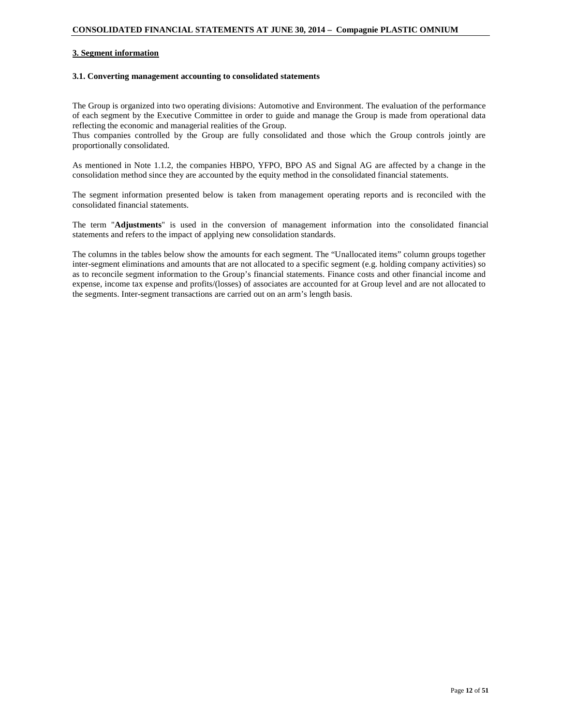#### **3. Segment information**

#### **3.1. Converting management accounting to consolidated statements**

The Group is organized into two operating divisions: Automotive and Environment. The evaluation of the performance of each segment by the Executive Committee in order to guide and manage the Group is made from operational data reflecting the economic and managerial realities of the Group.

Thus companies controlled by the Group are fully consolidated and those which the Group controls jointly are proportionally consolidated.

As mentioned in Note 1.1.2, the companies HBPO, YFPO, BPO AS and Signal AG are affected by a change in the consolidation method since they are accounted by the equity method in the consolidated financial statements.

The segment information presented below is taken from management operating reports and is reconciled with the consolidated financial statements.

The term "**Adjustments**" is used in the conversion of management information into the consolidated financial statements and refers to the impact of applying new consolidation standards.

The columns in the tables below show the amounts for each segment. The "Unallocated items" column groups together inter-segment eliminations and amounts that are not allocated to a specific segment (e.g. holding company activities) so as to reconcile segment information to the Group's financial statements. Finance costs and other financial income and expense, income tax expense and profits/(losses) of associates are accounted for at Group level and are not allocated to the segments. Inter-segment transactions are carried out on an arm's length basis.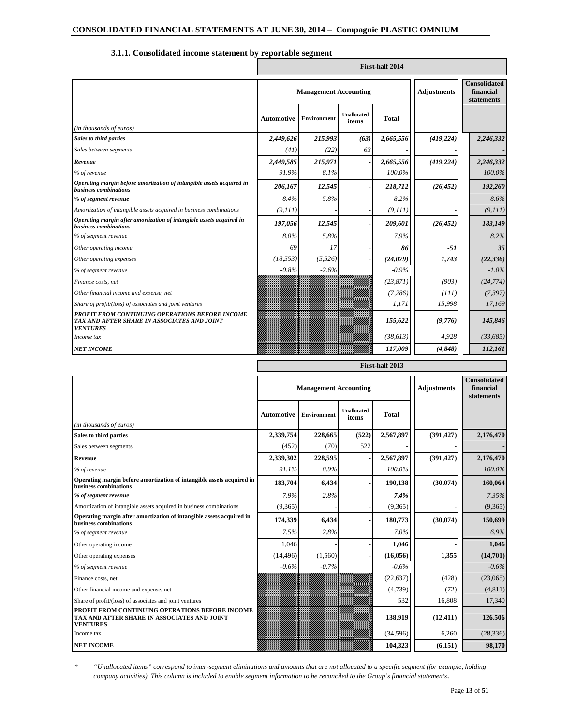|                                                                                                                   |                   |                              |                             | <b>First-half 2014</b>                         |            |           |
|-------------------------------------------------------------------------------------------------------------------|-------------------|------------------------------|-----------------------------|------------------------------------------------|------------|-----------|
|                                                                                                                   |                   | <b>Management Accounting</b> | <b>Adjustments</b>          | <b>Consolidated</b><br>financial<br>statements |            |           |
| (in thousands of euros)                                                                                           | <b>Automotive</b> | <b>Environment</b>           | <b>Unallocated</b><br>items | <b>Total</b>                                   |            |           |
| <b>Sales to third parties</b>                                                                                     | 2,449,626         | 215,993                      | (63)                        | 2,665,556                                      | (419, 224) | 2,246,332 |
| Sales between segments                                                                                            | (41)              | (22)                         | 63                          |                                                |            |           |
| Revenue                                                                                                           | 2,449,585         | 215,971                      |                             | 2,665,556                                      | (419, 224) | 2,246,332 |
| % of revenue                                                                                                      | 91.9%             | 8.1%                         |                             | 100.0%                                         |            | 100.0%    |
| Operating margin before amortization of intangible assets acquired in<br>business combinations                    | 206,167           | 12,545                       |                             | 218,712                                        | (26, 452)  | 192,260   |
| % of segment revenue                                                                                              | 8.4%              | 5.8%                         |                             | 8.2%                                           |            | 8.6%      |
| Amortization of intangible assets acquired in business combinations                                               | (9, 111)          |                              |                             | (9, 111)                                       |            | (9, 111)  |
| Operating margin after amortization of intangible assets acquired in<br>business combinations                     | 197,056           | 12,545                       |                             | 209,601                                        | (26, 452)  | 183,149   |
| % of segment revenue                                                                                              | 8.0%              | 5.8%                         |                             | 7.9%                                           |            | 8.2%      |
| Other operating income                                                                                            | 69                | 17                           |                             | 86                                             | $-51$      | 35        |
| Other operating expenses                                                                                          | (18, 553)         | (5,526)                      |                             | (24,079)                                       | 1,743      | (22, 336) |
| % of segment revenue                                                                                              | $-0.8%$           | $-2.6%$                      |                             | $-0.9%$                                        |            | $-1.0\%$  |
| Finance costs, net                                                                                                |                   |                              |                             | (23, 871)                                      | (903)      | (24, 774) |
| Other financial income and expense, net                                                                           |                   |                              |                             | (7,286)                                        | (111)      | (7, 397)  |
| Share of profit/(loss) of associates and joint ventures                                                           |                   |                              |                             | 1,171                                          | 15,998     | 17,169    |
| PROFIT FROM CONTINUING OPERATIONS BEFORE INCOME<br>TAX AND AFTER SHARE IN ASSOCIATES AND JOINT<br><b>VENTURES</b> |                   |                              |                             | 155,622                                        | (9,776)    | 145,846   |
| Income tax                                                                                                        |                   |                              |                             | (38, 613)                                      | 4,928      | (33, 685) |
| <b>NET INCOME</b>                                                                                                 |                   |                              |                             | 117,009                                        | (4, 848)   | 112,161   |

# **3.1.1. Consolidated income statement by reportable segment**

|                                                                                                                   |                   | First-half 2013              |                      |              |                    |                                                |  |  |  |
|-------------------------------------------------------------------------------------------------------------------|-------------------|------------------------------|----------------------|--------------|--------------------|------------------------------------------------|--|--|--|
|                                                                                                                   |                   | <b>Management Accounting</b> |                      |              | <b>Adjustments</b> | <b>Consolidated</b><br>financial<br>statements |  |  |  |
| (in thousands of euros)                                                                                           | <b>Automotive</b> | <b>Environment</b>           | Unallocated<br>items | <b>Total</b> |                    |                                                |  |  |  |
| Sales to third parties                                                                                            | 2,339,754         | 228,665                      | (522)                | 2,567,897    | (391, 427)         | 2,176,470                                      |  |  |  |
| Sales between segments                                                                                            | (452)             | (70)                         | 522                  |              |                    |                                                |  |  |  |
| Revenue                                                                                                           | 2,339,302         | 228,595                      |                      | 2,567,897    | (391, 427)         | 2,176,470                                      |  |  |  |
| % of revenue                                                                                                      | 91.1%             | 8.9%                         |                      | 100.0%       |                    | 100.0%                                         |  |  |  |
| Operating margin before amortization of intangible assets acquired in<br>business combinations                    | 183,704           | 6,434                        |                      | 190,138      | (30,074)           | 160,064                                        |  |  |  |
| % of segment revenue                                                                                              | 7.9%              | 2.8%                         |                      | 7.4%         |                    | 7.35%                                          |  |  |  |
| Amortization of intangible assets acquired in business combinations                                               | (9,365)           |                              |                      | (9,365)      |                    | (9,365)                                        |  |  |  |
| Operating margin after amortization of intangible assets acquired in<br>business combinations                     | 174,339           | 6,434                        |                      | 180,773      | (30,074)           | 150,699                                        |  |  |  |
| % of segment revenue                                                                                              | 7.5%              | 2.8%                         |                      | 7.0%         |                    | 6.9%                                           |  |  |  |
| Other operating income                                                                                            | 1,046             |                              |                      | 1,046        |                    | 1,046                                          |  |  |  |
| Other operating expenses                                                                                          | (14, 496)         | (1,560)                      |                      | (16, 056)    | 1,355              | (14,701)                                       |  |  |  |
| % of segment revenue                                                                                              | $-0.6%$           | $-0.7%$                      |                      | $-0.6%$      |                    | $-0.6%$                                        |  |  |  |
| Finance costs, net                                                                                                |                   |                              |                      | (22, 637)    | (428)              | (23,065)                                       |  |  |  |
| Other financial income and expense, net                                                                           |                   |                              |                      | (4,739)      | (72)               | (4,811)                                        |  |  |  |
| Share of profit/(loss) of associates and joint ventures                                                           |                   |                              |                      | 532          | 16,808             | 17,340                                         |  |  |  |
| PROFIT FROM CONTINUING OPERATIONS BEFORE INCOME<br>TAX AND AFTER SHARE IN ASSOCIATES AND JOINT<br><b>VENTURES</b> |                   |                              |                      | 138,919      | (12, 411)          | 126,506                                        |  |  |  |
| Income tax                                                                                                        |                   |                              |                      | (34,596)     | 6,260              | (28, 336)                                      |  |  |  |
| <b>NET INCOME</b>                                                                                                 |                   |                              |                      | 104,323      | (6, 151)           | 98,170                                         |  |  |  |

*\* "Unallocated items" correspond to inter-segment eliminations and amounts that are not allocated to a specific segment (for example, holding company activities). This column is included to enable segment information to be reconciled to the Group's financial statements*.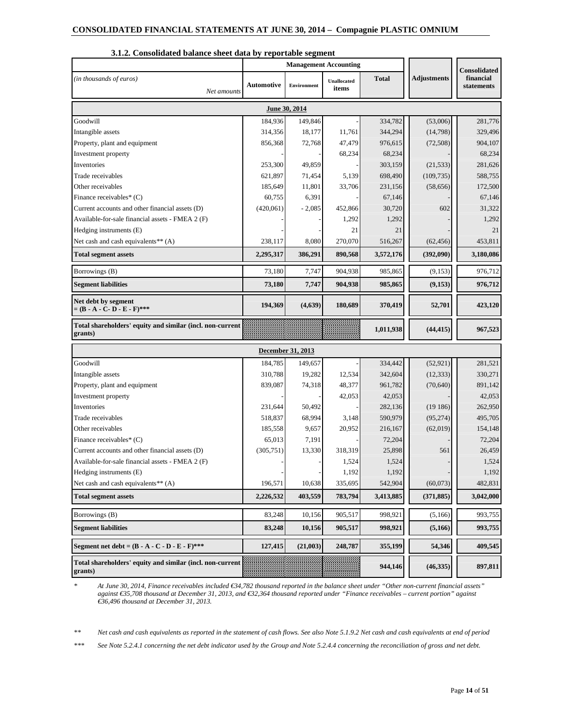|                                                                      |                   | <b>Management Accounting</b> |                      |              |                    | Consolidated            |
|----------------------------------------------------------------------|-------------------|------------------------------|----------------------|--------------|--------------------|-------------------------|
| (in thousands of euros)<br>Net amounts                               | <b>Automotive</b> | Environment                  | Unallocated<br>items | <b>Total</b> | <b>Adjustments</b> | financial<br>statements |
|                                                                      |                   | June 30, 2014                |                      |              |                    |                         |
| Goodwill                                                             | 184,936           | 149,846                      |                      | 334,782      | (53,006)           | 281,776                 |
| Intangible assets                                                    | 314,356           | 18,177                       | 11,761               | 344,294      | (14,798)           | 329,496                 |
| Property, plant and equipment                                        | 856,368           | 72,768                       | 47,479               | 976,615      | (72,508)           | 904,107                 |
| Investment property                                                  |                   |                              | 68,234               | 68,234       |                    | 68,234                  |
| Inventories                                                          | 253,300           | 49,859                       |                      | 303,159      | (21, 533)          | 281,626                 |
| Trade receivables                                                    | 621,897           | 71,454                       | 5,139                | 698,490      | (109, 735)         | 588,755                 |
| Other receivables                                                    | 185,649           | 11,801                       | 33,706               | 231,156      | (58, 656)          | 172,500                 |
| Finance receivables* $(C)$                                           | 60,755            | 6,391                        |                      | 67,146       |                    | 67,146                  |
| Current accounts and other financial assets (D)                      | (420,061)         | $-2,085$                     | 452,866              | 30,720       | 602                | 31,322                  |
| Available-for-sale financial assets - FMEA 2 (F)                     |                   |                              | 1,292                | 1,292        |                    | 1,292                   |
| Hedging instruments (E)                                              |                   |                              | 21                   | 21           |                    | 21                      |
| Net cash and cash equivalents** (A)                                  | 238,117           | 8,080                        | 270,070              | 516,267      | (62, 456)          | 453,811                 |
| <b>Total segment assets</b>                                          | 2,295,317         | 386,291                      | 890,568              | 3,572,176    | (392,090)          | 3,180,086               |
| Borrowings (B)                                                       | 73,180            | 7,747                        | 904,938              | 985,865      | (9, 153)           | 976,712                 |
| <b>Segment liabilities</b>                                           | 73,180            | 7,747                        | 904,938              | 985,865      | (9, 153)           | 976,712                 |
| Net debt by segment<br>$= (B - A - C - D - E - F)$ ***               | 194,369           | (4,639)                      | 180,689              | 370,419      | 52,701             | 423,120                 |
| Total shareholders' equity and similar (incl. non-current<br>grants) |                   |                              |                      | 1,011,938    | (44, 415)          | 967,523                 |
|                                                                      |                   | <b>December 31, 2013</b>     |                      |              |                    |                         |
| Goodwill                                                             | 184,785           | 149,657                      |                      | 334,442      | (52, 921)          | 281,521                 |
| Intangible assets                                                    | 310,788           | 19,282                       | 12,534               | 342,604      | (12, 333)          | 330,271                 |
| Property, plant and equipment                                        | 839,087           | 74,318                       | 48,377               | 961,782      | (70, 640)          | 891,142                 |
| Investment property                                                  |                   |                              | 42,053               | 42,053       |                    | 42,053                  |
| Inventories                                                          | 231,644           | 50,492                       |                      | 282,136      | (19186)            | 262,950                 |
| Trade receivables                                                    | 518,837           | 68,994                       | 3,148                | 590,979      | (95, 274)          | 495,705                 |
| Other receivables                                                    | 185,558           | 9,657                        | 20,952               | 216,167      | (62,019)           | 154,148                 |
| Finance receivables* $(C)$                                           | 65,013            | 7,191                        |                      | 72,204       |                    | 72,204                  |
| Current accounts and other financial assets (D)                      | (305, 751)        | 13,330                       | 318,319              | 25,898       | 561                | 26,459                  |
| Available-for-sale financial assets - FMEA 2 (F)                     |                   |                              | 1,524                | 1,524        |                    | 1,524                   |
| Hedging instruments (E)                                              |                   |                              | 1,192                | 1,192        |                    | 1,192                   |
| Net cash and cash equivalents** (A)                                  | 196,571           | 10,638                       | 335,695              | 542,904      | (60,073)           | 482,831                 |
| <b>Total segment assets</b>                                          | 2,226,532         | 403,559                      | 783,794              | 3,413,885    | (371, 885)         | 3,042,000               |
| Borrowings (B)                                                       | 83,248            | 10,156                       | 905,517              | 998,921      | (5,166)            | 993,755                 |
| <b>Segment liabilities</b>                                           | 83,248            | 10,156                       | 905,517              | 998,921      | (5,166)            | 993,755                 |
| Segment net debt = $(B - A - C - D - E - F)$ ***                     | 127,415           | (21,003)                     | 248,787              | 355,199      | 54,346             | 409,545                 |
| Total shareholders' equity and similar (incl. non-current<br>grants) |                   |                              |                      | 944,146      | (46, 335)          | 897,811                 |

### **3.1.2. Consolidated balance sheet data by reportable segment**

*\* At June 30, 2014, Finance receivables included €34,782 thousand reported in the balance sheet under "Other non-current financial assets" against €35,708 thousand at December 31, 2013, and €32,364 thousand reported under "Finance receivables – current portion" against €36,496 thousand at December 31, 2013.* 

 *\*\* Net cash and cash equivalents as reported in the statement of cash flows. See also Note 5.1.9.2 Net cash and cash equivalents at end of period* 

*\*\*\* See Note 5.2.4.1 concerning the net debt indicator used by the Group and Note 5.2.4.4 concerning the reconciliation of gross and net debt.*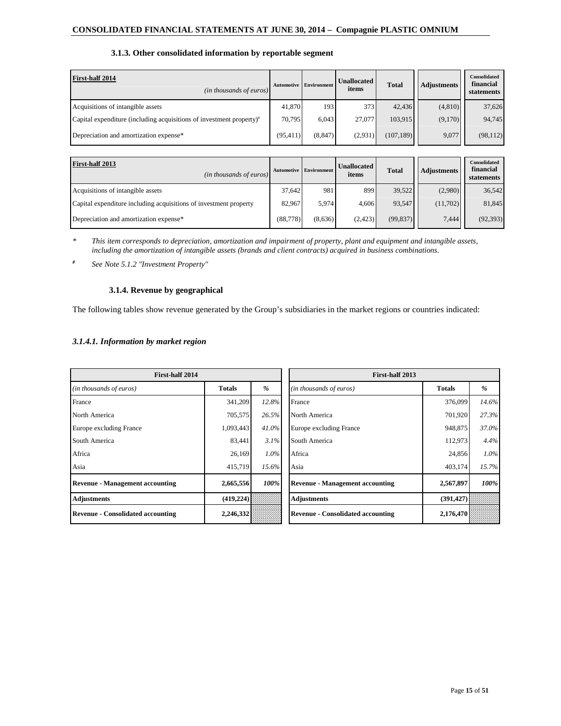# **3.1.3. Other consolidated information by reportable segment**

| <b>First-half 2014</b><br>( <i>in thousands of euros</i> )              | <b>Automotive</b> | <b>Environment</b> | <b>Unallocated</b><br>items | <b>Total</b> | <b>Adjustments</b> | Consolidated<br>financial<br>statements |
|-------------------------------------------------------------------------|-------------------|--------------------|-----------------------------|--------------|--------------------|-----------------------------------------|
| Acquisitions of intangible assets                                       | 41,870            | 193                | 373                         | 42,436       | (4, 810)           | 37,626                                  |
| Capital expenditure (including acquisitions of investment property) $*$ | 70,795            | 6.043              | 27,077                      | 103,915      | (9,170)            | 94,745                                  |
| Depreciation and amortization expense*                                  | (95, 411)         | (8, 847)           | (2,931)                     | (107, 189)   | 9,077              | (98, 112)                               |

| First-half 2013<br>$(in$ thousands of euros)                      | <b>Automotive</b> | <b>Environment</b> | <b>Unallocated</b><br>items | <b>Total</b> | <b>Adjustments</b> | Consolidated<br>financial<br>statements |
|-------------------------------------------------------------------|-------------------|--------------------|-----------------------------|--------------|--------------------|-----------------------------------------|
| Acquisitions of intangible assets                                 | 37.642            | 981                | 899                         | 39,522       | (2,980)            | 36,542                                  |
| Capital expenditure including acquisitions of investment property | 82.967            | 5,974              | 4.606                       | 93,547       | (11,702)           | 81,845                                  |
| Depreciation and amortization expense*                            | (88, 778)         | (8,636)            | (2.423)                     | (99, 837)    | 7.444              | (92, 393)                               |

*\* This item corresponds to depreciation, amortization and impairment of property, plant and equipment and intangible assets, including the amortization of intangible assets (brands and client contracts) acquired in business combinations.* 

*# See Note 5.1.2 "Investment Property"* 

### **3.1.4. Revenue by geographical**

The following tables show revenue generated by the Group's subsidiaries in the market regions or countries indicated:

# *3.1.4.1. Information by market region*

| First-half 2014                          |               |       | First-half 2013                          |               |       |
|------------------------------------------|---------------|-------|------------------------------------------|---------------|-------|
| (in thousands of euros)                  | <b>Totals</b> | $\%$  | (in thousands of euros)                  | <b>Totals</b> | $\%$  |
| France                                   | 341,209       | 12.8% | France                                   | 376,099       | 14.6% |
| North America                            | 705,575       | 26.5% | North America                            | 701,920       | 27.3% |
| Europe excluding France                  | 1,093,443     | 41.0% | Europe excluding France                  | 948,875       | 37.0% |
| South America                            | 83,441        | 3.1%  | South America                            | 112,973       | 4.4%  |
| Africa                                   | 26,169        | 1.0%  | Africa                                   | 24,856        | 1.0%  |
| Asia                                     | 415,719       | 15.6% | Asia                                     | 403,174       | 15.7% |
| <b>Revenue - Management accounting</b>   | 2,665,556     | 100%  | <b>Revenue - Management accounting</b>   | 2,567,897     | 100%  |
| <b>Adjustments</b>                       | (419, 224)    |       | <b>Adjustments</b>                       | (391, 427)    |       |
| <b>Revenue - Consolidated accounting</b> | 2,246,332     |       | <b>Revenue - Consolidated accounting</b> | 2,176,470     |       |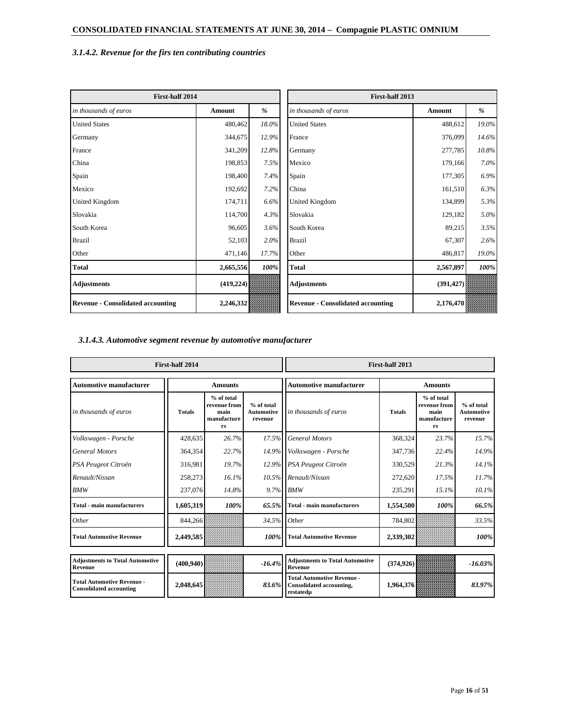# *3.1.4.2. Revenue for the firs ten contributing countries*

| First-half 2014                          |               |       | First-half 2013                          |               |       |
|------------------------------------------|---------------|-------|------------------------------------------|---------------|-------|
| in thousands of euros                    | <b>Amount</b> | %     | in thousands of euros                    | <b>Amount</b> | %     |
| <b>United States</b>                     | 480,462       | 18.0% | <b>United States</b>                     | 488,612       | 19.0% |
| Germany                                  | 344,675       | 12.9% | France                                   | 376,099       | 14.6% |
| France                                   | 341,209       | 12.8% | Germany                                  | 277,785       | 10.8% |
| China                                    | 198,853       | 7.5%  | Mexico                                   | 179,166       | 7.0%  |
| Spain                                    | 198,400       | 7.4%  | Spain                                    | 177,305       | 6.9%  |
| Mexico                                   | 192,692       | 7.2%  | China                                    | 161,510       | 6.3%  |
| United Kingdom                           | 174,711       | 6.6%  | United Kingdom                           | 134,899       | 5.3%  |
| Slovakia                                 | 114,700       | 4.3%  | Slovakia                                 | 129,182       | 5.0%  |
| South Korea                              | 96,605        | 3.6%  | South Korea                              | 89,215        | 3.5%  |
| <b>Brazil</b>                            | 52,103        | 2.0%  | <b>Brazil</b>                            | 67,307        | 2.6%  |
| Other                                    | 471,146       | 17.7% | Other                                    | 486,817       | 19.0% |
| <b>Total</b>                             | 2,665,556     | 100%  | <b>Total</b>                             | 2,567,897     | 100%  |
| Adjustments                              | (419, 224)    |       | <b>Adjustments</b>                       | (391, 427)    |       |
| <b>Revenue - Consolidated accounting</b> | 2,246,332     |       | <b>Revenue - Consolidated accounting</b> | 2,176,470     |       |

# *3.1.4.3. Automotive segment revenue by automotive manufacturer*

|                                                                     | First-half 2014 |                                                           |                                            |                                                                            | First-half 2013 |                                                         |                                     |
|---------------------------------------------------------------------|-----------------|-----------------------------------------------------------|--------------------------------------------|----------------------------------------------------------------------------|-----------------|---------------------------------------------------------|-------------------------------------|
| <b>Automotive manufacturer</b>                                      |                 | <b>Amounts</b>                                            |                                            | <b>Automotive manufacturer</b><br><b>Amounts</b>                           |                 |                                                         |                                     |
| in thousands of euros                                               | <b>Totals</b>   | $%$ of total<br>revenue from<br>main<br>manufacture<br>rs | % of total<br><b>Automotive</b><br>revenue | in thousands of euros                                                      | <b>Totals</b>   | % of total<br>revenue from<br>main<br>manufacture<br>rs | % of total<br>Automotive<br>revenue |
| Volkswagen - Porsche                                                | 428,635         | 26.7%                                                     |                                            | 17.5% General Motors                                                       | 368,324         | 23.7%                                                   | 15.7%                               |
| <b>General Motors</b>                                               | 364,354         | 22.7%                                                     |                                            | 14.9% Volkswagen - Porsche                                                 | 347,736         | 22.4%                                                   | 14.9%                               |
| PSA Peugeot Citroën                                                 | 316,981         | 19.7%                                                     |                                            | 12.9% PSA Peugeot Citroën                                                  | 330,529         | 21.3%                                                   | 14.1%                               |
| Renault/Nissan                                                      | 258,273         | 16.1%                                                     |                                            | 10.5% Renault/Nissan                                                       | 272,620         | 17.5%                                                   | 11.7%                               |
| <b>BMW</b>                                                          | 237,076         | 14.8%                                                     |                                            | 9.7% BMW                                                                   | 235,291         | 15.1%                                                   | 10.1%                               |
| <b>Total - main manufacturers</b>                                   | 1,605,319       | 100%                                                      | 65.5%                                      | <b>Total - main manufacturers</b>                                          | 1,554,500       | 100%                                                    | 66.5%                               |
| Other                                                               | 844,266         |                                                           | 34.5% Other                                |                                                                            | 784,802         |                                                         | 33.5%                               |
| <b>Total Automotive Revenue</b>                                     | 2,449,585       |                                                           | 100%                                       | <b>Total Automotive Revenue</b>                                            | 2,339,302       |                                                         | 100%                                |
| <b>Adjustments to Total Automotive</b><br>Revenue                   | (400, 940)      |                                                           | $-16.4%$                                   | <b>Adjustments to Total Automotive</b><br>Revenue                          | (374, 926)      |                                                         | $-16.03%$                           |
| <b>Total Automotive Revenue -</b><br><b>Consolidated accounting</b> | 2,048,645       |                                                           | 83.6%                                      | <b>Total Automotive Revenue -</b><br>Consolidated accounting,<br>restatedµ | 1,964,376       |                                                         | 83.97%                              |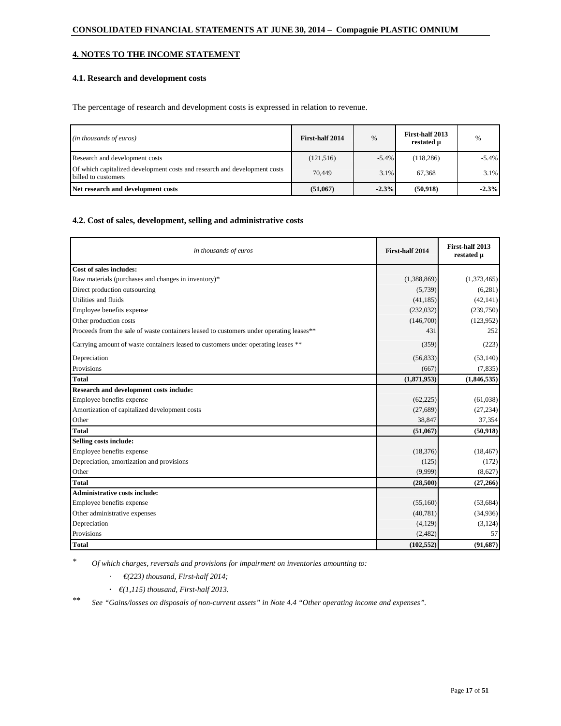# **4. NOTES TO THE INCOME STATEMENT**

# **4.1. Research and development costs**

The percentage of research and development costs is expressed in relation to revenue.

| ( <i>in thousands of euros</i> )                                                                 | First-half 2014 | %        | First-half 2013<br>restated µ | $\%$     |
|--------------------------------------------------------------------------------------------------|-----------------|----------|-------------------------------|----------|
| Research and development costs                                                                   | (121, 516)      | $-5.4\%$ | (118, 286)                    | $-5.4\%$ |
| Of which capitalized development costs and research and development costs<br>billed to customers | 70.449          | 3.1%     | 67.368                        | 3.1%     |
| Net research and development costs                                                               | (51,067)        | $-2.3%$  | (50, 918)                     | $-2.3%$  |

### **4.2. Cost of sales, development, selling and administrative costs**

| in thousands of euros                                                                   | First-half 2014 | First-half 2013<br>restated µ |
|-----------------------------------------------------------------------------------------|-----------------|-------------------------------|
| Cost of sales includes:                                                                 |                 |                               |
| Raw materials (purchases and changes in inventory)*                                     | (1,388,869)     | (1,373,465)                   |
| Direct production outsourcing                                                           | (5,739)         | (6,281)                       |
| Utilities and fluids                                                                    | (41, 185)       | (42, 141)                     |
| Employee benefits expense                                                               | (232,032)       | (239,750)                     |
| Other production costs                                                                  | (146,700)       | (123,952)                     |
| Proceeds from the sale of waste containers leased to customers under operating leases** | 431             | 252                           |
| Carrying amount of waste containers leased to customers under operating leases **       | (359)           | (223)                         |
| Depreciation                                                                            | (56, 833)       | (53,140)                      |
| Provisions                                                                              | (667)           | (7, 835)                      |
| <b>Total</b>                                                                            | (1,871,953)     | (1,846,535)                   |
| Research and development costs include:                                                 |                 |                               |
| Employee benefits expense                                                               | (62, 225)       | (61,038)                      |
| Amortization of capitalized development costs                                           | (27, 689)       | (27, 234)                     |
| Other                                                                                   | 38,847          | 37,354                        |
| <b>Total</b>                                                                            | (51,067)        | (50, 918)                     |
| Selling costs include:                                                                  |                 |                               |
| Employee benefits expense                                                               | (18, 376)       | (18, 467)                     |
| Depreciation, amortization and provisions                                               | (125)           | (172)                         |
| Other                                                                                   | (9.999)         | (8,627)                       |
| <b>Total</b>                                                                            | (28,500)        | (27,266)                      |
| <b>Administrative costs include:</b>                                                    |                 |                               |
| Employee benefits expense                                                               | (55,160)        | (53, 684)                     |
| Other administrative expenses                                                           | (40, 781)       | (34,936)                      |
| Depreciation                                                                            | (4,129)         | (3,124)                       |
| Provisions                                                                              | (2,482)         | 57                            |
| <b>Total</b>                                                                            | (102, 552)      | (91,687)                      |

*\* Of which charges, reversals and provisions for impairment on inventories amounting to:* 

- *· €(223) thousand, First-half 2014;*
- *· €(1,115) thousand, First-half 2013.*

*\*\* See "Gains/losses on disposals of non-current assets" in Note 4.4 "Other operating income and expenses".*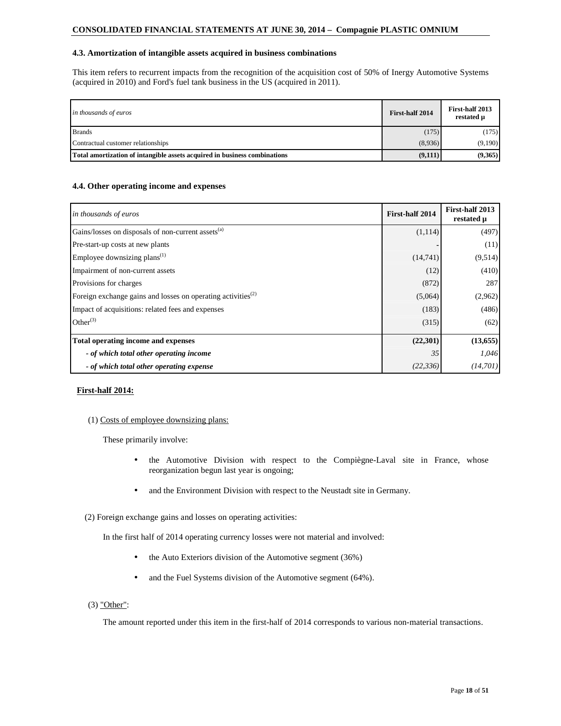# **4.3. Amortization of intangible assets acquired in business combinations**

This item refers to recurrent impacts from the recognition of the acquisition cost of 50% of Inergy Automotive Systems (acquired in 2010) and Ford's fuel tank business in the US (acquired in 2011).

| in thousands of euros                                                     | First-half 2014 | First-half 2013<br>restated µ |
|---------------------------------------------------------------------------|-----------------|-------------------------------|
| <b>Brands</b>                                                             | (175)           | (175)                         |
| Contractual customer relationships                                        | (8,936)         | (9,190)                       |
| Total amortization of intangible assets acquired in business combinations | (9,111)         | (9,365)                       |

### **4.4. Other operating income and expenses**

| in thousands of euros                                                    | First-half 2014 | First-half 2013<br>restated µ |
|--------------------------------------------------------------------------|-----------------|-------------------------------|
| Gains/losses on disposals of non-current assets <sup>(a)</sup>           | (1,114)         | (497)                         |
| Pre-start-up costs at new plants                                         |                 | (11)                          |
| Employee downsizing plans <sup><math>(1)</math></sup>                    | (14,741)        | (9,514)                       |
| Impairment of non-current assets                                         | (12)            | (410)                         |
| Provisions for charges                                                   | (872)           | 287                           |
| Foreign exchange gains and losses on operating activities <sup>(2)</sup> | (5,064)         | (2,962)                       |
| Impact of acquisitions: related fees and expenses                        | (183)           | (486)                         |
| Other $^{(3)}$                                                           | (315)           | (62)                          |
| Total operating income and expenses                                      | (22, 301)       | (13, 655)                     |
| - of which total other operating income                                  | 35              | 1,046                         |
| - of which total other operating expense                                 | (22, 336)       | (14, 701)                     |

#### **First-half 2014:**

#### (1) Costs of employee downsizing plans:

These primarily involve:

- the Automotive Division with respect to the Compiègne-Laval site in France, whose reorganization begun last year is ongoing;
- and the Environment Division with respect to the Neustadt site in Germany.
- (2) Foreign exchange gains and losses on operating activities:

In the first half of 2014 operating currency losses were not material and involved:

- the Auto Exteriors division of the Automotive segment (36%)
- and the Fuel Systems division of the Automotive segment (64%).
- (3) "Other":

The amount reported under this item in the first-half of 2014 corresponds to various non-material transactions.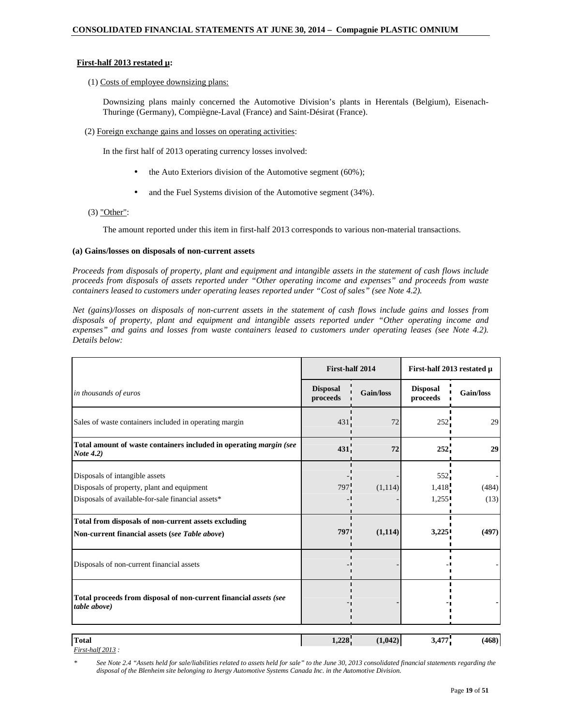# **First-half 2013 restated µ:**

### (1) Costs of employee downsizing plans:

Downsizing plans mainly concerned the Automotive Division's plants in Herentals (Belgium), Eisenach-Thuringe (Germany), Compiègne-Laval (France) and Saint-Désirat (France).

(2) Foreign exchange gains and losses on operating activities:

In the first half of 2013 operating currency losses involved:

- the Auto Exteriors division of the Automotive segment  $(60\%)$ ;
- and the Fuel Systems division of the Automotive segment (34%).

#### $(3)$  "Other":

The amount reported under this item in first-half 2013 corresponds to various non-material transactions.

### **(a) Gains/losses on disposals of non-current assets**

*Proceeds from disposals of property, plant and equipment and intangible assets in the statement of cash flows include proceeds from disposals of assets reported under "Other operating income and expenses" and proceeds from waste containers leased to customers under operating leases reported under "Cost of sales" (see Note 4.2).* 

*Net (gains)/losses on disposals of non-current assets in the statement of cash flows include gains and losses from disposals of property, plant and equipment and intangible assets reported under "Other operating income and*  expenses" and gains and losses from waste containers leased to customers under operating leases (see Note 4.2). *Details below:* 

|                                                                                                                                   | First-half 2014             |           | First-half 2013 restated µ         |               |  |
|-----------------------------------------------------------------------------------------------------------------------------------|-----------------------------|-----------|------------------------------------|---------------|--|
| in thousands of euros                                                                                                             | <b>Disposal</b><br>proceeds | Gain/loss | <b>Disposal</b><br>proceeds        | Gain/loss     |  |
| Sales of waste containers included in operating margin                                                                            | 431.                        | 72        | 252                                | 29            |  |
| Total amount of waste containers included in operating margin (see<br>Note 4.2)                                                   | 431                         | 72        | 252                                | 29            |  |
| Disposals of intangible assets<br>Disposals of property, plant and equipment<br>Disposals of available-for-sale financial assets* | 797 <sup>'</sup>            | (1, 114)  | 552 <sub>1</sub><br>1,418<br>1,255 | (484)<br>(13) |  |
| Total from disposals of non-current assets excluding<br>Non-current financial assets (see Table above)                            | 7971                        | (1,114)   | 3,225                              | (497)         |  |
| Disposals of non-current financial assets                                                                                         |                             |           |                                    |               |  |
| Total proceeds from disposal of non-current financial assets (see<br>table above)                                                 |                             |           |                                    |               |  |
| <b>Total</b>                                                                                                                      | 1,228                       | (1,042)   | 3,477                              | (468)         |  |

*First-half 2013 :* 

*\* See Note 2.4 "Assets held for sale/liabilities related to assets held for sale" to the June 30, 2013 consolidated financial statements regarding the disposal of the Blenheim site belonging to Inergy Automotive Systems Canada Inc. in the Automotive Division.*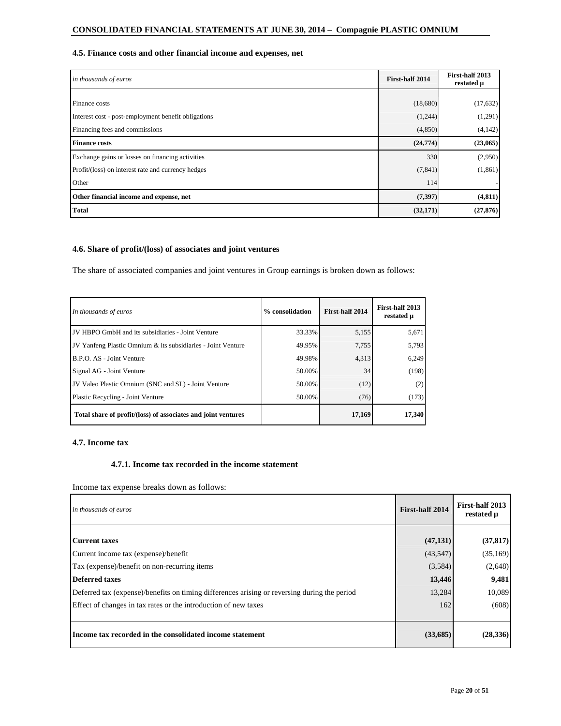# **4.5. Finance costs and other financial income and expenses, net**

| in thousands of euros                               | First-half 2014 | First-half 2013<br>restated µ |
|-----------------------------------------------------|-----------------|-------------------------------|
|                                                     |                 |                               |
| Finance costs                                       | (18,680)        | (17, 632)                     |
| Interest cost - post-employment benefit obligations | (1,244)         | (1,291)                       |
| Financing fees and commissions                      | (4,850)         | (4, 142)                      |
| <b>Finance costs</b>                                | (24,774)        | (23,065)                      |
| Exchange gains or losses on financing activities    | 330             | (2,950)                       |
| Profit/(loss) on interest rate and currency hedges  | (7, 841)        | (1, 861)                      |
| Other                                               | 114             |                               |
| Other financial income and expense, net             | (7, 397)        | (4, 811)                      |
| <b>Total</b>                                        | (32,171)        | (27, 876)                     |

# **4.6. Share of profit/(loss) of associates and joint ventures**

The share of associated companies and joint ventures in Group earnings is broken down as follows:

| In thousands of euros                                         | % consolidation | First-half 2014 | First-half 2013<br>restated µ |
|---------------------------------------------------------------|-----------------|-----------------|-------------------------------|
| JV HBPO GmbH and its subsidiaries - Joint Venture             | 33.33%          | 5,155           | 5,671                         |
| JV Yanfeng Plastic Omnium & its subsidiaries - Joint Venture  | 49.95%          | 7,755           | 5,793                         |
| B.P.O. AS - Joint Venture                                     | 49.98%          | 4,313           | 6,249                         |
| Signal AG - Joint Venture                                     | 50.00%          | 34              | (198)                         |
| JV Valeo Plastic Omnium (SNC and SL) - Joint Venture          | 50.00%          | (12)            | (2)                           |
| Plastic Recycling - Joint Venture                             | 50.00%          | (76)            | (173)                         |
| Total share of profit/(loss) of associates and joint ventures |                 | 17,169          | 17.340                        |

# **4.7. Income tax**

# **4.7.1. Income tax recorded in the income statement**

Income tax expense breaks down as follows:

| in thousands of euros                                                                        | First-half 2014 | First-half 2013<br>restated µ |
|----------------------------------------------------------------------------------------------|-----------------|-------------------------------|
| <b>Current taxes</b>                                                                         | (47, 131)       | (37, 817)                     |
| Current income tax (expense)/benefit                                                         | (43,547)        | (35,169)                      |
| Tax (expense)/benefit on non-recurring items                                                 | (3,584)         | (2,648)                       |
| <b>Deferred taxes</b>                                                                        | 13,446          | 9,481                         |
| Deferred tax (expense)/benefits on timing differences arising or reversing during the period | 13,284          | 10,089                        |
| Effect of changes in tax rates or the introduction of new taxes                              | 162             | (608)                         |
| Income tax recorded in the consolidated income statement                                     | (33,685)        | (28, 336)                     |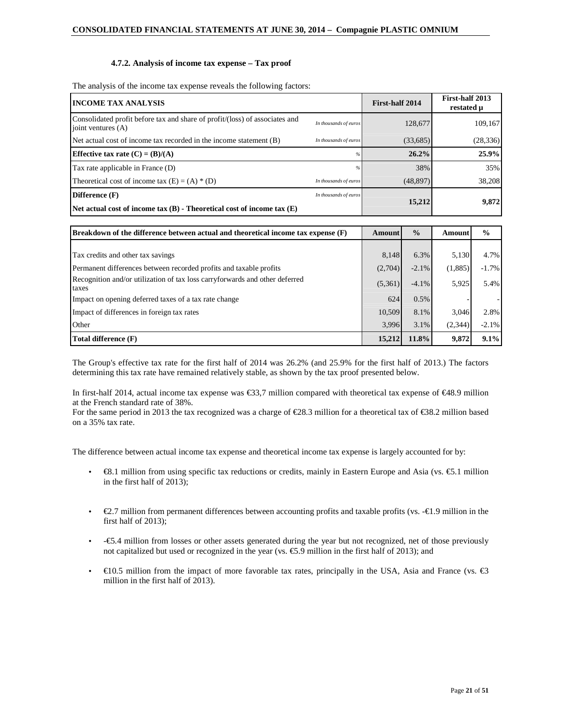### **4.7.2. Analysis of income tax expense – Tax proof**

The analysis of the income tax expense reveals the following factors:

| <b>INCOME TAX ANALYSIS</b>                                                                        |                       | First-half 2014 | First-half 2013<br>restated µ |
|---------------------------------------------------------------------------------------------------|-----------------------|-----------------|-------------------------------|
| Consolidated profit before tax and share of profit/(loss) of associates and<br>joint ventures (A) | In thousands of euros | 128,677         | 109,167                       |
| Net actual cost of income tax recorded in the income statement (B)                                | In thousands of euros | (33,685)        | (28, 336)                     |
| Effective tax rate $(C) = (B)/(A)$                                                                | $\frac{a}{b}$         | 26.2%           | 25.9%                         |
| Tax rate applicable in France (D)                                                                 |                       | 38%             | 35%                           |
| Theoretical cost of income tax $(E) = (A) * (D)$                                                  | In thousands of euros | (48, 897)       | 38,208                        |
| Difference (F)                                                                                    | In thousands of euros |                 |                               |
| Net actual cost of income $\text{tax}(B)$ - Theoretical cost of income $\text{tax}(E)$            |                       | 15,212          | 9,872                         |

| <b>Breakdown of the difference between actual and theoretical income tax expense (F)</b> | Amount  | $\frac{0}{0}$ | Amount  | $\frac{6}{9}$ |
|------------------------------------------------------------------------------------------|---------|---------------|---------|---------------|
|                                                                                          |         |               |         |               |
| Tax credits and other tax savings                                                        | 8.148   | 6.3%          | 5,130   | 4.7%          |
| Permanent differences between recorded profits and taxable profits                       | (2,704) | $-2.1\%$      | (1,885) | $-1.7\%$      |
| Recognition and/or utilization of tax loss carryforwards and other deferred<br>taxes     | (5,361) | $-4.1\%$      | 5,925   | 5.4%          |
| Impact on opening deferred taxes of a tax rate change                                    | 624     | $0.5\%$       |         |               |
| Impact of differences in foreign tax rates                                               | 10,509  | 8.1%          | 3,046   | 2.8%          |
| Other                                                                                    | 3,996   | 3.1%          | (2,344) | $-2.1%$       |
| Total difference (F)                                                                     | 15,212  | 11.8%         | 9,872   | 9.1%          |

The Group's effective tax rate for the first half of 2014 was 26.2% (and 25.9% for the first half of 2013.) The factors determining this tax rate have remained relatively stable, as shown by the tax proof presented below.

In first-half 2014, actual income tax expense was €33,7 million compared with theoretical tax expense of €48.9 million at the French standard rate of 38%.

For the same period in 2013 the tax recognized was a charge of €28.3 million for a theoretical tax of €38.2 million based on a 35% tax rate.

The difference between actual income tax expense and theoretical income tax expense is largely accounted for by:

- $\in$  8.1 million from using specific tax reductions or credits, mainly in Eastern Europe and Asia (vs.  $\in$  51 million in the first half of 2013);
- $\epsilon$ 2.7 million from permanent differences between accounting profits and taxable profits (vs.  $-\epsilon$ 1.9 million in the first half of 2013);
- -€5.4 million from losses or other assets generated during the year but not recognized, net of those previously not capitalized but used or recognized in the year (vs.  $\epsilon$ 5.9 million in the first half of 2013); and
- $€10.5$  million from the impact of more favorable tax rates, principally in the USA, Asia and France (vs. €3 million in the first half of 2013).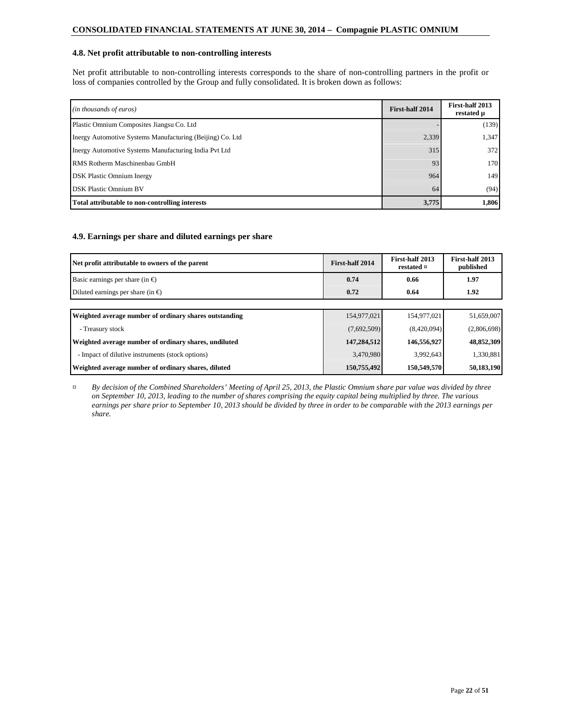### **4.8. Net profit attributable to non-controlling interests**

Net profit attributable to non-controlling interests corresponds to the share of non-controlling partners in the profit or loss of companies controlled by the Group and fully consolidated. It is broken down as follows:

| (in thousands of euros)                                   | First-half 2014 | First-half 2013<br>restated µ |
|-----------------------------------------------------------|-----------------|-------------------------------|
| Plastic Omnium Composites Jiangsu Co. Ltd.                |                 | (139)                         |
| Inergy Automotive Systems Manufacturing (Beijing) Co. Ltd | 2,339           | 1.347                         |
| Inergy Automotive Systems Manufacturing India Pvt Ltd     | 315             | 372                           |
| RMS Rotherm Maschinenbau GmbH                             | 93              | 170                           |
| <b>DSK</b> Plastic Omnium Inergy                          | 964             | 149                           |
| <b>DSK Plastic Omnium BV</b>                              | 64              | (94)                          |
| Total attributable to non-controlling interests           | 3,775           | 1,806                         |

# **4.9. Earnings per share and diluted earnings per share**

| Net profit attributable to owners of the parent        | First-half 2014 | First-half 2013<br>restated $\beta$ | First-half 2013<br>published |
|--------------------------------------------------------|-----------------|-------------------------------------|------------------------------|
| Basic earnings per share (in $\epsilon$ )              | 0.74            | 0.66                                | 1.97                         |
| Diluted earnings per share (in $\epsilon$ )            | 0.72            | 0.64                                | 1.92                         |
|                                                        |                 |                                     |                              |
| Weighted average number of ordinary shares outstanding | 154,977,021     | 154,977,021                         | 51,659,007                   |
| - Treasury stock                                       | (7,692,509)     | (8,420,094)                         | (2,806,698)                  |
| Weighted average number of ordinary shares, undiluted  | 147,284,512     | 146,556,927                         | 48,852,309                   |
| - Impact of dilutive instruments (stock options)       | 3,470,980       | 3,992,643                           | 1,330,881                    |
| Weighted average number of ordinary shares, diluted    | 150,755,492     | 150,549,570                         | 50,183,190                   |

*¤ By decision of the Combined Shareholders' Meeting of April 25, 2013, the Plastic Omnium share par value was divided by three on September 10, 2013, leading to the number of shares comprising the equity capital being multiplied by three. The various earnings per share prior to September 10, 2013 should be divided by three in order to be comparable with the 2013 earnings per share.*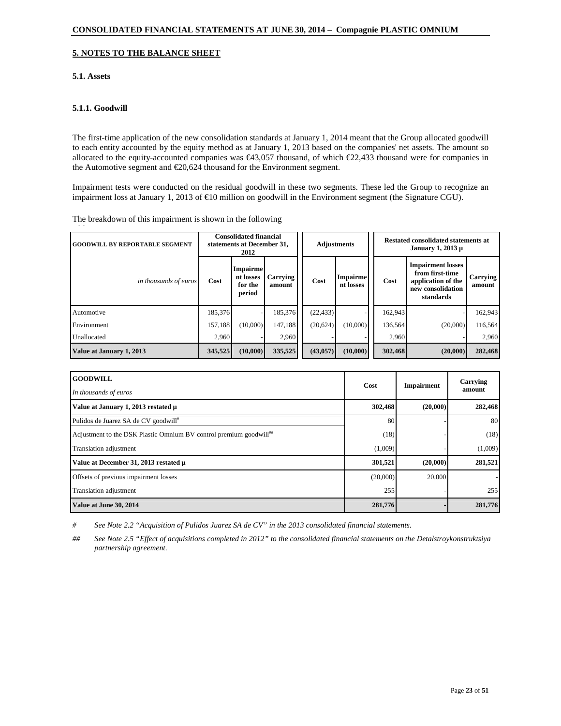# **5. NOTES TO THE BALANCE SHEET**

# **5.1. Assets**

# **5.1.1. Goodwill**

The first-time application of the new consolidation standards at January 1, 2014 meant that the Group allocated goodwill to each entity accounted by the equity method as at January 1, 2013 based on the companies' net assets. The amount so allocated to the equity-accounted companies was  $\epsilon$ 43,057 thousand, of which  $\epsilon$ 22,433 thousand were for companies in the Automotive segment and €20,624 thousand for the Environment segment.

Impairment tests were conducted on the residual goodwill in these two segments. These led the Group to recognize an impairment loss at January 1, 2013 of €10 million on goodwill in the Environment segment (the Signature CGU).

The breakdown of this impairment is shown in the following

| <b>GOODWILL BY REPORTABLE SEGMENT</b> |         | <b>Consolidated financial</b><br>statements at December 31,<br>2012 |                    |           | <b>Adjustments</b>           | <b>Restated consolidated statements at</b><br>January 1, 2013 µ |                                                                                                     |                    |
|---------------------------------------|---------|---------------------------------------------------------------------|--------------------|-----------|------------------------------|-----------------------------------------------------------------|-----------------------------------------------------------------------------------------------------|--------------------|
| in thousands of euros                 | Cost    | <b>Impairme</b><br>nt losses<br>for the<br>period                   | Carrying<br>amount | Cost      | <b>Impairme</b><br>nt losses | Cost                                                            | <b>Impairment</b> losses<br>from first-time<br>application of the<br>new consolidation<br>standards | Carrying<br>amount |
| Automotive                            | 185,376 |                                                                     | 185.376            | (22, 433) |                              | 162,943                                                         |                                                                                                     | 162,943            |
| Environment                           | 157,188 | (10,000)                                                            | 147,188            | (20,624)  | (10,000)                     | 136,564                                                         | (20,000)                                                                                            | 116,564            |
| Unallocated                           | 2,960   |                                                                     | 2,960              |           |                              | 2,960                                                           |                                                                                                     | 2.960              |
| Value at January 1, 2013              | 345,525 | (10,000)                                                            | 335,525            | (43, 057) | (10,000)                     | 302,468                                                         | (20,000)                                                                                            | 282,468            |

| <b>GOODWILL</b><br>In thousands of euros                                       | Cost     | Impairment | Carrying<br>amount |
|--------------------------------------------------------------------------------|----------|------------|--------------------|
| Value at January 1, 2013 restated µ                                            | 302,468  | (20,000)   | 282,468            |
| Pulidos de Juarez SA de CV goodwill <sup>#</sup>                               | 80       |            | 80                 |
| Adjustment to the DSK Plastic Omnium BV control premium goodwill <sup>##</sup> | (18)     |            | (18)               |
| Translation adjustment                                                         | (1,009)  |            | (1,009)            |
| Value at December 31, 2013 restated µ                                          | 301,521  | (20,000)   | 281,521            |
| Offsets of previous impairment losses                                          | (20,000) | 20,000     |                    |
| Translation adjustment                                                         | 255      |            | 255                |
| Value at June 30, 2014                                                         | 281,776  |            | 281,776            |

*# See Note 2.2 "Acquisition of Pulidos Juarez SA de CV" in the 2013 consolidated financial statements.* 

*## See Note 2.5 "Effect of acquisitions completed in 2012" to the consolidated financial statements on the Detalstroykonstruktsiya partnership agreement.*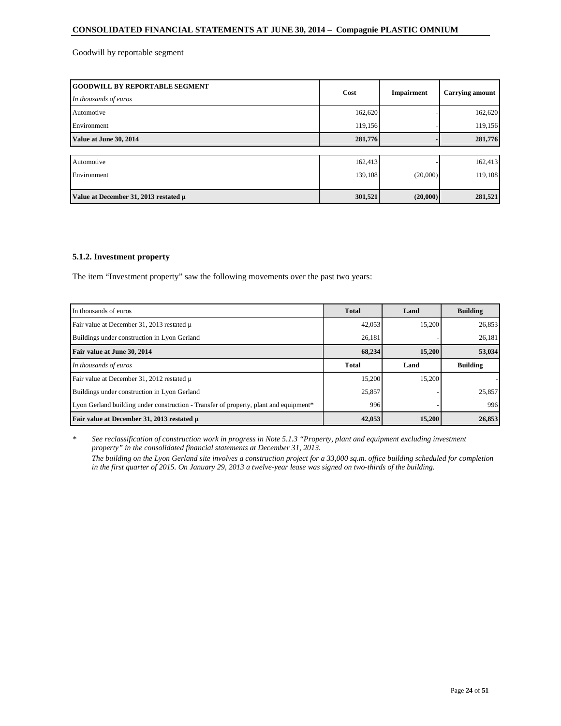Goodwill by reportable segment

| <b>GOODWILL BY REPORTABLE SEGMENT</b><br>In thousands of euros | Cost    | Impairment | <b>Carrying amount</b> |
|----------------------------------------------------------------|---------|------------|------------------------|
| Automotive                                                     | 162,620 |            | 162,620                |
| Environment                                                    | 119,156 |            | 119,156                |
| Value at June 30, 2014                                         | 281,776 |            | 281,776                |
|                                                                |         |            |                        |
| Automotive                                                     | 162,413 |            | 162,413                |
| Environment                                                    | 139,108 | (20,000)   | 119,108                |
|                                                                |         |            |                        |
| Value at December 31, 2013 restated µ                          | 301,521 | (20,000)   | 281,521                |

# **5.1.2. Investment property**

The item "Investment property" saw the following movements over the past two years:

| In thousands of euros                                                                 | <b>Total</b> | Land   | <b>Building</b> |
|---------------------------------------------------------------------------------------|--------------|--------|-----------------|
| Fair value at December 31, 2013 restated u                                            | 42,053       | 15,200 | 26,853          |
| Buildings under construction in Lyon Gerland                                          | 26,181       |        | 26,181          |
| Fair value at June 30, 2014                                                           | 68,234       | 15,200 | 53,034          |
| In thousands of euros                                                                 | <b>Total</b> | Land   | <b>Building</b> |
| Fair value at December 31, 2012 restated u                                            | 15,200       | 15.200 |                 |
| Buildings under construction in Lyon Gerland                                          | 25,857       |        | 25,857          |
| Lyon Gerland building under construction - Transfer of property, plant and equipment* | 996          |        | 996             |
| Fair value at December 31, 2013 restated µ                                            | 42,053       | 15,200 | 26,853          |

*\* See reclassification of construction work in progress in Note 5.1.3 "Property, plant and equipment excluding investment property" in the consolidated financial statements at December 31, 2013. The building on the Lyon Gerland site involves a construction project for a 33,000 sq.m. office building scheduled for completion in the first quarter of 2015. On January 29, 2013 a twelve-year lease was signed on two-thirds of the building.*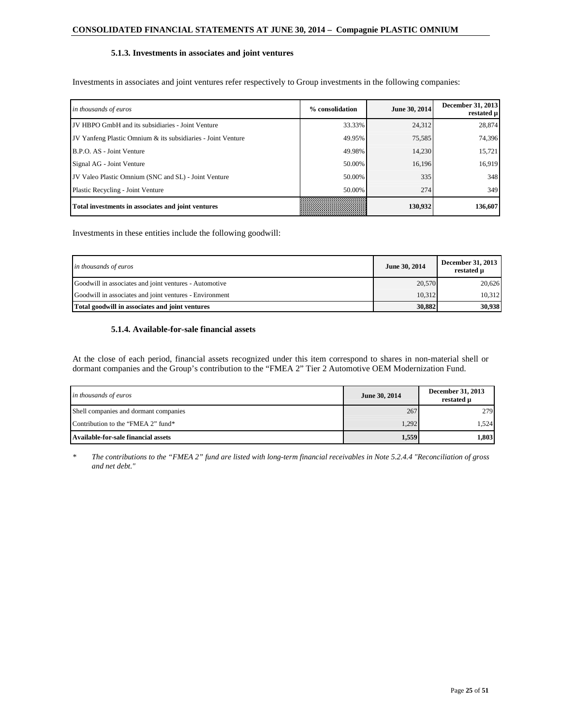# **5.1.3. Investments in associates and joint ventures**

Investments in associates and joint ventures refer respectively to Group investments in the following companies:

| in thousands of euros                                        | % consolidation | June 30, 2014 | <b>December 31, 2013</b><br>restated µ |
|--------------------------------------------------------------|-----------------|---------------|----------------------------------------|
| JV HBPO GmbH and its subsidiaries - Joint Venture            | 33.33%          | 24,312        | 28,874                                 |
| JV Yanfeng Plastic Omnium & its subsidiaries - Joint Venture | 49.95%          | 75,585        | 74,396                                 |
| B.P.O. AS - Joint Venture                                    | 49.98%          | 14.230        | 15,721                                 |
| Signal AG - Joint Venture                                    | 50.00%          | 16.196        | 16,919                                 |
| JV Valeo Plastic Omnium (SNC and SL) - Joint Venture         | 50.00%          | 335           | 348                                    |
| Plastic Recycling - Joint Venture                            | 50.00%          | 274           | 349                                    |
| Total investments in associates and joint ventures           |                 | 130,932       | 136,607                                |

Investments in these entities include the following goodwill:

| in thousands of euros                                   | June 30, 2014 | December 31, 2013<br>restated u |
|---------------------------------------------------------|---------------|---------------------------------|
| Goodwill in associates and joint ventures - Automotive  | 20,570        | 20.626                          |
| Goodwill in associates and joint ventures - Environment | 10.312        | 10.312                          |
| Total goodwill in associates and joint ventures         | 30.882        | 30,938                          |

# **5.1.4. Available-for-sale financial assets**

At the close of each period, financial assets recognized under this item correspond to shares in non-material shell or dormant companies and the Group's contribution to the "FMEA 2" Tier 2 Automotive OEM Modernization Fund.

| in thousands of euros                 | June 30, 2014 | December 31, 2013<br>restated µ |
|---------------------------------------|---------------|---------------------------------|
| Shell companies and dormant companies | 267           | 279                             |
| Contribution to the "FMEA 2" fund*    | 1.292         | 1.524                           |
| Available-for-sale financial assets   | 1,559         | 1,803                           |

*\* The contributions to the "FMEA 2" fund are listed with long-term financial receivables in Note 5.2.4.4 "Reconciliation of gross and net debt."*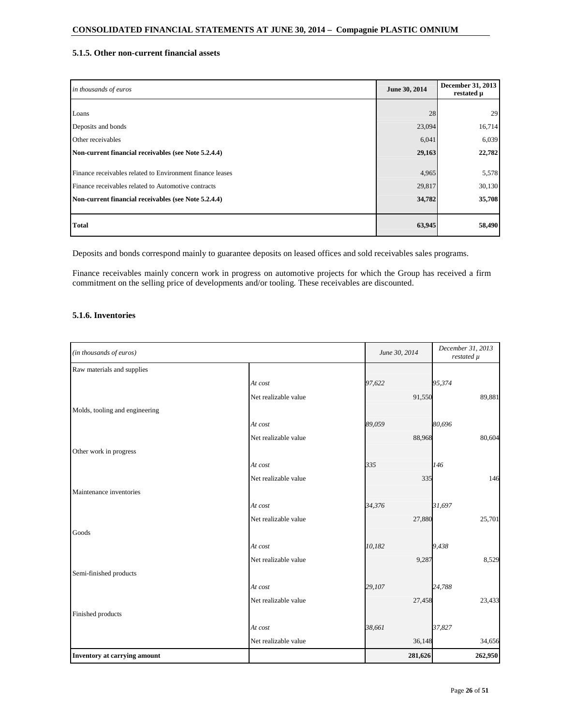# **5.1.5. Other non-current financial assets**

| in thousands of euros                                     | June 30, 2014 | December 31, 2013<br>restated µ |
|-----------------------------------------------------------|---------------|---------------------------------|
|                                                           |               |                                 |
| Loans                                                     | 28            | 29                              |
| Deposits and bonds                                        | 23,094        | 16,714                          |
| Other receivables                                         | 6,041         | 6,039                           |
| Non-current financial receivables (see Note 5.2.4.4)      | 29,163        | 22,782                          |
|                                                           |               |                                 |
| Finance receivables related to Environment finance leases | 4,965         | 5,578                           |
| Finance receivables related to Automotive contracts       | 29,817        | 30,130                          |
| Non-current financial receivables (see Note 5.2.4.4)      | 34,782        | 35,708                          |
|                                                           |               |                                 |
| <b>Total</b>                                              | 63,945        | 58,490                          |

Deposits and bonds correspond mainly to guarantee deposits on leased offices and sold receivables sales programs.

Finance receivables mainly concern work in progress on automotive projects for which the Group has received a firm commitment on the selling price of developments and/or tooling. These receivables are discounted.

# **5.1.6. Inventories**

| (in thousands of euros)        |                      | June 30, 2014 |         | December 31, 2013<br>restated µ |
|--------------------------------|----------------------|---------------|---------|---------------------------------|
| Raw materials and supplies     |                      |               |         |                                 |
|                                | At cost              | 97,622        | 95,374  |                                 |
|                                | Net realizable value |               | 91,550  | 89,881                          |
| Molds, tooling and engineering |                      |               |         |                                 |
|                                | At cost              | 89,059        | 80,696  |                                 |
|                                | Net realizable value |               | 88,968  | 80,604                          |
| Other work in progress         |                      |               |         |                                 |
|                                | At cost              | 335           | 146     |                                 |
|                                | Net realizable value |               | 335     | 146                             |
| Maintenance inventories        |                      |               |         |                                 |
|                                | At cost              | 34,376        | 31,697  |                                 |
|                                | Net realizable value |               | 27,880  | 25,701                          |
| Goods                          |                      |               |         |                                 |
|                                | At cost              | 10,182        | 9,438   |                                 |
|                                | Net realizable value |               | 9,287   | 8,529                           |
| Semi-finished products         |                      |               |         |                                 |
|                                | At cost              | 29,107        | 24,788  |                                 |
|                                | Net realizable value |               | 27,458  | 23,433                          |
| Finished products              |                      |               |         |                                 |
|                                | At cost              | 38,661        | 37,827  |                                 |
|                                | Net realizable value |               | 36,148  | 34,656                          |
| Inventory at carrying amount   |                      |               | 281,626 | 262,950                         |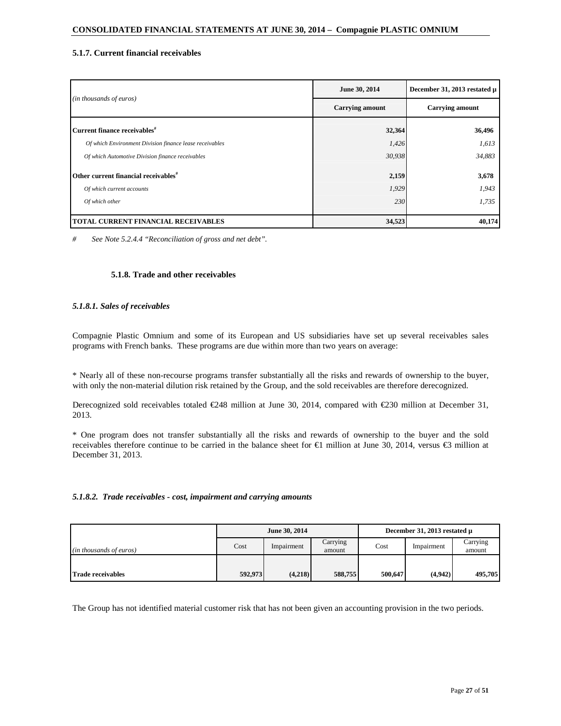# **5.1.7. Current financial receivables**

|                                                         | June 30, 2014          | December 31, 2013 restated µ |  |
|---------------------------------------------------------|------------------------|------------------------------|--|
| (in thousands of euros)                                 | <b>Carrying amount</b> | <b>Carrying amount</b>       |  |
| Current finance receivables <sup>#</sup>                | 32,364                 | 36,496                       |  |
| Of which Environment Division finance lease receivables | 1,426                  | 1,613                        |  |
| Of which Automotive Division finance receivables        | 30,938                 | 34,883                       |  |
| Other current financial receivables <sup>#</sup>        | 2,159                  | 3,678                        |  |
| Of which current accounts                               | 1,929                  | 1,943                        |  |
| Of which other                                          | 230                    | 1,735                        |  |
| TOTAL CURRENT FINANCIAL RECEIVABLES                     | 34,523                 | 40,174                       |  |

*# See Note 5.2.4.4 "Reconciliation of gross and net debt".* 

### **5.1.8. Trade and other receivables**

### *5.1.8.1. Sales of receivables*

Compagnie Plastic Omnium and some of its European and US subsidiaries have set up several receivables sales programs with French banks. These programs are due within more than two years on average:

\* Nearly all of these non-recourse programs transfer substantially all the risks and rewards of ownership to the buyer, with only the non-material dilution risk retained by the Group, and the sold receivables are therefore derecognized.

Derecognized sold receivables totaled €248 million at June 30, 2014, compared with €230 million at December 31, 2013.

\* One program does not transfer substantially all the risks and rewards of ownership to the buyer and the sold receivables therefore continue to be carried in the balance sheet for €1 million at June 30, 2014, versus €3 million at December 31, 2013.

#### *5.1.8.2. Trade receivables - cost, impairment and carrying amounts*

|                          |         | June 30, 2014 |                    | December 31, 2013 restated $\mu$ |            |                    |
|--------------------------|---------|---------------|--------------------|----------------------------------|------------|--------------------|
| (in thousands of euros)  | Cost    | Impairment    | Carrying<br>amount | Cost                             | Impairment | Carrying<br>amount |
|                          |         |               |                    |                                  |            |                    |
| <b>Trade receivables</b> | 592,973 | (4,218)       | 588,755            | 500,647                          | (4,942)    | 495,705            |

The Group has not identified material customer risk that has not been given an accounting provision in the two periods.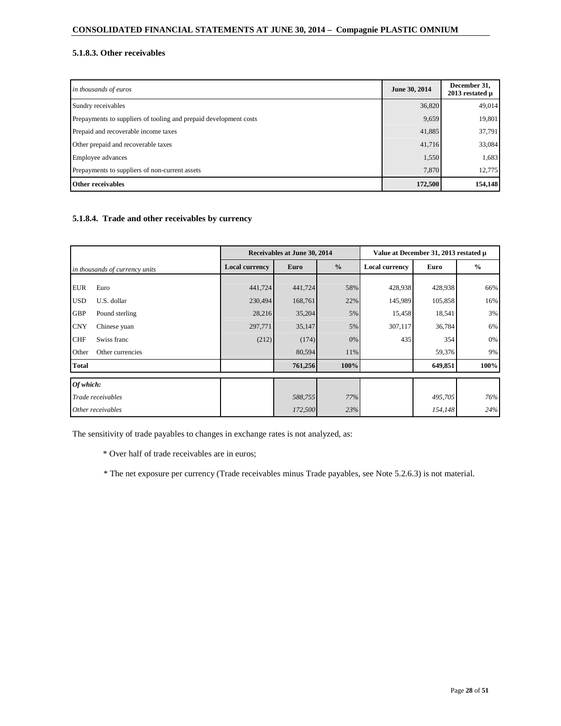# **5.1.8.3. Other receivables**

| in thousands of euros                                             | June 30, 2014 | December 31,<br>$2013$ restated $\mu$ |
|-------------------------------------------------------------------|---------------|---------------------------------------|
| Sundry receivables                                                | 36,820        | 49,014                                |
| Prepayments to suppliers of tooling and prepaid development costs | 9,659         | 19,801                                |
| Prepaid and recoverable income taxes                              | 41,885        | 37,791                                |
| Other prepaid and recoverable taxes                               | 41,716        | 33,084                                |
| Employee advances                                                 | 1,550         | 1,683                                 |
| Prepayments to suppliers of non-current assets                    | 7,870         | 12,775                                |
| Other receivables                                                 | 172,500       | 154,148                               |

# **5.1.8.4. Trade and other receivables by currency**

|                                |                   |                       | Receivables at June 30, 2014 |               |                       | Value at December 31, 2013 restated µ |               |
|--------------------------------|-------------------|-----------------------|------------------------------|---------------|-----------------------|---------------------------------------|---------------|
| in thousands of currency units |                   | <b>Local currency</b> | <b>Euro</b>                  | $\frac{0}{0}$ | <b>Local currency</b> | Euro                                  | $\frac{0}{0}$ |
|                                |                   |                       |                              |               |                       |                                       |               |
| <b>EUR</b>                     | Euro              | 441,724               | 441,724                      | 58%           | 428,938               | 428,938                               | 66%           |
| <b>USD</b>                     | U.S. dollar       | 230,494               | 168,761                      | 22%           | 145,989               | 105,858                               | 16%           |
| <b>GBP</b>                     | Pound sterling    | 28,216                | 35,204                       | 5%            | 15,458                | 18,541                                | 3%            |
| <b>CNY</b>                     | Chinese yuan      | 297,771               | 35,147                       | 5%            | 307,117               | 36,784                                | 6%            |
| <b>CHF</b>                     | Swiss franc       | (212)                 | (174)                        | 0%            | 435                   | 354                                   | 0%            |
| Other                          | Other currencies  |                       | 80,594                       | 11%           |                       | 59,376                                | 9%            |
| <b>Total</b>                   |                   |                       | 761,256                      | 100%          |                       | 649,851                               | 100%          |
| Of which:                      |                   |                       |                              |               |                       |                                       |               |
| Trade receivables              |                   |                       | 588,755                      | 77%           |                       | 495,705                               | 76%           |
|                                | Other receivables |                       | 172,500                      | 23%           |                       | 154,148                               | 24%           |

The sensitivity of trade payables to changes in exchange rates is not analyzed, as:

\* Over half of trade receivables are in euros;

\* The net exposure per currency (Trade receivables minus Trade payables, see Note 5.2.6.3) is not material.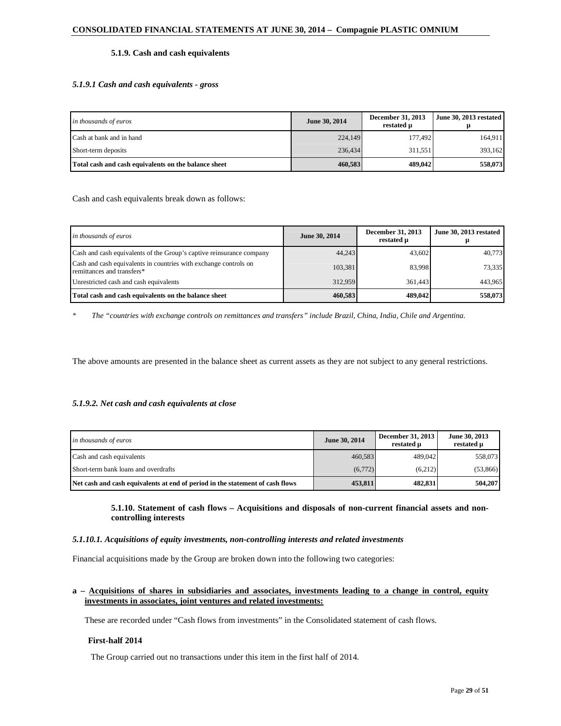# **5.1.9. Cash and cash equivalents**

# *5.1.9.1 Cash and cash equivalents - gross*

| in thousands of euros                                | June 30, 2014 | December 31, 2013<br>restated µ | June 30, 2013 restated |
|------------------------------------------------------|---------------|---------------------------------|------------------------|
| Cash at bank and in hand                             | 224,149       | 177.492                         | 164.911                |
| Short-term deposits                                  | 236,434       | 311.551                         | 393.162                |
| Total cash and cash equivalents on the balance sheet | 460,583       | 489,042                         | 558,073                |

Cash and cash equivalents break down as follows:

| in thousands of euros                                                                          | June 30, 2014 | December 31, 2013<br>restated u | June 30, 2013 restated |
|------------------------------------------------------------------------------------------------|---------------|---------------------------------|------------------------|
| Cash and cash equivalents of the Group's captive reinsurance company                           | 44.243        | 43,602                          | 40.773                 |
| Cash and cash equivalents in countries with exchange controls on<br>remittances and transfers* | 103,381       | 83.998                          | 73.335                 |
| Unrestricted cash and cash equivalents                                                         | 312,959       | 361.443                         | 443.965                |
| Total cash and cash equivalents on the balance sheet                                           | 460.583       | 489,042                         | 558,073                |

*\* The "countries with exchange controls on remittances and transfers" include Brazil, China, India, Chile and Argentina.* 

The above amounts are presented in the balance sheet as current assets as they are not subject to any general restrictions.

# *5.1.9.2. Net cash and cash equivalents at close*

| in thousands of euros                                                         | June 30, 2014 | December 31, 2013<br>restated u | June 30, 2013<br>restated u |
|-------------------------------------------------------------------------------|---------------|---------------------------------|-----------------------------|
| Cash and cash equivalents                                                     | 460.583       | 489,042                         | 558,073                     |
| Short-term bank loans and overdrafts                                          | (6,772)       | (6,212)                         | (53,866)                    |
| Net cash and cash equivalents at end of period in the statement of cash flows | 453,811       | 482,831                         | 504.207                     |

### **5.1.10. Statement of cash flows – Acquisitions and disposals of non-current financial assets and noncontrolling interests**

#### *5.1.10.1. Acquisitions of equity investments, non-controlling interests and related investments*

Financial acquisitions made by the Group are broken down into the following two categories:

# **a – Acquisitions of shares in subsidiaries and associates, investments leading to a change in control, equity investments in associates, joint ventures and related investments:**

These are recorded under "Cash flows from investments" in the Consolidated statement of cash flows.

# **First-half 2014**

The Group carried out no transactions under this item in the first half of 2014.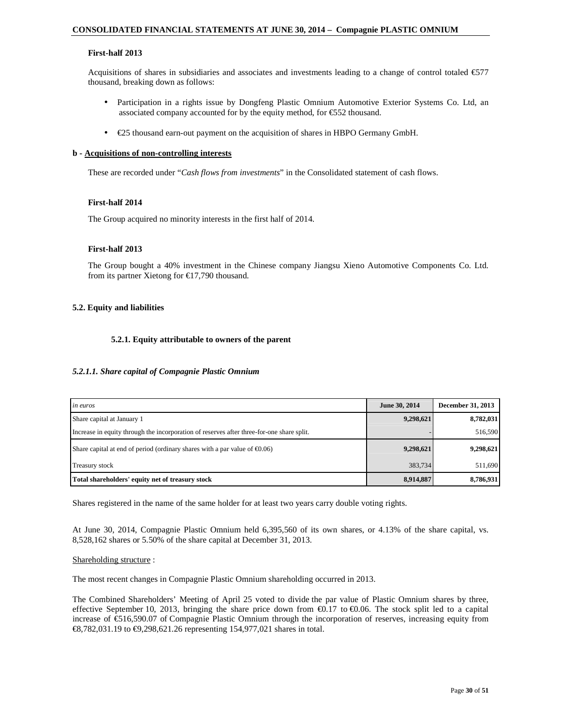### **First-half 2013**

Acquisitions of shares in subsidiaries and associates and investments leading to a change of control totaled  $\epsilon$ 577 thousand, breaking down as follows:

- Participation in a rights issue by Dongfeng Plastic Omnium Automotive Exterior Systems Co. Ltd, an associated company accounted for by the equity method, for €552 thousand.
- $\epsilon$ 25 thousand earn-out payment on the acquisition of shares in HBPO Germany GmbH.

#### **b - Acquisitions of non-controlling interests**

These are recorded under "*Cash flows from investments*" in the Consolidated statement of cash flows.

#### **First-half 2014**

The Group acquired no minority interests in the first half of 2014.

#### **First-half 2013**

The Group bought a 40% investment in the Chinese company Jiangsu Xieno Automotive Components Co. Ltd. from its partner Xietong for  $\epsilon$ 17,790 thousand.

#### **5.2. Equity and liabilities**

#### **5.2.1. Equity attributable to owners of the parent**

#### *5.2.1.1. Share capital of Compagnie Plastic Omnium*

| <i>in euros</i>                                                                           | June 30, 2014 | December 31, 2013 |
|-------------------------------------------------------------------------------------------|---------------|-------------------|
| Share capital at January 1                                                                | 9,298,621     | 8,782,031         |
| Increase in equity through the incorporation of reserves after three-for-one share split. |               | 516,590           |
| Share capital at end of period (ordinary shares with a par value of $\epsilon 0.06$ )     | 9,298,621     | 9,298,621         |
| <b>Treasury stock</b>                                                                     | 383,734       | 511,690           |
| Total shareholders' equity net of treasury stock                                          | 8,914,887     | 8,786,931         |

Shares registered in the name of the same holder for at least two years carry double voting rights.

At June 30, 2014, Compagnie Plastic Omnium held 6,395,560 of its own shares, or 4.13% of the share capital, vs. 8,528,162 shares or 5.50% of the share capital at December 31, 2013.

#### Shareholding structure :

The most recent changes in Compagnie Plastic Omnium shareholding occurred in 2013.

The Combined Shareholders' Meeting of April 25 voted to divide the par value of Plastic Omnium shares by three, effective September 10, 2013, bringing the share price down from  $\epsilon$ 0.17 to  $\epsilon$ 0.06. The stock split led  $\phi$  a capital increase of €516,590.07 of Compagnie Plastic Omnium through the incorporation of reserves, increasing equity from €8,782,031.19 to €9,298,621.26 representing 154,977021 shares in total.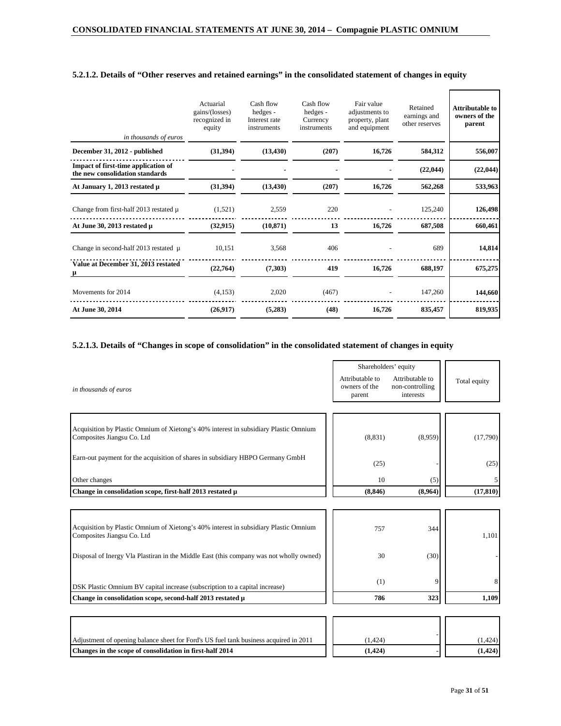| in thousands of euros                                                  | Actuarial<br>gains/(losses)<br>recognized in<br>equity | Cash flow<br>hedges -<br>Interest rate<br>instruments | Cash flow<br>hedges -<br>Currency<br>instruments | Fair value<br>adjustments to<br>property, plant<br>and equipment | Retained<br>earnings and<br>other reserves | <b>Attributable to</b><br>owners of the<br>parent |
|------------------------------------------------------------------------|--------------------------------------------------------|-------------------------------------------------------|--------------------------------------------------|------------------------------------------------------------------|--------------------------------------------|---------------------------------------------------|
| December 31, 2012 - published                                          | (31, 394)                                              | (13, 430)                                             | (207)                                            | 16,726                                                           | 584,312                                    | 556,007                                           |
| Impact of first-time application of<br>the new consolidation standards |                                                        |                                                       |                                                  |                                                                  | (22, 044)                                  | (22, 044)                                         |
| At January 1, 2013 restated µ                                          | (31, 394)                                              | (13, 430)                                             | (207)                                            | 16,726                                                           | 562,268                                    | 533,963                                           |
| Change from first-half 2013 restated µ                                 | (1,521)                                                | 2,559                                                 | 220                                              |                                                                  | 125,240                                    | 126,498                                           |
| At June 30, 2013 restated µ                                            | (32, 915)                                              | (10, 871)                                             | 13                                               | 16,726                                                           | 687,508                                    | 660,461                                           |
| Change in second-half $2013$ restated $\mu$                            | 10,151                                                 | 3,568                                                 | 406                                              |                                                                  | 689                                        | 14,814                                            |
| Value at December 31, 2013 restated                                    | (22,764)                                               | (7,303)                                               | 419                                              | 16,726                                                           | 688,197                                    | 675,275                                           |
| Movements for 2014                                                     | (4,153)                                                | 2,020                                                 | (467)                                            |                                                                  | 147,260                                    | 144,660                                           |
| At June 30, 2014                                                       | (26,917)                                               | (5,283)                                               | (48)                                             | 16,726                                                           | 835,457                                    | 819,935                                           |

# **5.2.1.2. Details of "Other reserves and retained earnings" in the consolidated statement of changes in equity**

# **5.2.1.3. Details of "Changes in scope of consolidation" in the consolidated statement of changes in equity**

|                                                                                                                    | Shareholders' equity                       |                                                 |              |
|--------------------------------------------------------------------------------------------------------------------|--------------------------------------------|-------------------------------------------------|--------------|
| in thousands of euros                                                                                              | Attributable to<br>owners of the<br>parent | Attributable to<br>non-controlling<br>interests | Total equity |
|                                                                                                                    |                                            |                                                 |              |
| Acquisition by Plastic Omnium of Xietong's 40% interest in subsidiary Plastic Omnium<br>Composites Jiangsu Co. Ltd | (8, 831)                                   | (8.959)                                         | (17,790)     |
| Earn-out payment for the acquisition of shares in subsidiary HBPO Germany GmbH                                     | (25)                                       |                                                 | (25)         |
| Other changes                                                                                                      | 10                                         | (5)                                             |              |
| Change in consolidation scope, first-half 2013 restated µ                                                          | (8, 846)                                   | (8,964)                                         | (17, 810)    |
|                                                                                                                    |                                            |                                                 |              |
| Acquisition by Plastic Omnium of Xietong's 40% interest in subsidiary Plastic Omnium<br>Composites Jiangsu Co. Ltd | 757                                        | 344                                             | 1,101        |
| Disposal of Inergy Vla Plastiran in the Middle East (this company was not wholly owned)                            | 30                                         | (30)                                            |              |
| DSK Plastic Omnium BV capital increase (subscription to a capital increase)                                        | (1)                                        | 9                                               | 8            |
| Change in consolidation scope, second-half 2013 restated µ                                                         | 786                                        | 323                                             | 1,109        |
|                                                                                                                    |                                            |                                                 |              |

| Adjustment of opening balance sheet for Ford's US fuel tank business acquired in 2011 | (1.424) | 1.424)   |
|---------------------------------------------------------------------------------------|---------|----------|
| Changes in the scope of consolidation in first-half 2014                              | (1.424) | (1, 424) |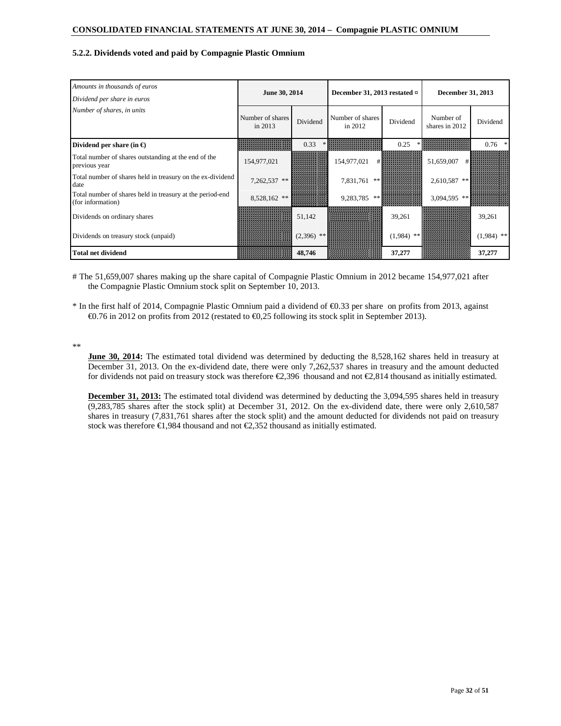### **5.2.2. Dividends voted and paid by Compagnie Plastic Omnium**

| Amounts in thousands of euros<br>Dividend per share in euros                   | June 30, 2014               |             | December 31, 2013 restated $\overline{z}$ |          | December 31, 2013           |              |  |
|--------------------------------------------------------------------------------|-----------------------------|-------------|-------------------------------------------|----------|-----------------------------|--------------|--|
| Number of shares, in units                                                     | Number of shares<br>in 2013 | Dividend    | Number of shares<br>in 2012               | Dividend | Number of<br>shares in 2012 | Dividend     |  |
| Dividend per share (in $\epsilon$ )                                            |                             | 0.33        |                                           | 0.25     |                             | 0.76         |  |
| Total number of shares outstanding at the end of the<br>previous year          | 154,977,021                 |             | 154,977,021                               |          | 51,659,007                  |              |  |
| Total number of shares held in treasury on the ex-dividend<br>date             | 7,262,537 **                |             | 7,831,761<br>**                           |          | 2,610,587                   |              |  |
| Total number of shares held in treasury at the period-end<br>(for information) | 8,528,162 **                |             | 9,283,785                                 |          | 3,094,595 *                 |              |  |
| Dividends on ordinary shares                                                   |                             | 51,142      |                                           | 39,261   |                             | 39,261       |  |
| Dividends on treasury stock (unpaid)                                           |                             | $(2,396)$ * |                                           | (1,984)  |                             | $(1,984)$ ** |  |
| <b>Total net dividend</b>                                                      |                             | 48,746      |                                           | 37,277   |                             | 37,277       |  |

# The 51,659,007 shares making up the share capital of Compagnie Plastic Omnium in 2012 became 154,977,021 after the Compagnie Plastic Omnium stock split on September 10, 2013.

\* In the first half of 2014, Compagnie Plastic Omnium paid a dividend of €0.33 per share on profits from 2013, against €0.76 in 2012 on profits from 2012 (restated to €0,25 following its stock split in September 2013).

\*\*

**June 30, 2014:** The estimated total dividend was determined by deducting the 8,528,162 shares held in treasury at December 31, 2013. On the ex-dividend date, there were only 7,262,537 shares in treasury and the amount deducted for dividends not paid on treasury stock was therefore  $\epsilon$ 2,396 thousand and not  $\epsilon$ 2,814 thousand as initially estimated.

**December 31, 2013:** The estimated total dividend was determined by deducting the 3,094,595 shares held in treasury (9,283,785 shares after the stock split) at December 31, 2012. On the ex-dividend date, there were only 2,610,587 shares in treasury (7,831,761 shares after the stock split) and the amount deducted for dividends not paid on treasury stock was therefore  $\epsilon$ 1,984 thousand and not  $\epsilon$ 2,352 housand as initially estimated.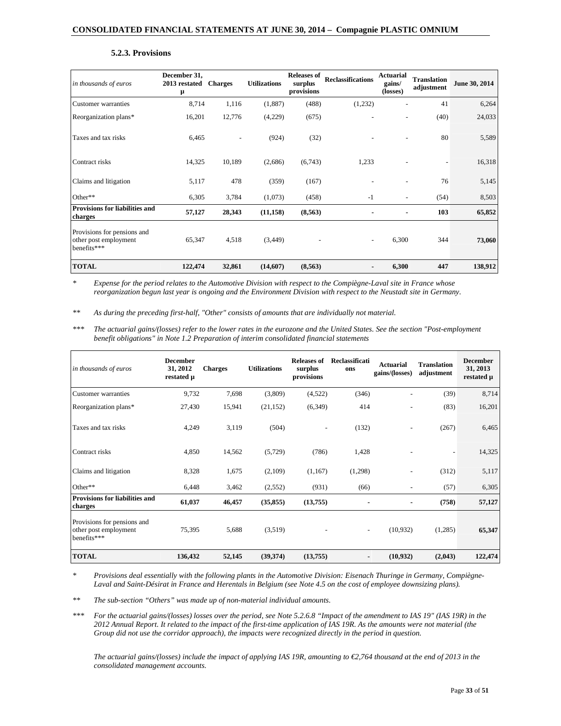#### **5.2.3. Provisions**

| in thousands of euros                                               | December 31,<br>2013 restated<br>μ | <b>Charges</b> | <b>Utilizations</b> | <b>Releases of</b><br>surplus<br>provisions | <b>Reclassifications</b> | Actuarial<br>gains/<br>(losses) | <b>Translation</b><br>adjustment | June 30, 2014 |
|---------------------------------------------------------------------|------------------------------------|----------------|---------------------|---------------------------------------------|--------------------------|---------------------------------|----------------------------------|---------------|
| Customer warranties                                                 | 8.714                              | 1,116          | (1,887)             | (488)                                       | (1,232)                  |                                 | 41                               | 6,264         |
| Reorganization plans*                                               | 16,201                             | 12,776         | (4,229)             | (675)                                       |                          |                                 | (40)                             | 24,033        |
| Taxes and tax risks                                                 | 6,465                              |                | (924)               | (32)                                        |                          |                                 | 80                               | 5,589         |
| Contract risks                                                      | 14,325                             | 10,189         | (2,686)             | (6,743)                                     | 1,233                    |                                 |                                  | 16,318        |
| Claims and litigation                                               | 5,117                              | 478            | (359)               | (167)                                       |                          |                                 | 76                               | 5,145         |
| Other**                                                             | 6,305                              | 3,784          | (1,073)             | (458)                                       | $-1$                     | $\overline{\phantom{0}}$        | (54)                             | 8,503         |
| Provisions for liabilities and<br>charges                           | 57,127                             | 28,343         | (11, 158)           | (8, 563)                                    | ٠                        | ٠                               | 103                              | 65,852        |
| Provisions for pensions and<br>other post employment<br>benefits*** | 65,347                             | 4,518          | (3, 449)            |                                             | $\overline{\phantom{a}}$ | 6,300                           | 344                              | 73,060        |
| <b>TOTAL</b>                                                        | 122,474                            | 32,861         | (14,607)            | (8,563)                                     | ٠                        | 6,300                           | 447                              | 138,912       |

*\* Expense for the period relates to the Automotive Division with respect to the Compiègne-Laval site in France whose reorganization begun last year is ongoing and the Environment Division with respect to the Neustadt site in Germany.* 

*\*\* As during the preceding first-half, "Other" consists of amounts that are individually not material.* 

*\*\*\* The actuarial gains/(losses) refer to the lower rates in the eurozone and the United States. See the section "Post-employment benefit obligations" in Note 1.2 Preparation of interim consolidated financial statements* 

| in thousands of euros                                               | <b>December</b><br>31, 2012<br>restated µ | <b>Charges</b> | <b>Utilizations</b> | <b>Releases of</b><br>surplus<br>provisions | Reclassificati<br>ons    | <b>Actuarial</b><br>gains/(losses) | <b>Translation</b><br>adjustment | <b>December</b><br>31, 2013<br>restated µ |
|---------------------------------------------------------------------|-------------------------------------------|----------------|---------------------|---------------------------------------------|--------------------------|------------------------------------|----------------------------------|-------------------------------------------|
| Customer warranties                                                 | 9,732                                     | 7,698          | (3,809)             | (4,522)                                     | (346)                    |                                    | (39)                             | 8,714                                     |
| Reorganization plans*                                               | 27,430                                    | 15,941         | (21, 152)           | (6,349)                                     | 414                      |                                    | (83)                             | 16,201                                    |
| Taxes and tax risks                                                 | 4,249                                     | 3,119          | (504)               |                                             | (132)                    |                                    | (267)                            | 6,465                                     |
| Contract risks                                                      | 4,850                                     | 14,562         | (5,729)             | (786)                                       | 1,428                    |                                    |                                  | 14,325                                    |
| Claims and litigation                                               | 8,328                                     | 1,675          | (2,109)             | (1,167)                                     | (1,298)                  |                                    | (312)                            | 5,117                                     |
| Other**                                                             | 6,448                                     | 3,462          | (2,552)             | (931)                                       | (66)                     |                                    | (57)                             | 6,305                                     |
| Provisions for liabilities and<br>charges                           | 61,037                                    | 46,457         | (35, 855)           | (13,755)                                    |                          | ٠                                  | (758)                            | 57,127                                    |
| Provisions for pensions and<br>other post employment<br>benefits*** | 75,395                                    | 5,688          | (3,519)             |                                             | $\overline{\phantom{a}}$ | (10, 932)                          | (1,285)                          | 65,347                                    |
| <b>TOTAL</b>                                                        | 136,432                                   | 52,145         | (39,374)            | (13,755)                                    |                          | (10, 932)                          | (2,043)                          | 122,474                                   |

*\* Provisions deal essentially with the following plants in the Automotive Division: Eisenach Thuringe in Germany, Compiègne-*Laval and Saint-Désirat in France and Herentals in Belgium (see Note 4.5 on the cost of employee downsizing plans).

*\*\* The sub-section "Others" was made up of non-material individual amounts.* 

*\*\*\* For the actuarial gains/(losses) losses over the period, see Note 5.2.6.8 "Impact of the amendment to IAS 19" (IAS 19R) in the 2012 Annual Report. It related to the impact of the first-time application of IAS 19R. As the amounts were not material (the Group did not use the corridor approach), the impacts were recognized directly in the period in question.* 

*The actuarial gains/(losses) include the impact of applying IAS 19R, amounting to €2,764 thousand at the end of 2013 in the consolidated management accounts.*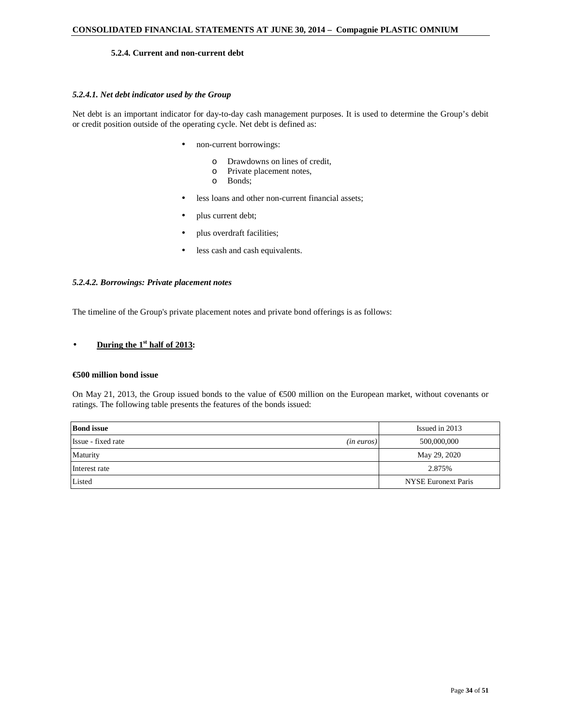### **5.2.4. Current and non-current debt**

### *5.2.4.1. Net debt indicator used by the Group*

Net debt is an important indicator for day-to-day cash management purposes. It is used to determine the Group's debit or credit position outside of the operating cycle. Net debt is defined as:

- non-current borrowings:
	- o Drawdowns on lines of credit,
	- o Private placement notes,
	- o Bonds;
- less loans and other non-current financial assets;
- plus current debt;
- plus overdraft facilities;
- less cash and cash equivalents.

#### *5.2.4.2. Borrowings: Private placement notes*

The timeline of the Group's private placement notes and private bond offerings is as follows:

# • **During the 1st half of 2013:**

#### **€500 million bond issue**

On May 21, 2013, the Group issued bonds to the value of €500 million on the European market, without covenants or ratings. The following table presents the features of the bonds issued:

| <b>Bond</b> issue                   | Issued in 2013             |
|-------------------------------------|----------------------------|
| Issue - fixed rate<br>$(in\>euros)$ | 500,000,000                |
| Maturity                            | May 29, 2020               |
| Interest rate                       | 2.875%                     |
| Listed                              | <b>NYSE Euronext Paris</b> |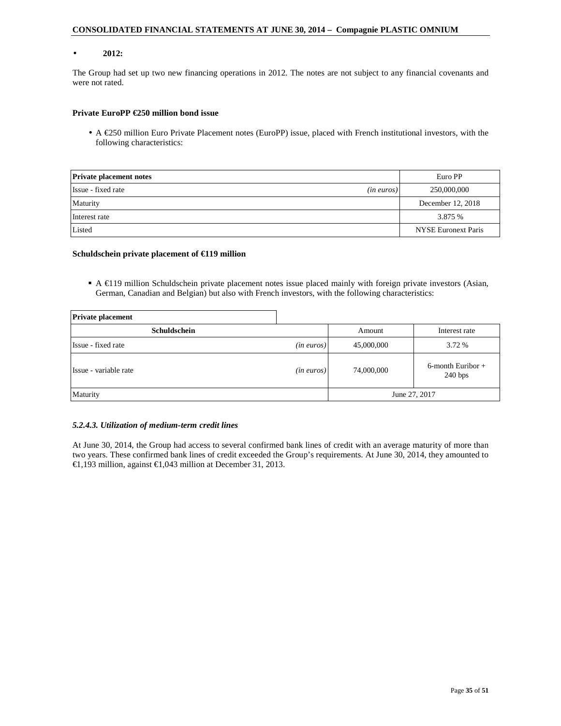#### • **2012:**

The Group had set up two new financing operations in 2012. The notes are not subject to any financial covenants and were not rated.

### **Private EuroPP €250 million bond issue**

• A  $\epsilon$ 250 million Euro Private Placement notes (EuroPP) issue, placed with French institutional investors, with the following characteristics:

| <b>Private placement notes</b>      | Euro PP                    |
|-------------------------------------|----------------------------|
| Issue - fixed rate<br>$(in\ euros)$ | 250,000,000                |
| Maturity                            | December 12, 2018          |
| Interest rate                       | 3.875 %                    |
| Listed                              | <b>NYSE Euronext Paris</b> |

#### **Schuldschein private placement of €119 million**

A  $\in$ 119 million Schuldschein private placement notes issue placed mainly with foreign private investors (Asian, German, Canadian and Belgian) but also with French investors, with the following characteristics:

| <b>Private placement</b> |               |               |                                 |  |
|--------------------------|---------------|---------------|---------------------------------|--|
| Schuldschein             |               | Amount        | Interest rate                   |  |
| Issue - fixed rate       | $(in\ euros)$ | 45,000,000    | 3.72 %                          |  |
| Issue - variable rate    | $(in\ euros)$ | 74,000,000    | $6$ -month Euribor +<br>240 bps |  |
| Maturity                 |               | June 27, 2017 |                                 |  |

#### *5.2.4.3. Utilization of medium-term credit lines*

At June 30, 2014, the Group had access to several confirmed bank lines of credit with an average maturity of more than two years. These confirmed bank lines of credit exceeded the Group's requirements. At June 30, 2014, they amounted to €1,193 million, against €1,043 million at December 31, 2013.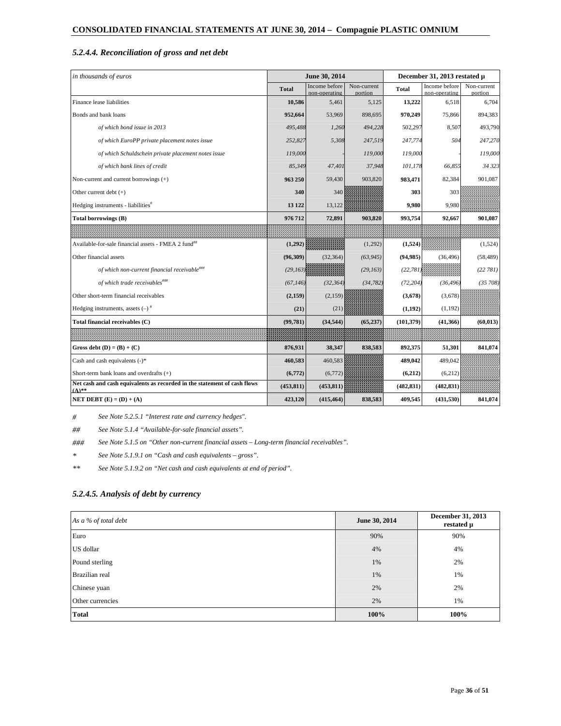# *5.2.4.4. Reconciliation of gross and net debt*

| in thousands of euros                                                                |              | June 30, 2014                  |                        | December 31, 2013 restated µ |                                |                        |  |
|--------------------------------------------------------------------------------------|--------------|--------------------------------|------------------------|------------------------------|--------------------------------|------------------------|--|
|                                                                                      | <b>Total</b> | Income before<br>non-operating | Non-current<br>portion | Total                        | Income before<br>non-operating | Non-current<br>portion |  |
| Finance lease liabilities                                                            | 10,586       | 5,461                          | 5,125                  | 13,222                       | 6,518                          | 6,704                  |  |
| Bonds and bank loans                                                                 | 952,664      | 53,969                         | 898,695                | 970,249                      | 75,866                         | 894,383                |  |
| of which bond issue in 2013                                                          | 495,488      | 1,260                          | 494,228                | 502,297                      | 8,507                          | 493,790                |  |
| of which EuroPP private placement notes issue                                        | 252,827      | 5,308                          | 247,519                | 247,774                      | 504                            | 247,270                |  |
| of which Schuldschein private placement notes issue                                  | 119,000      |                                | 119,000                | 119,000                      |                                | 119,000                |  |
| of which bank lines of credit                                                        | 85.349       | 47,401                         | 37.948                 | 101,178                      | 66.855                         | 34 323                 |  |
| Non-current and current borrowings (+)                                               | 963 250      | 59,430                         | 903,820                | 983,471                      | 82,384                         | 901,087                |  |
| Other current debt $(+)$                                                             | 340          | 340                            |                        | 303                          | 303                            |                        |  |
| Hedging instruments - liabilities <sup>#</sup>                                       | 13 122       | 13,122                         |                        | 9,980                        | 9,980                          |                        |  |
| Total borrowings (B)                                                                 | 976712       | 72,891                         | 903,820                | 993,754                      | 92,667                         | 901,087                |  |
|                                                                                      |              |                                |                        |                              |                                |                        |  |
| Available-for-sale financial assets - FMEA 2 fund <sup>##</sup>                      | (1, 292)     |                                | (1,292)                | (1, 524)                     |                                | (1,524)                |  |
| Other financial assets                                                               | (96, 309)    | (32, 364)                      | (63, 945)              | (94, 985)                    | (36, 496)                      | (58, 489)              |  |
| of which non-current financial receivable <sup>###</sup>                             | (29, 163)    |                                | (29, 163)              | (22, 781)                    |                                | (22 781)               |  |
| of which trade receivables###                                                        | (67, 146)    | (32, 364)                      | (34, 782)              | (72, 204)                    | (36, 496)                      | (35, 708)              |  |
| Other short-term financial receivables                                               | (2, 159)     | (2, 159)                       |                        | (3,678)                      | (3,678)                        |                        |  |
| Hedging instruments, assets $(-)^{\#}$                                               | (21)         | (21)                           |                        | (1, 192)                     | (1, 192)                       |                        |  |
| Total financial receivables (C)                                                      | (99, 781)    | (34, 544)                      | (65, 237)              | (101, 379)                   | (41, 366)                      | (60, 013)              |  |
|                                                                                      |              |                                |                        |                              |                                |                        |  |
| Gross debt $(D) = (B) + (C)$                                                         | 876,931      | 38,347                         | 838,583                | 892,375                      | 51,301                         | 841,074                |  |
| Cash and cash equivalents $(-)^*$                                                    | 460,583      | 460,583                        |                        | 489,042                      | 489,042                        |                        |  |
| Short-term bank loans and overdrafts $(+)$                                           | (6,772)      | (6,772)                        |                        | (6,212)                      | (6,212)                        |                        |  |
| Net cash and cash equivalents as recorded in the statement of cash flows<br>$(A)$ ** | (453, 811)   | (453, 811)                     |                        | (482, 831)                   | (482, 831)                     |                        |  |
| NET DEBT $(E) = (D) + (A)$                                                           | 423,120      | (415, 464)                     | 838,583                | 409,545                      | (431, 530)                     | 841,074                |  |

*# See Note 5.2.5.1 "Interest rate and currency hedges".* 

*## See Note 5.1.4 "Available-for-sale financial assets".* 

*### See Note 5.1.5 on "Other non-current financial assets – Long-term financial receivables".* 

*\* See Note 5.1.9.1 on "Cash and cash equivalents – gross".* 

*\*\* See Note 5.1.9.2 on "Net cash and cash equivalents at end of period".* 

# *5.2.4.5. Analysis of debt by currency*

| As a % of total debt | June 30, 2014 | <b>December 31, 2013</b><br>restated µ |
|----------------------|---------------|----------------------------------------|
| Euro                 | 90%           | 90%                                    |
| US dollar            | 4%            | 4%                                     |
| Pound sterling       | 1%            | 2%                                     |
| Brazilian real       | 1%            | 1%                                     |
| Chinese yuan         | 2%            | 2%                                     |
| Other currencies     | 2%            | 1%                                     |
| <b>Total</b>         | 100%          | 100%                                   |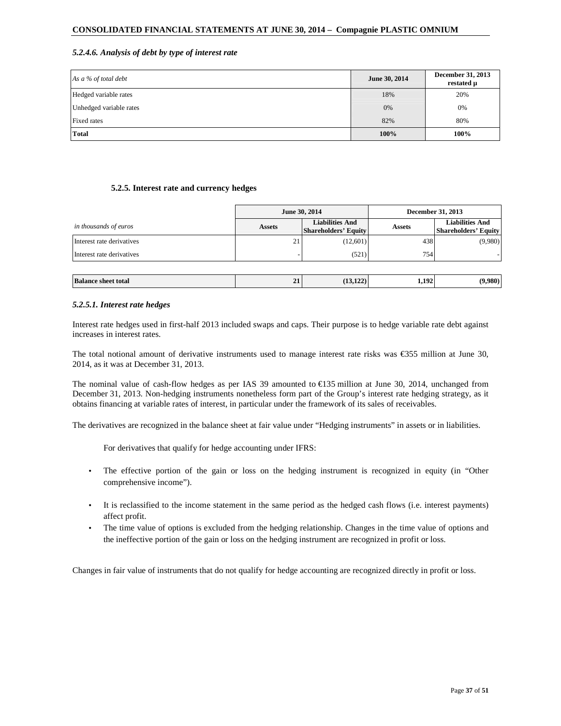### *5.2.4.6. Analysis of debt by type of interest rate*

| As a % of total debt    | June 30, 2014 | December 31, 2013<br>restated µ |
|-------------------------|---------------|---------------------------------|
| Hedged variable rates   | 18%           | 20%                             |
| Unhedged variable rates | $0\%$         | 0%                              |
| Fixed rates             | 82%           | 80%                             |
| <b>Total</b>            | 100%          | 100%                            |

#### **5.2.5. Interest rate and currency hedges**

|                            |               | June 30, 2014                                         | <b>December 31, 2013</b> |                                                       |  |
|----------------------------|---------------|-------------------------------------------------------|--------------------------|-------------------------------------------------------|--|
| in thousands of euros      | <b>Assets</b> | <b>Liabilities And</b><br><b>Shareholders' Equity</b> | <b>Assets</b>            | <b>Liabilities And</b><br><b>Shareholders' Equity</b> |  |
| Interest rate derivatives  | 21            | (12,601)                                              | 438                      | (9,980)                                               |  |
| Interest rate derivatives  |               | (521)                                                 | 754                      |                                                       |  |
|                            |               |                                                       |                          |                                                       |  |
| <b>Balance sheet total</b> | 21            | (13, 122)                                             | 1,192                    | (9,980)                                               |  |

### *5.2.5.1. Interest rate hedges*

Interest rate hedges used in first-half 2013 included swaps and caps. Their purpose is to hedge variable rate debt against increases in interest rates.

The total notional amount of derivative instruments used to manage interest rate risks was  $\epsilon$ 355 million at June 30, 2014, as it was at December 31, 2013.

The nominal value of cash-flow hedges as per IAS 39 amounted to  $\epsilon$ 135 million at June 30, 2014, unchanged from December 31, 2013. Non-hedging instruments nonetheless form part of the Group's interest rate hedging strategy, as it obtains financing at variable rates of interest, in particular under the framework of its sales of receivables.

The derivatives are recognized in the balance sheet at fair value under "Hedging instruments" in assets or in liabilities.

For derivatives that qualify for hedge accounting under IFRS:

- The effective portion of the gain or loss on the hedging instrument is recognized in equity (in "Other comprehensive income").
- It is reclassified to the income statement in the same period as the hedged cash flows (i.e. interest payments) affect profit.
- The time value of options is excluded from the hedging relationship. Changes in the time value of options and the ineffective portion of the gain or loss on the hedging instrument are recognized in profit or loss.

Changes in fair value of instruments that do not qualify for hedge accounting are recognized directly in profit or loss.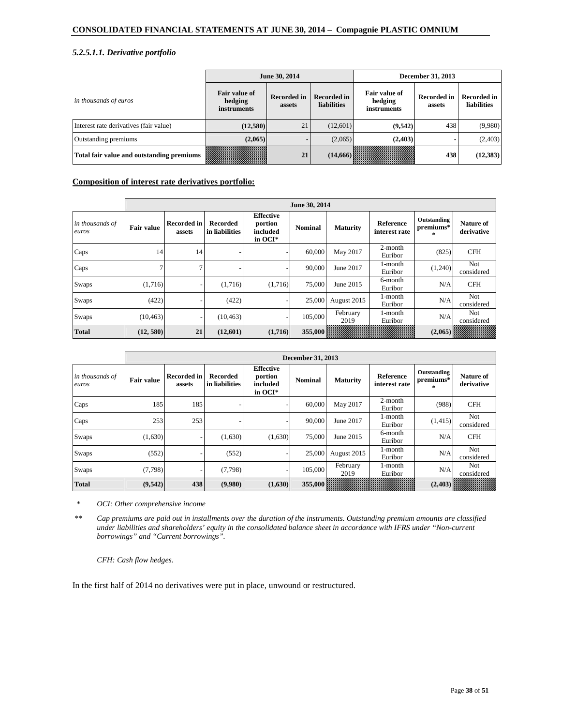# *5.2.5.1.1. Derivative portfolio*

|                                           |                                                       | June 30, 2014                |                            | December 31, 2013                       |                       |                            |  |
|-------------------------------------------|-------------------------------------------------------|------------------------------|----------------------------|-----------------------------------------|-----------------------|----------------------------|--|
| in thousands of euros                     | <b>Fair value of</b><br>hedging<br><i>instruments</i> | <b>Recorded in</b><br>assets | Recorded in<br>liabilities | Fair value of<br>hedging<br>instruments | Recorded in<br>assets | Recorded in<br>liabilities |  |
| Interest rate derivatives (fair value)    | (12,580)                                              | 21                           | (12,601)                   | (9,542)                                 | 438                   | (9,980)                    |  |
| Outstanding premiums                      | (2,065)                                               |                              | (2,065)                    | (2,403)                                 |                       | (2,403)                    |  |
| Total fair value and outstanding premiums |                                                       | 21                           | (14,666)                   |                                         | 438                   | (12,383)                   |  |

# **Composition of interest rate derivatives portfolio:**

|                          | June 30, 2014     |                              |                            |                                                    |                 |                  |                            |                                    |                                |  |  |
|--------------------------|-------------------|------------------------------|----------------------------|----------------------------------------------------|-----------------|------------------|----------------------------|------------------------------------|--------------------------------|--|--|
| in thousands of<br>euros | <b>Fair value</b> | <b>Recorded in</b><br>assets | Recorded<br>in liabilities | <b>Effective</b><br>portion<br>included<br>in OCI* | <b>Nominal</b>  | <b>Maturity</b>  | Reference<br>interest rate | Outstanding<br>premiums*<br>$\ast$ | <b>Nature of</b><br>derivative |  |  |
| Caps                     | 14                | 14                           |                            |                                                    | 60,000          | May 2017         | $2$ -month<br>Euribor      | (825)                              | <b>CFH</b>                     |  |  |
| Caps                     |                   | $\mathcal{I}$                |                            |                                                    | 90,000          | June 2017        | 1-month<br>Euribor         | (1,240)                            | Not<br>considered              |  |  |
| Swaps                    | (1,716)           |                              | (1,716)                    | (1,716)                                            | 75,000          | June 2015        | 6-month<br>Euribor         | N/A                                | <b>CFH</b>                     |  |  |
| Swaps                    | (422)             |                              | (422)                      |                                                    | 25,000          | August 2015      | l-month<br>Euribor         | N/A                                | Not<br>considered              |  |  |
| Swaps                    | (10, 463)         |                              | (10, 463)                  |                                                    | 105,000         | February<br>2019 | l-month<br>Euribor         | N/A                                | Not<br>considered              |  |  |
| <b>Total</b>             | (12, 580)         | 21                           | (12,601)                   | (1,716)                                            | 355,000 William |                  |                            | (2,065)                            |                                |  |  |

|                          |                   | December 31, 2013            |                            |                                                      |                |                  |                            |                                     |                          |  |  |  |
|--------------------------|-------------------|------------------------------|----------------------------|------------------------------------------------------|----------------|------------------|----------------------------|-------------------------------------|--------------------------|--|--|--|
| in thousands of<br>euros | <b>Fair value</b> | <b>Recorded in</b><br>assets | Recorded<br>in liabilities | <b>Effective</b><br>portion<br>included<br>in $OCI*$ | <b>Nominal</b> | <b>Maturity</b>  | Reference<br>interest rate | Outstanding<br>premiums*<br>$\star$ | Nature of<br>derivative  |  |  |  |
| Caps                     | 185               | 185                          |                            |                                                      | 60,000         | May 2017         | $2$ -month<br>Euribor      | (988)                               | <b>CFH</b>               |  |  |  |
| Caps                     | 253               | 253                          |                            |                                                      | 90,000         | June 2017        | 1-month<br>Euribor         | (1,415)                             | <b>Not</b><br>considered |  |  |  |
| Swaps                    | (1,630)           |                              | (1,630)                    | (1,630)                                              | 75,000         | June 2015        | 6-month<br>Euribor         | N/A                                 | <b>CFH</b>               |  |  |  |
| Swaps                    | (552)             |                              | (552)                      |                                                      | 25,000         | August 2015      | 1-month<br>Euribor         | N/A                                 | <b>Not</b><br>considered |  |  |  |
| Swaps                    | (7, 798)          |                              | (7,798)                    |                                                      | 105,000        | February<br>2019 | 1-month<br>Euribor         | N/A                                 | Not<br>considered        |  |  |  |
| <b>Total</b>             | (9,542)           | 438                          | (9,980)                    | (1,630)                                              | 355,000        |                  |                            | (2, 403)                            | UMMMMM                   |  |  |  |

 *\* OCI: Other comprehensive income* 

*\*\* Cap premiums are paid out in installments over the duration of the instruments. Outstanding premium amounts are classified under liabilities and shareholders' equity in the consolidated balance sheet in accordance with IFRS under "Non-current borrowings" and "Current borrowings".* 

*CFH: Cash flow hedges.* 

In the first half of 2014 no derivatives were put in place, unwound or restructured.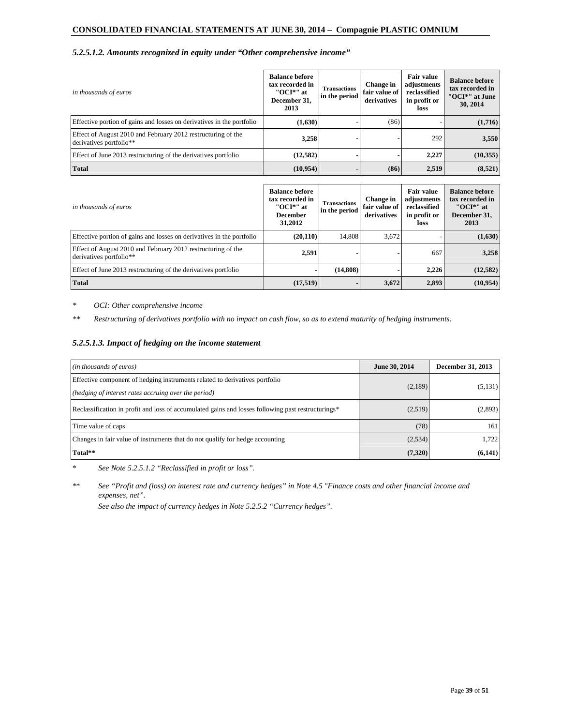### *5.2.5.1.2. Amounts recognized in equity under "Other comprehensive income"*

| in thousands of euros                                                                   | <b>Balance before</b><br>tax recorded in<br>"OCI*" at<br>December 31,<br>2013 | <b>Transactions</b><br>in the period | Change in<br>fair value of<br>derivatives | <b>Fair value</b><br>adjustments<br>reclassified<br>in profit or<br>loss | <b>Balance before</b><br>tax recorded in<br>"OCI*" at June<br>30, 2014 |
|-----------------------------------------------------------------------------------------|-------------------------------------------------------------------------------|--------------------------------------|-------------------------------------------|--------------------------------------------------------------------------|------------------------------------------------------------------------|
| Effective portion of gains and losses on derivatives in the portfolio                   | (1,630)                                                                       |                                      | (86)                                      |                                                                          | (1,716)                                                                |
| Effect of August 2010 and February 2012 restructuring of the<br>derivatives portfolio** | 3,258                                                                         |                                      |                                           | 292                                                                      | 3,550                                                                  |
| Effect of June 2013 restructuring of the derivatives portfolio                          | (12,582)                                                                      |                                      |                                           | 2.227                                                                    | (10,355)                                                               |
| <b>Total</b>                                                                            | (10, 954)                                                                     |                                      | (86)                                      | 2,519                                                                    | (8,521)                                                                |

| in thousands of euros                                                                   | <b>Balance before</b><br>tax recorded in<br>"OCI*" at<br><b>December</b><br>31,2012 | <b>Transactions</b><br>in the period | Change in<br>fair value of<br>derivatives | Fair value<br>adjustments<br>reclassified<br>in profit or<br>loss | <b>Balance before</b><br>tax recorded in<br>"OCI*" at<br>December 31,<br>2013 |
|-----------------------------------------------------------------------------------------|-------------------------------------------------------------------------------------|--------------------------------------|-------------------------------------------|-------------------------------------------------------------------|-------------------------------------------------------------------------------|
| Effective portion of gains and losses on derivatives in the portfolio                   | (20, 110)                                                                           | 14.808                               | 3.672                                     |                                                                   | (1,630)                                                                       |
| Effect of August 2010 and February 2012 restructuring of the<br>derivatives portfolio** | 2,591                                                                               |                                      |                                           | 667                                                               | 3,258                                                                         |
| Effect of June 2013 restructuring of the derivatives portfolio                          |                                                                                     | (14, 808)                            |                                           | 2.226                                                             | (12,582)                                                                      |
| <b>Total</b>                                                                            | (17,519)                                                                            |                                      | 3,672                                     | 2,893                                                             | (10,954)                                                                      |

*\* OCI: Other comprehensive income* 

*\*\* Restructuring of derivatives portfolio with no impact on cash flow, so as to extend maturity of hedging instruments.*

# *5.2.5.1.3. Impact of hedging on the income statement*

| (in thousands of euros)                                                                                                             | June 30, 2014 | December 31, 2013 |
|-------------------------------------------------------------------------------------------------------------------------------------|---------------|-------------------|
| Effective component of hedging instruments related to derivatives portfolio<br>(hedging of interest rates accruing over the period) | (2,189)       | (5, 131)          |
| Reclassification in profit and loss of accumulated gains and losses following past restructurings*                                  | (2,519)       | (2,893)           |
| Time value of caps                                                                                                                  | (78)          | 161               |
| Changes in fair value of instruments that do not qualify for hedge accounting                                                       | (2,534)       | 1,722             |
| Total**                                                                                                                             | (7,320)       | (6,141)           |

\* *See Note 5.2.5.1.2 "Reclassified in profit or loss".* 

\*\* *See "Profit and (loss) on interest rate and currency hedges" in Note 4.5 "Finance costs and other financial income and expenses, net".* 

*See also the impact of currency hedges in Note 5.2.5.2 "Currency hedges".*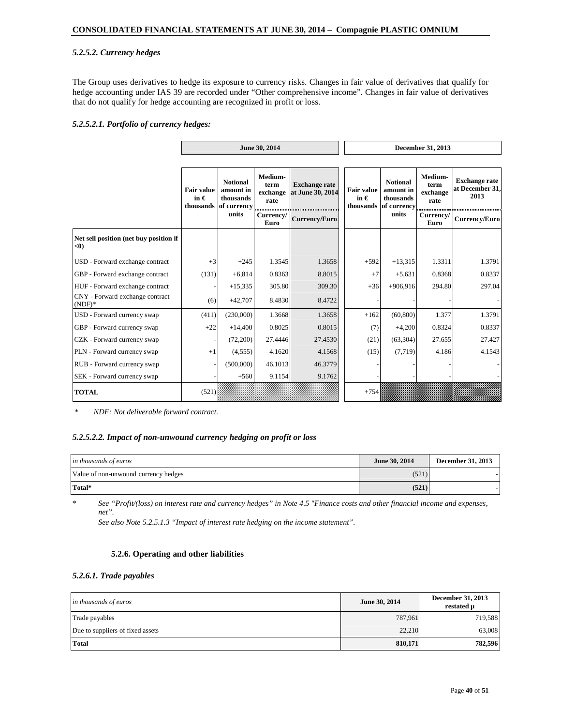# *5.2.5.2. Currency hedges*

The Group uses derivatives to hedge its exposure to currency risks. Changes in fair value of derivatives that qualify for hedge accounting under IAS 39 are recorded under "Other comprehensive income". Changes in fair value of derivatives that do not qualify for hedge accounting are recognized in profit or loss.

### *5.2.5.2.1. Portfolio of currency hedges:*

|                                               | June 30, 2014                      |                                                                    |                                         | December 31, 2013                            |  |                                                 |                                                          |                                     |                                                 |                   |
|-----------------------------------------------|------------------------------------|--------------------------------------------------------------------|-----------------------------------------|----------------------------------------------|--|-------------------------------------------------|----------------------------------------------------------|-------------------------------------|-------------------------------------------------|-------------------|
|                                               |                                    |                                                                    |                                         |                                              |  |                                                 |                                                          |                                     |                                                 |                   |
|                                               | <b>Fair value</b><br>in $\epsilon$ | <b>Notional</b><br>amount in<br>thousands<br>thousands of currency | Medium-<br>term<br>exchange<br>rate<br> | <b>Exchange rate</b><br>at June 30, 2014<br> |  | <b>Fair value</b><br>in $\epsilon$<br>thousands | <b>Notional</b><br>amount in<br>thousands<br>of currency | Medium-<br>term<br>exchange<br>rate | <b>Exchange rate</b><br>at December 31,<br>2013 |                   |
|                                               |                                    | units                                                              | Currency/<br>Euro                       | Currency/Euro                                |  |                                                 | units                                                    |                                     |                                                 | Currency/<br>Euro |
| Net sell position (net buy position if<br>< 0 |                                    |                                                                    |                                         |                                              |  |                                                 |                                                          |                                     |                                                 |                   |
| USD - Forward exchange contract               | $+3$                               | $+245$                                                             | 1.3545                                  | 1.3658                                       |  | $+592$                                          | $+13,315$                                                | 1.3311                              | 1.3791                                          |                   |
| GBP - Forward exchange contract               | (131)                              | $+6,814$                                                           | 0.8363                                  | 8.8015                                       |  | $+7$                                            | $+5,631$                                                 | 0.8368                              | 0.8337                                          |                   |
| HUF - Forward exchange contract               |                                    | $+15,335$                                                          | 305.80                                  | 309.30                                       |  | $+36$                                           | $+906,916$                                               | 294.80                              | 297.04                                          |                   |
| CNY - Forward exchange contract<br>$(NDF)*$   | (6)                                | $+42,707$                                                          | 8.4830                                  | 8.4722                                       |  |                                                 |                                                          |                                     |                                                 |                   |
| USD - Forward currency swap                   | (411)                              | (230,000)                                                          | 1.3668                                  | 1.3658                                       |  | $+162$                                          | (60, 800)                                                | 1.377                               | 1.3791                                          |                   |
| GBP - Forward currency swap                   | $+22$                              | $+14,400$                                                          | 0.8025                                  | 0.8015                                       |  | (7)                                             | $+4,200$                                                 | 0.8324                              | 0.8337                                          |                   |
| CZK - Forward currency swap                   |                                    | (72,200)                                                           | 27.4446                                 | 27.4530                                      |  | (21)                                            | (63, 304)                                                | 27.655                              | 27.427                                          |                   |
| PLN - Forward currency swap                   | $+1$                               | (4,555)                                                            | 4.1620                                  | 4.1568                                       |  | (15)                                            | (7, 719)                                                 | 4.186                               | 4.1543                                          |                   |
| RUB - Forward currency swap                   |                                    | (500,000)                                                          | 46.1013                                 | 46.3779                                      |  |                                                 |                                                          |                                     |                                                 |                   |
| SEK - Forward currency swap                   |                                    | $+560$                                                             | 9.1154                                  | 9.1762                                       |  |                                                 |                                                          |                                     |                                                 |                   |
| <b>TOTAL</b>                                  | (521)                              |                                                                    |                                         |                                              |  | $+754$                                          |                                                          |                                     |                                                 |                   |

*\* NDF: Not deliverable forward contract.*

# *5.2.5.2.2. Impact of non-unwound currency hedging on profit or loss*

| in thousands of euros                | June 30, 2014 | December 31, 2013 |
|--------------------------------------|---------------|-------------------|
| Value of non-unwound currency hedges | (521)         |                   |
| Total*                               | (521)         |                   |

\* *See "Profit/(loss) on interest rate and currency hedges" in Note 4.5 "Finance costs and other financial income and expenses, net".* 

*See also Note 5.2.5.1.3 "Impact of interest rate hedging on the income statement".* 

#### **5.2.6. Operating and other liabilities**

#### *5.2.6.1. Trade payables*

| in thousands of euros            | June 30, 2014 | December 31, 2013<br>restated µ |
|----------------------------------|---------------|---------------------------------|
| Trade payables                   | 787,961       | 719,588                         |
| Due to suppliers of fixed assets | 22,210        | 63,008                          |
| <b>Total</b>                     | 810,171       | 782,596                         |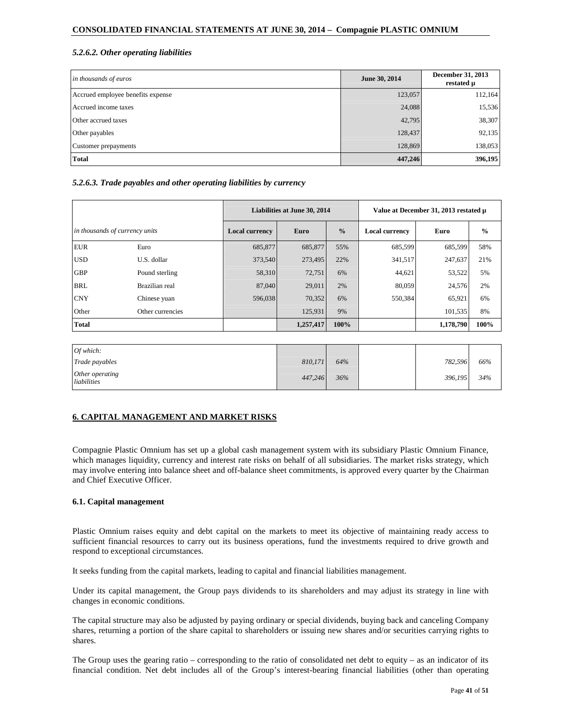# *5.2.6.2. Other operating liabilities*

| in thousands of euros             | June 30, 2014 | December 31, 2013<br>restated µ |
|-----------------------------------|---------------|---------------------------------|
| Accrued employee benefits expense | 123,057       | 112,164                         |
| Accrued income taxes              | 24,088        | 15,536                          |
| Other accrued taxes               | 42,795        | 38,307                          |
| Other payables                    | 128,437       | 92,135                          |
| Customer prepayments              | 128,869       | 138,053                         |
| <b>Total</b>                      | 447,246       | 396,195                         |

# *5.2.6.3. Trade payables and other operating liabilities by currency*

|                                |                  | Liabilities at June 30, 2014 |           |               | Value at December 31, 2013 restated µ |           |               |  |
|--------------------------------|------------------|------------------------------|-----------|---------------|---------------------------------------|-----------|---------------|--|
| in thousands of currency units |                  | <b>Local currency</b>        | Euro      | $\frac{0}{0}$ | <b>Local currency</b>                 | Euro      | $\frac{0}{0}$ |  |
| <b>EUR</b>                     | Euro             | 685,877                      | 685,877   | 55%           | 685,599                               | 685,599   | 58%           |  |
| <b>USD</b>                     | U.S. dollar      | 373,540                      | 273,495   | 22%           | 341,517                               | 247,637   | 21%           |  |
| <b>GBP</b>                     | Pound sterling   | 58,310                       | 72,751    | 6%            | 44,621                                | 53,522    | 5%            |  |
| <b>BRL</b>                     | Brazilian real   | 87,040                       | 29,011    | 2%            | 80,059                                | 24,576    | 2%            |  |
| <b>CNY</b>                     | Chinese yuan     | 596,038                      | 70,352    | 6%            | 550,384                               | 65,921    | 6%            |  |
| Other                          | Other currencies |                              | 125,931   | 9%            |                                       | 101,535   | 8%            |  |
| <b>Total</b>                   |                  |                              | 1,257,417 | 100%          |                                       | 1,178,790 | 100%          |  |

| Of which:                      |         |     |         |     |
|--------------------------------|---------|-----|---------|-----|
| Trade payables                 | 810,171 | 64% | 782,596 | 66% |
| Other operating<br>liabilities | 447,246 | 36% | 396,195 | 34% |

# **6. CAPITAL MANAGEMENT AND MARKET RISKS**

Compagnie Plastic Omnium has set up a global cash management system with its subsidiary Plastic Omnium Finance, which manages liquidity, currency and interest rate risks on behalf of all subsidiaries. The market risks strategy, which may involve entering into balance sheet and off-balance sheet commitments, is approved every quarter by the Chairman and Chief Executive Officer.

# **6.1. Capital management**

Plastic Omnium raises equity and debt capital on the markets to meet its objective of maintaining ready access to sufficient financial resources to carry out its business operations, fund the investments required to drive growth and respond to exceptional circumstances.

It seeks funding from the capital markets, leading to capital and financial liabilities management.

Under its capital management, the Group pays dividends to its shareholders and may adjust its strategy in line with changes in economic conditions.

The capital structure may also be adjusted by paying ordinary or special dividends, buying back and canceling Company shares, returning a portion of the share capital to shareholders or issuing new shares and/or securities carrying rights to shares.

The Group uses the gearing ratio – corresponding to the ratio of consolidated net debt to equity – as an indicator of its financial condition. Net debt includes all of the Group's interest-bearing financial liabilities (other than operating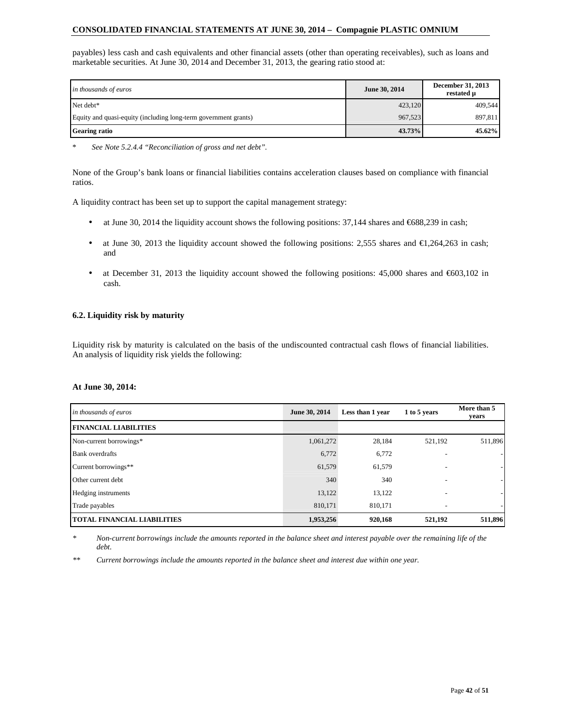payables) less cash and cash equivalents and other financial assets (other than operating receivables), such as loans and marketable securities. At June 30, 2014 and December 31, 2013, the gearing ratio stood at:

| in thousands of euros                                           | June 30, 2014 | December 31, 2013<br>restated u |
|-----------------------------------------------------------------|---------------|---------------------------------|
| Net debt*                                                       | 423,120       | 409.544                         |
| Equity and quasi-equity (including long-term government grants) | 967.523       | 897,811                         |
| <b>Gearing ratio</b>                                            | 43.73%        | 45.62%                          |

\* *See Note 5.2.4.4 "Reconciliation of gross and net debt".* 

None of the Group's bank loans or financial liabilities contains acceleration clauses based on compliance with financial ratios.

A liquidity contract has been set up to support the capital management strategy:

- at June 30, 2014 the liquidity account shows the following positions: 37,144 shares and  $\epsilon$ 688,239 in cash;
- at June 30, 2013 the liquidity account showed the following positions: 2,555 shares and  $\epsilon$ 1,264,263 in cash; and
- at December 31, 2013 the liquidity account showed the following positions: 45,000 shares and  $\epsilon$ 603,102 in cash.

### **6.2. Liquidity risk by maturity**

Liquidity risk by maturity is calculated on the basis of the undiscounted contractual cash flows of financial liabilities. An analysis of liquidity risk yields the following:

#### **At June 30, 2014:**

| in thousands of euros              | June 30, 2014 | Less than 1 year | 1 to 5 years             | More than 5<br>years |
|------------------------------------|---------------|------------------|--------------------------|----------------------|
| <b>FINANCIAL LIABILITIES</b>       |               |                  |                          |                      |
| Non-current borrowings*            | 1,061,272     | 28,184           | 521,192                  | 511,896              |
| <b>Bank</b> overdrafts             | 6,772         | 6,772            |                          |                      |
| Current borrowings**               | 61,579        | 61,579           |                          |                      |
| Other current debt                 | 340           | 340              | ٠                        |                      |
| Hedging instruments                | 13.122        | 13,122           | $\overline{\phantom{0}}$ |                      |
| Trade payables                     | 810.171       | 810.171          | $\overline{\phantom{a}}$ |                      |
| <b>TOTAL FINANCIAL LIABILITIES</b> | 1,953,256     | 920,168          | 521,192                  | 511,896              |

*\* Non-current borrowings include the amounts reported in the balance sheet and interest payable over the remaining life of the debt.* 

*\*\* Current borrowings include the amounts reported in the balance sheet and interest due within one year.*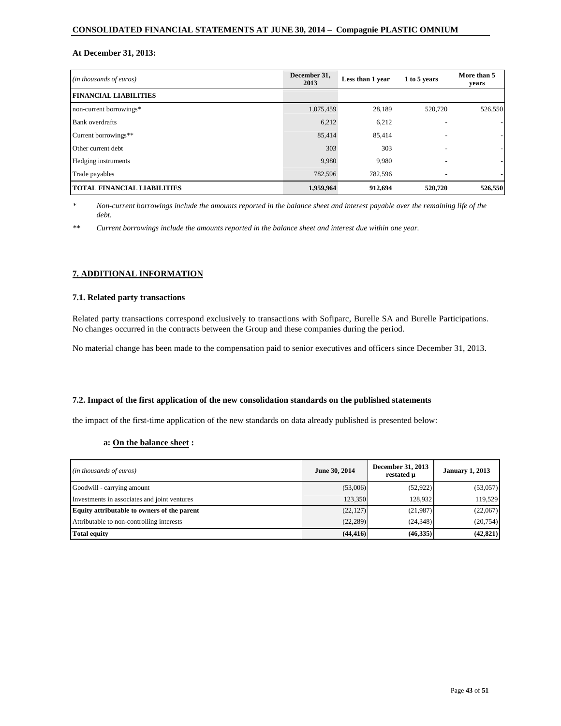# **At December 31, 2013:**

| (in thousands of euros)            | December 31,<br>2013 | Less than 1 year | 1 to 5 years             | More than 5<br>years |
|------------------------------------|----------------------|------------------|--------------------------|----------------------|
| <b>FINANCIAL LIABILITIES</b>       |                      |                  |                          |                      |
| non-current borrowings*            | 1,075,459            | 28,189           | 520,720                  | 526,550              |
| <b>Bank</b> overdrafts             | 6,212                | 6,212            |                          |                      |
| Current borrowings**               | 85,414               | 85,414           |                          |                      |
| Other current debt                 | 303                  | 303              | $\overline{\phantom{0}}$ |                      |
| Hedging instruments                | 9,980                | 9,980            | ۰                        |                      |
| Trade payables                     | 782,596              | 782.596          |                          |                      |
| <b>TOTAL FINANCIAL LIABILITIES</b> | 1,959,964            | 912,694          | 520,720                  | 526,550              |

*\* Non-current borrowings include the amounts reported in the balance sheet and interest payable over the remaining life of the debt.* 

*\*\* Current borrowings include the amounts reported in the balance sheet and interest due within one year.* 

# **7. ADDITIONAL INFORMATION**

### **7.1. Related party transactions**

Related party transactions correspond exclusively to transactions with Sofiparc, Burelle SA and Burelle Participations. No changes occurred in the contracts between the Group and these companies during the period.

No material change has been made to the compensation paid to senior executives and officers since December 31, 2013.

#### **7.2. Impact of the first application of the new consolidation standards on the published statements**

the impact of the first-time application of the new standards on data already published is presented below:

# **a: On the balance sheet :**

| (in thousands of euros)                      | June 30, 2014 | December 31, 2013<br>restated µ | <b>January 1, 2013</b> |
|----------------------------------------------|---------------|---------------------------------|------------------------|
| Goodwill - carrying amount                   | (53,006)      | (52, 922)                       | (53,057)               |
| Investments in associates and joint ventures | 123,350       | 128.932                         | 119.529                |
| Equity attributable to owners of the parent  | (22, 127)     | (21,987)                        | (22,067)               |
| Attributable to non-controlling interests    | (22, 289)     | (24,348)                        | (20,754)               |
| <b>Total equity</b>                          | (44, 416)     | (46,335)                        | (42, 821)              |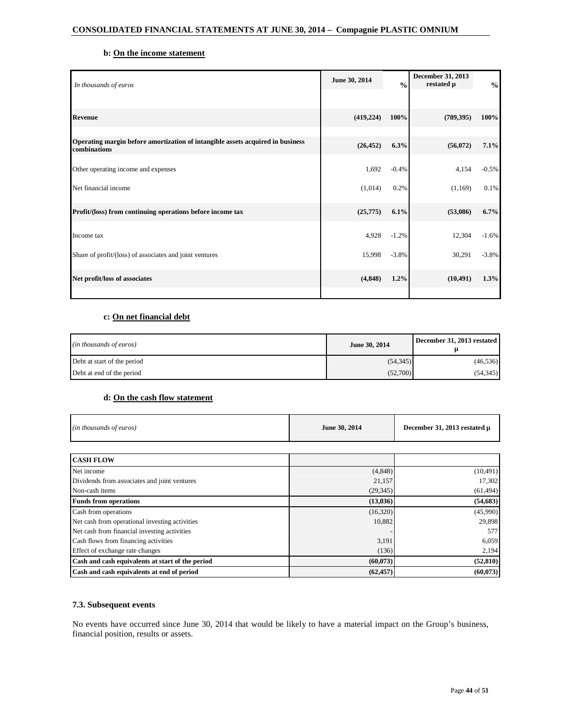# **b: On the income statement**

| In thousands of euros                                                                          | June 30, 2014 | $\frac{0}{0}$ | December 31, 2013<br>restated µ | $\frac{0}{0}$ |
|------------------------------------------------------------------------------------------------|---------------|---------------|---------------------------------|---------------|
|                                                                                                |               |               |                                 |               |
| <b>Revenue</b>                                                                                 | (419, 224)    | 100%          | (789, 395)                      | 100%          |
|                                                                                                |               |               |                                 |               |
| Operating margin before amortization of intangible assets acquired in business<br>combinations | (26, 452)     | 6.3%          | (56,072)                        | 7.1%          |
| Other operating income and expenses                                                            | 1,692         | $-0.4%$       | 4,154                           | $-0.5%$       |
| Net financial income                                                                           | (1,014)       | 0.2%          | (1,169)                         | 0.1%          |
| Profit/(loss) from continuing operations before income tax                                     | (25,775)      | 6.1%          | (53,086)                        | 6.7%          |
| Income tax                                                                                     | 4,928         | $-1.2%$       | 12,304                          | $-1.6%$       |
| Share of profit/(loss) of associates and joint ventures                                        | 15,998        | $-3.8%$       | 30,291                          | $-3.8%$       |
| Net profit/loss of associates                                                                  | (4, 848)      | 1.2%          | (10, 491)                       | 1.3%          |
|                                                                                                |               |               |                                 |               |

# **c: On net financial debt**

| (in thousands of euros)     | June 30, 2014 | December 31, 2013 restated |
|-----------------------------|---------------|----------------------------|
| Debt at start of the period | (54, 345)     | (46, 536)                  |
| Debt at end of the period   | (52,700)      | (54,345)                   |

# **d: On the cash flow statement**

| (in thousands of euros)                          | June 30, 2014 | December 31, 2013 restated µ |
|--------------------------------------------------|---------------|------------------------------|
| <b>CASH FLOW</b>                                 |               |                              |
|                                                  |               |                              |
| Net income                                       | (4, 848)      | (10, 491)                    |
| Dividends from associates and joint ventures     | 21,157        | 17,302                       |
| Non-cash items                                   | (29, 345)     | (61, 494)                    |
| <b>Funds from operations</b>                     | (13,036)      | (54, 683)                    |
| Cash from operations                             | (16,320)      | (45,990)                     |
| Net cash from operational investing activities   | 10,882        | 29,898                       |
| Net cash from financial investing activities     |               | 577                          |
| Cash flows from financing activities             | 3,191         | 6,059                        |
| Effect of exchange rate changes                  | (136)         | 2,194                        |
| Cash and cash equivalents at start of the period | (60,073)      | (52, 810)                    |
| Cash and cash equivalents at end of period       | (62, 457)     | (60, 073)                    |

# **7.3. Subsequent events**

No events have occurred since June 30, 2014 that would be likely to have a material impact on the Group's business, financial position, results or assets.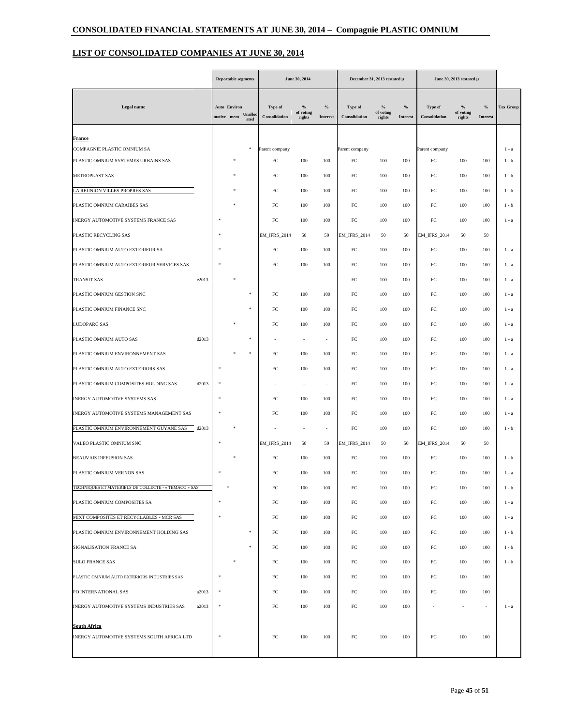# **LIST OF CONSOLIDATED COMPANIES AT JUNE 30, 2014**

|                                                      |  |                                    | <b>Reportable segments</b> |                          | June 30, 2014               |                          |                          |                                      | December 31, 2013 restated µ<br>June 30, 2013 restated µ |                                 |                                    |                          |           |
|------------------------------------------------------|--|------------------------------------|----------------------------|--------------------------|-----------------------------|--------------------------|--------------------------|--------------------------------------|----------------------------------------------------------|---------------------------------|------------------------------------|--------------------------|-----------|
| Legal name                                           |  | <b>Auto Environ</b><br>motive ment | Unalloo<br>ated            | Type of<br>Consolidation | $\%$<br>of voting<br>rights | $\%$<br>Interest         | Type of<br>Consolidation | $\frac{9}{9}$<br>of voting<br>rights | $\%$<br>Interest                                         | <b>Type of</b><br>Consolidation | $^{0}/_{0}$<br>of voting<br>rights | $\%$<br>Interest         | Tax Group |
| <b>France</b>                                        |  |                                    |                            |                          |                             |                          |                          |                                      |                                                          |                                 |                                    |                          |           |
| COMPAGNIE PLASTIC OMNIUM SA                          |  |                                    | \$                         | Parent company           |                             |                          | Parent company           |                                      |                                                          | Parent company                  |                                    |                          | $1 - a$   |
| PLASTIC OMNIUM SYSTEMES URBAINS SAS                  |  |                                    |                            | FC                       | 100                         | 100                      | FC                       | 100                                  | 100                                                      | FC                              | 100                                | 100                      | $1 - b$   |
| METROPLAST SAS                                       |  |                                    |                            | FC                       | 100                         | 100                      | ${\rm FC}$               | 100                                  | 100                                                      | $_{\rm FC}$                     | 100                                | 100                      | $1 - b$   |
| LA REUNION VILLES PROPRES SAS                        |  |                                    |                            | $_{\rm FC}$              | 100                         | 100                      | ${\rm FC}$               | 100                                  | 100                                                      | $_{\rm FC}$                     | 100                                | 100                      | $1 - b$   |
| PLASTIC OMNIUM CARAIBES SAS                          |  |                                    |                            | FC                       | 100                         | 100                      | ${\rm FC}$               | 100                                  | 100                                                      | $_{\rm FC}$                     | 100                                | 100                      | $1 - b$   |
| INERGY AUTOMOTIVE SYSTEMS FRANCE SAS                 |  |                                    |                            | FC                       | 100                         | 100                      | FC                       | 100                                  | 100                                                      | FC                              | 100                                | 100                      | $1 - a$   |
| PLASTIC RECYCLING SAS                                |  |                                    |                            | EM_IFRS_2014             | 50                          | 50                       | <b>EM_IFRS_2014</b>      | 50                                   | 50                                                       | <b>EM_IFRS_2014</b>             | 50                                 | 50                       |           |
| PLASTIC OMNIUM AUTO EXTERIEUR SA                     |  |                                    |                            | $_{\rm FC}$              | 100                         | 100                      | ${\rm FC}$               | 100                                  | 100                                                      | $_{\rm FC}$                     | 100                                | 100                      | 1 - a     |
| PLASTIC OMNIUM AUTO EXTERIEUR SERVICES SAS           |  |                                    |                            | FC                       | 100                         | 100                      | ${\rm FC}$               | 100                                  | 100                                                      | $_{\rm FC}$                     | 100                                | 100                      | 1 - a     |
| <b>TRANSIT SAS</b><br>e2013                          |  |                                    |                            |                          | ٠                           | $\sim$                   | ${\rm FC}$               | 100                                  | 100                                                      | $_{\rm FC}$                     | 100                                | 100                      | 1 - a     |
| PLASTIC OMNIUM GESTION SNC                           |  |                                    | $\ast$                     | FC                       | 100                         | 100                      | FC                       | 100                                  | 100                                                      | FC                              | 100                                | 100                      | 1 - a     |
| PLASTIC OMNIUM FINANCE SNC                           |  |                                    | \$                         | FC                       | 100                         | 100                      | FC                       | 100                                  | 100                                                      | FC                              | 100                                | 100                      | $1 - a$   |
| LUDOPARC SAS                                         |  |                                    |                            | FC                       | 100                         | 100                      | ${\rm FC}$               | 100                                  | 100                                                      | $_{\rm FC}$                     | 100                                | 100                      | 1 - a     |
| PLASTIC OMNIUM AUTO SAS<br>d2013                     |  |                                    | \$                         |                          | ٠                           | ٠                        | ${\rm FC}$               | 100                                  | 100                                                      | $_{\rm FC}$                     | 100                                | 100                      | 1 - a     |
| PLASTIC OMNIUM ENVIRONNEMENT SAS                     |  |                                    | \$                         | FC                       | 100                         | 100                      | ${\rm FC}$               | 100                                  | 100                                                      | $_{\rm FC}$                     | 100                                | 100                      | 1 - a     |
| PLASTIC OMNIUM AUTO EXTERIORS SAS                    |  |                                    |                            | FC                       | 100                         | 100                      | ${\rm FC}$               | 100                                  | 100                                                      | $_{\rm FC}$                     | 100                                | 100                      | $1 - a$   |
| d2013<br>PLASTIC OMNIUM COMPOSITES HOLDING SAS       |  |                                    |                            |                          |                             | ٠                        | FC                       | 100                                  | 100                                                      | FC                              | 100                                | 100                      | 1 - a     |
| INERGY AUTOMOTIVE SYSTEMS SAS                        |  |                                    |                            | FC                       | 100                         | 100                      | ${\rm FC}$               | 100                                  | 100                                                      | $_{\rm FC}$                     | 100                                | 100                      | 1 - a     |
|                                                      |  |                                    |                            | FC                       |                             | 100                      | ${\rm FC}$               | 100                                  |                                                          | $_{\rm FC}$                     | 100                                |                          |           |
| INERGY AUTOMOTIVE SYSTEMS MANAGEMENT SAS             |  |                                    |                            |                          | 100                         |                          |                          |                                      | 100                                                      |                                 |                                    | 100                      | 1 - a     |
| PLASTIC OMNIUM ENVIRONNEMENT GUYANE SAS<br>d2013     |  |                                    |                            |                          |                             | $\overline{\phantom{a}}$ | ${\rm FC}$               | 100                                  | 100                                                      | $_{\rm FC}$                     | 100                                | 100                      | $1 - b$   |
| VALEO PLASTIC OMNIUM SNC                             |  |                                    |                            | EM_IFRS_2014             | 50                          | 50                       | EM_IFRS_2014             | 50                                   | 50                                                       | EM_IFRS_2014                    | 50                                 | 50                       |           |
| <b>BEAUVAIS DIFFUSION SAS</b>                        |  |                                    |                            | FC                       | 100                         | 100                      | FC                       | 100                                  | 100                                                      | $_{\rm FC}$                     | 100                                | 100                      | $1 - b$   |
| PLASTIC OMNIUM VERNON SAS                            |  |                                    |                            | FC                       | 100                         | 100                      | ${\rm FC}$               | 100                                  | 100                                                      | $_{\rm FC}$                     | 100                                | 100                      | $1 - a$   |
| TECHNIQUES ET MATERIELS DE COLLECTE - « TEMACO » SAS |  |                                    |                            | FC                       | 100                         | 100                      | $_{\rm FC}$              | 100                                  | 100                                                      | $_{\rm FC}$                     | 100                                | 100                      | $1 - b$   |
| PLASTIC OMNIUM COMPOSITES SA                         |  |                                    |                            | FC                       | 100                         | 100                      | $_{\rm FC}$              | 100                                  | 100                                                      | ${\rm FC}$                      | 100                                | 100                      | $1 - a$   |
| MIXT COMPOSITES ET RECYCLABLES - MCR SAS             |  | 字                                  |                            | FC                       | 100                         | 100                      | $_{\rm FC}$              | 100                                  | 100                                                      | ${\rm FC}$                      | 100                                | 100                      | $1 - a$   |
| PLASTIC OMNIUM ENVIRONNEMENT HOLDING SAS             |  |                                    | $\ast$                     | FC                       | 100                         | 100                      | $_{\rm FC}$              | 100                                  | 100                                                      | ${\rm FC}$                      | 100                                | 100                      | $1 - b$   |
| SIGNALISATION FRANCE SA                              |  |                                    | $\ast$                     | FC                       | 100                         | 100                      | FC                       | 100                                  | 100                                                      | ${\rm FC}$                      | 100                                | 100                      | $1 - b$   |
| <b>SULO FRANCE SAS</b>                               |  |                                    |                            | FC                       | 100                         | 100                      | $_{\rm FC}$              | 100                                  | 100                                                      | ${\rm FC}$                      | 100                                | 100                      | $1 - b$   |
| PLASTIC OMNIUM AUTO EXTERIORS INDUSTRIES SAS         |  |                                    |                            | FC                       | 100                         | 100                      | $_{\rm FC}$              | 100                                  | 100                                                      | ${\rm FC}$                      | 100                                | 100                      |           |
| PO INTERNATIONAL SAS<br>a2013                        |  |                                    |                            | FC                       | 100                         | 100                      | $_{\rm FC}$              | 100                                  | 100                                                      | ${\rm FC}$                      | 100                                | 100                      |           |
| INERGY AUTOMOTIVE SYSTEMS INDUSTRIES SAS<br>a2013    |  |                                    |                            | FC                       | 100                         | 100                      | $_{\rm FC}$              | 100                                  | 100                                                      |                                 | $\sim$                             | $\overline{\phantom{a}}$ | $1 - a$   |
| South Africa                                         |  |                                    |                            |                          |                             |                          |                          |                                      |                                                          |                                 |                                    |                          |           |
| INERGY AUTOMOTIVE SYSTEMS SOUTH AFRICA LTD           |  |                                    |                            | FC                       | 100                         | 100                      | $_{\rm FC}$              | 100                                  | 100                                                      | $_{\rm FC}$                     | 100                                | 100                      |           |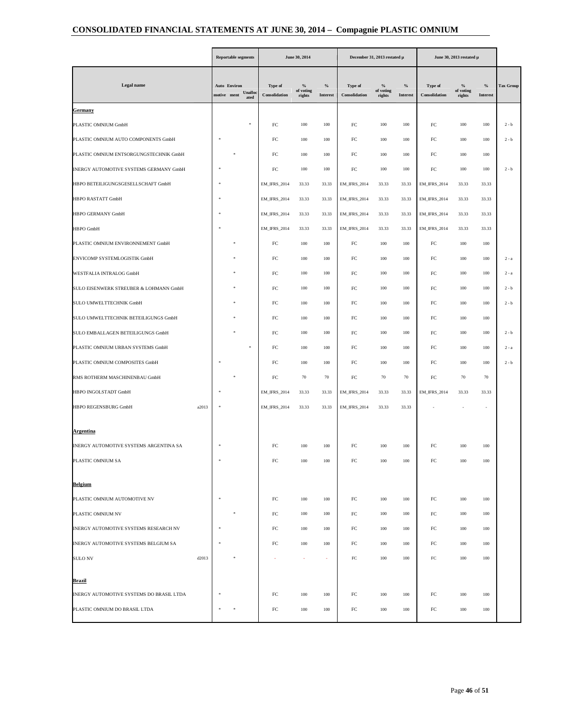|                                          |       |             | <b>Reportable segments</b> |                 |                          | June 30, 2014               |                         | December 31, 2013 restated µ |                                      |                         | June 30, 2013 restated μ |                             |                          |                  |
|------------------------------------------|-------|-------------|----------------------------|-----------------|--------------------------|-----------------------------|-------------------------|------------------------------|--------------------------------------|-------------------------|--------------------------|-----------------------------|--------------------------|------------------|
| Legal name                               |       | motive ment | Auto Environ               | Unalloo<br>ated | Type of<br>Consolidation | $\%$<br>of voting<br>rights | $\%$<br><b>Interest</b> | Type of<br>Consolidation     | $\frac{9}{6}$<br>of voting<br>rights | $\%$<br><b>Interest</b> | Type of<br>Consolidation | $\%$<br>of voting<br>rights | $\%$<br><b>Interest</b>  | <b>Tax Group</b> |
| Germany                                  |       |             |                            |                 |                          |                             |                         |                              |                                      |                         |                          |                             |                          |                  |
| PLASTIC OMNIUM GmbH                      |       |             |                            |                 | FC                       | 100                         | 100                     | $_{\rm FC}$                  | 100                                  | 100                     | FC                       | 100                         | 100                      | $2 - b$          |
| PLASTIC OMNIUM AUTO COMPONENTS GmbH      |       |             |                            |                 | ${\rm FC}$               | 100                         | 100                     | $_{\rm FC}$                  | 100                                  | 100                     | $_{\rm FC}$              | 100                         | 100                      | $2 - b$          |
| PLASTIC OMNIUM ENTSORGUNGSTECHNIK GmbH   |       |             |                            |                 | $_{\rm FC}$              | 100                         | 100                     | $_{\rm FC}$                  | 100                                  | 100                     | $_{\rm FC}$              | 100                         | 100                      |                  |
| INERGY AUTOMOTIVE SYSTEMS GERMANY GmbH   |       |             |                            |                 | $_{\rm FC}$              | 100                         | 100                     | ${\rm FC}$                   | 100                                  | 100                     | $_{\rm FC}$              | 100                         | 100                      | $2 - b$          |
| HBPO BETEILIGUNGSGESELLSCHAFT GmbH       |       |             |                            |                 | <b>EM_IFRS_2014</b>      | 33.33                       | 33.33                   | <b>EM_IFRS_2014</b>          | 33.33                                | 33.33                   | <b>EM_IFRS_2014</b>      | 33.33                       | 33.33                    |                  |
| HBPO RASTATT GmbH                        |       |             |                            |                 | EM_IFRS_2014             | 33.33                       | 33.33                   | <b>EM_IFRS_2014</b>          | 33.33                                | 33.33                   | <b>EM_IFRS_2014</b>      | 33.33                       | 33.33                    |                  |
| <b>HBPO GERMANY GmbH</b>                 |       |             |                            |                 | <b>EM_IFRS_2014</b>      | 33.33                       | 33.33                   | <b>EM_IFRS_2014</b>          | 33.33                                | 33.33                   | <b>EM_IFRS_2014</b>      | 33.33                       | 33.33                    |                  |
| HBPO GmbH                                |       |             |                            |                 | EM_IFRS_2014             | 33.33                       | 33.33                   | <b>EM_IFRS_2014</b>          | 33.33                                | 33.33                   | <b>EM_IFRS_2014</b>      | 33.33                       | 33.33                    |                  |
| PLASTIC OMNIUM ENVIRONNEMENT GmbH        |       |             |                            |                 | ${\rm FC}$               | 100                         | 100                     | $_{\rm FC}$                  | 100                                  | 100                     | $_{\rm FC}$              | 100                         | 100                      |                  |
| ENVICOMP SYSTEMLOGISTIK GmbH             |       |             |                            |                 | $_{\rm FC}$              | 100                         | 100                     | ${\rm FC}$                   | 100                                  | 100                     | $_{\rm FC}$              | 100                         | 100                      | $2 - a$          |
| WESTFALIA INTRALOG GmbH                  |       |             |                            |                 | ${\rm FC}$               | 100                         | 100                     | $_{\rm FC}$                  | 100                                  | 100                     | $_{\rm FC}$              | 100                         | 100                      | $2 - a$          |
| SULO EISENWERK STREUBER & LOHMANN GmbH   |       |             |                            |                 | FC                       | 100                         | 100                     | $_{\rm FC}$                  | 100                                  | 100                     | FC                       | 100                         | 100                      | $2 - b$          |
| <b>SULO UMWELTTECHNIK GmbH</b>           |       |             |                            |                 | ${\rm FC}$               | 100                         | 100                     | $_{\rm FC}$                  | 100                                  | 100                     | $_{\rm FC}$              | 100                         | 100                      | $2 - b$          |
| SULO UMWELTTECHNIK BETEILIGUNGS GmbH     |       |             |                            |                 | ${\rm FC}$               | 100                         | 100                     | ${\rm FC}$                   | 100                                  | 100                     | $_{\rm FC}$              | 100                         | 100                      |                  |
| SULO EMBALLAGEN BETEILIGUNGS GmbH        |       |             |                            |                 | $_{\rm FC}$              | 100                         | 100                     | ${\rm FC}$                   | 100                                  | 100                     | $_{\rm FC}$              | 100                         | 100                      | $2 - b$          |
| PLASTIC OMNIUM URBAN SYSTEMS GmbH        |       |             |                            |                 | FC                       | 100                         | 100                     | $_{\rm FC}$                  | 100                                  | 100                     | $_{\rm FC}$              | 100                         | 100                      | $2 - a$          |
| PLASTIC OMNIUM COMPOSITES GmbH           |       |             |                            |                 | FC                       | 100                         | 100                     | ${\rm FC}$                   | 100                                  | 100                     | $_{\rm FC}$              | 100                         | 100                      | $2 - b$          |
| RMS ROTHERM MASCHINENBAU GmbH            |       |             |                            |                 | ${\rm FC}$               | 70                          | 70                      | ${\rm FC}$                   | 70                                   | 70                      | $_{\rm FC}$              | 70                          | 70                       |                  |
| HBPO INGOLSTADT GmbH                     |       |             |                            |                 | EM_IFRS_2014             | 33.33                       | 33.33                   | <b>EM_IFRS_2014</b>          | 33.33                                | 33.33                   | <b>EM_IFRS_2014</b>      | 33.33                       | 33.33                    |                  |
| HBPO REGENSBURG GmbH                     | a2013 |             |                            |                 | <b>EM_IFRS_2014</b>      | 33.33                       | 33.33                   | <b>EM IFRS 2014</b>          | 33.33                                | 33.33                   |                          |                             | $\overline{\phantom{a}}$ |                  |
| <u>Argentina</u>                         |       |             |                            |                 |                          |                             |                         |                              |                                      |                         |                          |                             |                          |                  |
| INERGY AUTOMOTIVE SYSTEMS ARGENTINA SA   |       |             |                            |                 | FC                       | 100                         | 100                     | $_{\rm FC}$                  | 100                                  | 100                     | $_{\rm FC}$              | 100                         | 100                      |                  |
| PLASTIC OMNIUM SA                        |       |             |                            |                 | FC                       | 100                         | 100                     | FC                           | 100                                  | 100                     | FC                       | 100                         | 100                      |                  |
| <b>Belgium</b>                           |       |             |                            |                 |                          |                             |                         |                              |                                      |                         |                          |                             |                          |                  |
| PLASTIC OMNIUM AUTOMOTIVE NV             |       |             |                            |                 | FC                       | 100                         | 100                     | ${\rm FC}$                   | 100                                  | 100                     | $_{\rm FC}$              | 100                         | 100                      |                  |
| PLASTIC OMNIUM NV                        |       |             |                            |                 | FC                       | 100                         | 100                     | $_{\rm FC}$                  | 100                                  | 100                     | FC                       | 100                         | 100                      |                  |
| INERGY AUTOMOTIVE SYSTEMS RESEARCH NV    |       |             |                            |                 | FC                       | 100                         | 100                     | ${\rm FC}$                   | 100                                  | 100                     | $_{\rm FC}$              | 100                         | 100                      |                  |
| INERGY AUTOMOTIVE SYSTEMS BELGIUM SA     |       |             |                            |                 | FC                       | 100                         | 100                     | FC                           | 100                                  | 100                     | $_{\rm FC}$              | 100                         | 100                      |                  |
| <b>SULO NV</b>                           | d2013 |             |                            |                 |                          |                             | ٠                       | FC                           | 100                                  | 100                     | FC                       | 100                         | 100                      |                  |
| Brazil                                   |       |             |                            |                 |                          |                             |                         |                              |                                      |                         |                          |                             |                          |                  |
| INERGY AUTOMOTIVE SYSTEMS DO BRASIL LTDA |       |             |                            |                 | FC                       | 100                         | 100                     | ${\rm FC}$                   | 100                                  | 100                     | ${\rm FC}$               | 100                         | 100                      |                  |
| PLASTIC OMNIUM DO BRASIL LTDA            |       |             |                            |                 | ${\rm FC}$               | 100                         | 100                     | FC                           | 100                                  | 100                     | $_{\rm FC}$              | 100                         | 100                      |                  |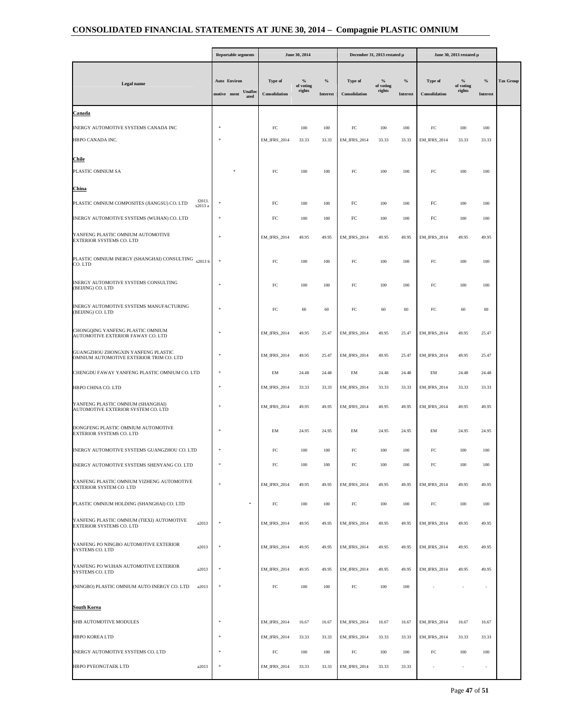|                                                                                |                                    | <b>Reportable segments</b> |                          | June 30, 2014               |                                  |                          | December 31, 2013 restated µ         |                         |                          | June 30, 2013 restated µ    |                          |                  |  |
|--------------------------------------------------------------------------------|------------------------------------|----------------------------|--------------------------|-----------------------------|----------------------------------|--------------------------|--------------------------------------|-------------------------|--------------------------|-----------------------------|--------------------------|------------------|--|
| <b>Legal</b> name                                                              | <b>Auto Environ</b><br>motive ment | Unalloo<br>ated            | Type of<br>Consolidation | $\%$<br>of voting<br>rights | $\frac{0}{2}$<br><b>Interest</b> | Type of<br>Consolidation | $\frac{6}{6}$<br>of voting<br>rights | $\%$<br><b>Interest</b> | Type of<br>Consolidation | $\%$<br>of voting<br>rights | $\%$<br>Interest         | <b>Tax Group</b> |  |
| <u>Canada</u>                                                                  |                                    |                            |                          |                             |                                  |                          |                                      |                         |                          |                             |                          |                  |  |
| INERGY AUTOMOTIVE SYSTEMS CANADA INC                                           |                                    |                            | FC                       | 100                         | 100                              | FC                       | 100                                  | 100                     | FC                       | 100                         | 100                      |                  |  |
| HBPO CANADA INC.                                                               |                                    |                            | <b>EM_IFRS_2014</b>      | 33.33                       | 33.33                            | <b>EM_IFRS_2014</b>      | 33.33                                | 33.33                   | <b>EM_IFRS_2014</b>      | 33.33                       | 33.33                    |                  |  |
| Chile                                                                          |                                    |                            |                          |                             |                                  |                          |                                      |                         |                          |                             |                          |                  |  |
| PLASTIC OMNIUM SA                                                              |                                    |                            | FC                       | 100                         | 100                              | FC                       | 100                                  | 100                     | FC                       | 100                         | 100                      |                  |  |
| China                                                                          |                                    |                            |                          |                             |                                  |                          |                                      |                         |                          |                             |                          |                  |  |
| f2013.<br>PLASTIC OMNIUM COMPOSITES (JIANGSU) CO. LTD<br>x2013 a               |                                    |                            | FC                       | 100                         | 100                              | $_{\rm FC}$              | 100                                  | 100                     | FC                       | 100                         | 100                      |                  |  |
| INERGY AUTOMOTIVE SYSTEMS (WUHAN) CO. LTD                                      |                                    |                            | FC                       | 100                         | 100                              | $_{\rm FC}$              | 100                                  | 100                     | FC                       | 100                         | 100                      |                  |  |
| YANFENG PLASTIC OMNIUM AUTOMOTIVE<br>EXTERIOR SYSTEMS CO. LTD                  | ×                                  |                            | <b>EM_IFRS_2014</b>      | 49.95                       | 49.95                            | <b>EM_IFRS_2014</b>      | 49.95                                | 49.95                   | <b>EM_IFRS_2014</b>      | 49.95                       | 49.95                    |                  |  |
| PLASTIC OMNIUM INERGY (SHANGHAI) CONSULTING x2013 b<br>CO. LTD                 | 喇                                  |                            | FC                       | 100                         | 100                              | FC                       | 100                                  | 100                     | FC                       | 100                         | 100                      |                  |  |
| INERGY AUTOMOTIVE SYSTEMS CONSULTING<br>(BEIJING) CO. LTD                      |                                    |                            | FC                       | 100                         | 100                              | FC                       | 100                                  | 100                     | FC                       | 100                         | 100                      |                  |  |
| INERGY AUTOMOTIVE SYSTEMS MANUFACTURING<br>(BEIJING) CO. LTD                   |                                    |                            | FC                       | 60                          | 60                               | $_{\rm FC}$              | 60                                   | 60                      | FC                       | 60                          | 60                       |                  |  |
| CHONGQING YANFENG PLASTIC OMNIUM<br>AUTOMOTIVE EXTERIOR FAWAY CO. LTD          |                                    |                            | <b>EM_IFRS_2014</b>      | 49.95                       | 25.47                            | <b>EM_IFRS_2014</b>      | 49.95                                | 25.47                   | <b>EM_IFRS_2014</b>      | 49.95                       | 25.47                    |                  |  |
| GUANGZHOU ZHONGXIN YANFENG PLASTIC<br>OMNIUM AUTOMOTIVE EXTERIOR TRIM CO. LTD  |                                    |                            | <b>EM_IFRS_2014</b>      | 49.95                       | 25.47                            | <b>EM_IFRS_2014</b>      | 49.95                                | 25.47                   | <b>EM_IFRS_2014</b>      | 49.95                       | 25.47                    |                  |  |
| CHENGDU FAWAY YANFENG PLASTIC OMNIUM CO. LTD                                   |                                    |                            | EM                       | 24.48                       | 24.48                            | EM                       | 24.48                                | 24.48                   | EM                       | 24.48                       | 24.48                    |                  |  |
| HBPO CHINA CO. LTD                                                             |                                    |                            | <b>EM_IFRS_2014</b>      | 33.33                       | 33.33                            | <b>EM_IFRS_2014</b>      | 33.33                                | 33.33                   | <b>EM_IFRS_2014</b>      | 33.33                       | 33.33                    |                  |  |
| YANFENG PLASTIC OMNIUM (SHANGHAI)<br>AUTOMOTIVE EXTERIOR SYSTEM CO. LTD        |                                    |                            | <b>EM_IFRS_2014</b>      | 49.95                       | 49.95                            | <b>EM_IFRS_2014</b>      | 49.95                                | 49.95                   | <b>EM_IFRS_2014</b>      | 49.95                       | 49.95                    |                  |  |
| DONGFENG PLASTIC OMNIUM AUTOMOTIVE<br>EXTERIOR SYSTEMS CO. LTD                 |                                    |                            | EM                       | 24.95                       | 24.95                            | EM                       | 24.95                                | 24.95                   | EM                       | 24.95                       | 24.95                    |                  |  |
| INERGY AUTOMOTIVE SYSTEMS GUANGZHOU CO. LTD                                    |                                    |                            | FC                       | 100                         | 100                              | FC                       | 100                                  | 100                     | FC                       | 100                         | 100                      |                  |  |
| INERGY AUTOMOTIVE SYSTEMS SHENYANG CO. LTD                                     |                                    |                            | $_{\rm FC}$              | 100                         | 100                              | FC                       | 100                                  | 100                     | FC                       | 100                         | 100                      |                  |  |
| YANFENG PLASTIC OMNIUM YIZHENG AUTOMOTIVE<br>EXTERIOR SYSTEM CO LTD            | ×,                                 |                            | <b>EM_IFRS_2014</b>      | 49.95                       | 49.95                            | <b>EM_IFRS_2014</b>      | 49.95                                | 49.95                   | <b>EM_IFRS_2014</b>      | 49.95                       | 49.95                    |                  |  |
| PLASTIC OMNIUM HOLDING (SHANGHAI) CO. LTD                                      |                                    | 永                          | $_{\rm FC}$              | 100                         | 100                              | $_{\rm FC}$              | 100                                  | 100                     | FC                       | 100                         | 100                      |                  |  |
| YANFENG PLASTIC OMNIUM (TIEXI) AUTOMOTIVE<br>a2013<br>EXTERIOR SYSTEMS CO. LTD |                                    |                            | <b>EM_IFRS_2014</b>      | 49.95                       | 49.95                            | <b>EM_IFRS_2014</b>      | 49.95                                | 49.95                   | <b>EM_IFRS_2014</b>      | 49.95                       | 49.95                    |                  |  |
| YANFENG PO NINGBO AUTOMOTIVE EXTERIOR<br>a2013<br>SYSTEMS CO. LTD              |                                    |                            | <b>EM_IFRS_2014</b>      | 49.95                       | 49.95                            | <b>EM_IFRS_2014</b>      | 49.95                                | 49.95                   | <b>EM_IFRS_2014</b>      | 49.95                       | 49.95                    |                  |  |
| YANFENG PO WUHAN AUTOMOTIVE EXTERIOR<br>a2013<br><b>SYSTEMS CO. LTD</b>        |                                    |                            | <b>EM_IFRS_2014</b>      | 49.95                       | 49.95                            | <b>EM_IFRS_2014</b>      | 49.95                                | 49.95                   | <b>EM_IFRS_2014</b>      | 49.95                       | 49.95                    |                  |  |
| (NINGBO) PLASTIC OMNIUM AUTO INERGY CO. LTD<br>a2013                           | Ŋ                                  |                            | FC                       | 100                         | 100                              | ${\rm FC}$               | 100                                  | 100                     |                          |                             | $\overline{\phantom{a}}$ |                  |  |
| South Korea                                                                    |                                    |                            |                          |                             |                                  |                          |                                      |                         |                          |                             |                          |                  |  |
| SHB AUTOMOTIVE MODULES                                                         | w                                  |                            | <b>EM_IFRS_2014</b>      | 16.67                       | 16.67                            | <b>EM_IFRS_2014</b>      | 16.67                                | 16.67                   | <b>EM_IFRS_2014</b>      | 16.67                       | 16.67                    |                  |  |
| HBPO KOREA LTD                                                                 |                                    |                            | <b>EM_IFRS_2014</b>      | 33.33                       | 33.33                            | <b>EM_IFRS_2014</b>      | 33.33                                | 33.33                   | <b>EM_IFRS_2014</b>      | 33.33                       | 33.33                    |                  |  |
| INERGY AUTOMOTIVE SYSTEMS CO. LTD                                              |                                    |                            | FC                       | 100                         | 100                              | $_{\rm FC}$              | 100                                  | 100                     | FC                       | 100                         | 100                      |                  |  |
| HBPO PYEONGTAEK LTD<br>a2013                                                   |                                    |                            | EM_IFRS_2014             | 33.33                       | 33.33                            | <b>EM_IFRS_2014</b>      | 33.33                                | 33.33                   |                          | $\overline{\phantom{a}}$    | $\sim$                   |                  |  |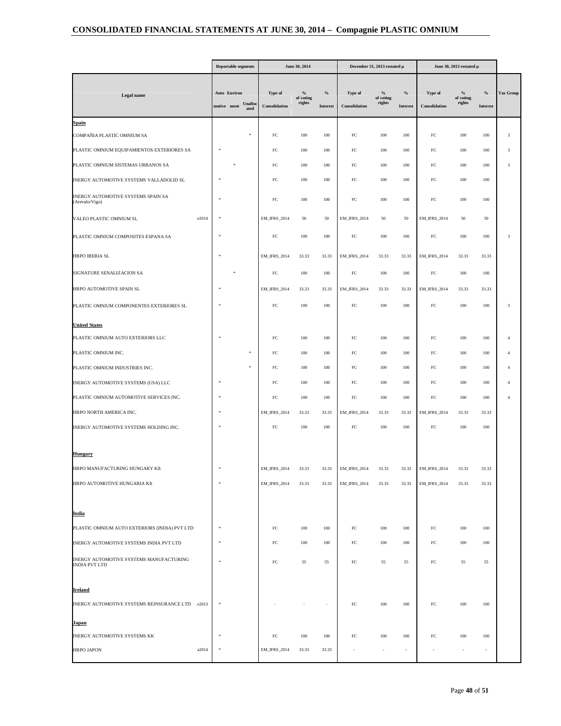|                                                                 |               | <b>Reportable segments</b>  |                 |                          | June 30, 2014               |                         |                          | December 31, 2013 restated µ         |                          |                          | June 30, 2013 restated μ             |                          |                  |
|-----------------------------------------------------------------|---------------|-----------------------------|-----------------|--------------------------|-----------------------------|-------------------------|--------------------------|--------------------------------------|--------------------------|--------------------------|--------------------------------------|--------------------------|------------------|
| Legal name                                                      |               | Auto Environ<br>motive ment | Unalloo<br>ated | Type of<br>Consolidation | $\%$<br>of voting<br>rights | $\%$<br><b>Interest</b> | Type of<br>Consolidation | $\frac{9}{6}$<br>of voting<br>rights | $\%$<br><b>Interest</b>  | Type of<br>Consolidation | $\frac{9}{6}$<br>of voting<br>rights | $\%$<br>Interest         | <b>Tax Group</b> |
| Spain                                                           |               |                             |                 |                          |                             |                         |                          |                                      |                          |                          |                                      |                          |                  |
| COMPAÑIA PLASTIC OMNIUM SA                                      |               |                             |                 | $_{\rm FC}$              | 100                         | 100                     | ${\rm FC}$               | 100                                  | 100                      | $_{\rm FC}$              | 100                                  | 100                      | 3                |
| PLASTIC OMNIUM EQUIPAMIENTOS EXTERIORES SA                      |               |                             |                 | ${\rm FC}$               | 100                         | 100                     | ${\rm FC}$               | 100                                  | 100                      | ${\rm FC}$               | 100                                  | 100                      | 3                |
| PLASTIC OMNIUM SISTEMAS URBANOS SA                              |               |                             |                 | FC                       | 100                         | 100                     | ${\rm FC}$               | 100                                  | 100                      | ${\rm FC}$               | 100                                  | 100                      | $\mathbf{3}$     |
| INERGY AUTOMOTIVE SYSTEMS VALLADOLID SL                         |               |                             |                 | ${\rm FC}$               | 100                         | 100                     | ${\rm FC}$               | 100                                  | 100                      | ${\rm FC}$               | 100                                  | 100                      |                  |
| INERGY AUTOMOTIVE SYSTEMS SPAIN SA<br>(Arevalo/Vigo)            |               |                             |                 | FC                       | 100                         | 100                     | $FC$                     | 100                                  | 100                      | ${\rm FC}$               | 100                                  | 100                      |                  |
| e2014<br>VALEO PLASTIC OMNIUM SL                                |               |                             |                 | <b>EM_IFRS_2014</b>      | 50                          | 50                      | <b>EM_IFRS_2014</b>      | 50                                   | 50                       | <b>EM_IFRS_2014</b>      | 50                                   | 50                       |                  |
| PLASTIC OMNIUM COMPOSITES ESPANA SA                             |               |                             |                 | ${\rm FC}$               | 100                         | 100                     | ${\rm FC}$               | 100                                  | 100                      | ${\rm FC}$               | 100                                  | 100                      | 3                |
| HBPO IBERIA SL                                                  |               |                             |                 | <b>EM_IFRS_2014</b>      | 33.33                       | 33.33                   | <b>EM_IFRS_2014</b>      | 33.33                                | 33.33                    | <b>EM_IFRS_2014</b>      | 33.33                                | 33.33                    |                  |
| SIGNATURE SENALIZACION SA                                       |               |                             |                 | FC                       | 100                         | 100                     | ${\rm FC}$               | 100                                  | 100                      | ${\rm FC}$               | 100                                  | 100                      |                  |
| HBPO AUTOMOTIVE SPAIN SL                                        |               |                             |                 | EM_IFRS_2014             | 33.33                       | 33.33                   | <b>EM_IFRS_2014</b>      | 33.33                                | 33.33                    | EM_IFRS_2014             | 33.33                                | 33.33                    |                  |
| PLASTIC OMNIUM COMPONENTES EXTERIORES SL                        |               |                             |                 | ${\rm FC}$               | 100                         | 100                     | ${\rm FC}$               | 100                                  | 100                      | ${\rm FC}$               | 100                                  | 100                      | $\mathbf{3}$     |
| <b>United States</b>                                            |               |                             |                 |                          |                             |                         |                          |                                      |                          |                          |                                      |                          |                  |
| PLASTIC OMNIUM AUTO EXTERIORS LLC                               |               |                             |                 | $_{\rm FC}$              | 100                         | 100                     | ${\rm FC}$               | 100                                  | 100                      | ${\rm FC}$               | 100                                  | 100                      |                  |
| PLASTIC OMNIUM INC.                                             |               |                             |                 | $_{\rm FC}$              | 100                         | 100                     | FC                       | 100                                  | 100                      | $_{\rm FC}$              | 100                                  | 100                      |                  |
| PLASTIC OMNIUM INDUSTRIES INC.                                  |               |                             |                 | $_{\rm FC}$              | 100                         | 100                     | FC                       | 100                                  | 100                      | $_{\rm FC}$              | 100                                  | 100                      |                  |
| INERGY AUTOMOTIVE SYSTEMS (USA) LLC                             |               |                             |                 | ${\rm FC}$               | 100                         | 100                     | ${\rm FC}$               | 100                                  | 100                      | ${\rm FC}$               | 100                                  | 100                      |                  |
| PLASTIC OMNIUM AUTOMOTIVE SERVICES INC.                         |               |                             |                 | $_{\rm FC}$              | 100                         | 100                     | ${\rm FC}$               | 100                                  | 100                      | ${\rm FC}$               | 100                                  | 100                      |                  |
| HBPO NORTH AMERICA INC.                                         |               |                             |                 | EM_IFRS_2014             | 33.33                       | 33.33                   | <b>EM_IFRS_2014</b>      | 33.33                                | 33.33                    | <b>EM_IFRS_2014</b>      | 33.33                                | 33.33                    |                  |
| INERGY AUTOMOTIVE SYSTEMS HOLDING INC.                          |               |                             |                 | FC                       | 100                         | 100                     | ${\rm FC}$               | 100                                  | 100                      | ${\rm FC}$               | 100                                  | 100                      |                  |
| <b>Hungary</b>                                                  |               |                             |                 |                          |                             |                         |                          |                                      |                          |                          |                                      |                          |                  |
| HBPO MANUFACTURING HUNGARY Kft                                  |               |                             |                 | EM_IFRS_2014             | 33.33                       | 33.33                   | EM_IFRS_2014             | 33.33                                | 33.33                    | <b>EM_IFRS_2014</b>      | 33.33                                | 33.33                    |                  |
| HBPO AUTOMOTIVE HUNGARIA Kft                                    |               |                             |                 | <b>EM_IFRS_2014</b>      | 33.33                       | 33.33                   | <b>EM_IFRS_2014</b>      | 33.33                                | 33.33                    | <b>EM_IFRS_2014</b>      | 33.33                                | 33.33                    |                  |
| <u>India</u>                                                    |               |                             |                 |                          |                             |                         |                          |                                      |                          |                          |                                      |                          |                  |
| PLASTIC OMNIUM AUTO EXTERIORS (INDIA) PVT LTD                   | <b>M</b>      |                             |                 | FC                       | 100                         | 100                     | ${\rm FC}$               | 100                                  | 100                      | ${\rm FC}$               | 100                                  | 100                      |                  |
| INERGY AUTOMOTIVE SYSTEMS INDIA PVT LTD                         |               |                             |                 | FC                       | 100                         | 100                     | ${\rm FC}$               | 100                                  | 100                      | ${\rm FC}$               | 100                                  | 100                      |                  |
| INERGY AUTOMOTIVE SYSTEMS MANUFACTURING<br><b>INDIA PVT LTD</b> | <b>M</b>      |                             |                 | ${\rm FC}$               | 55                          | 55                      | ${\rm FC}$               | 55                                   | 55                       | ${\rm FC}$               | 55                                   | 55                       |                  |
| <u>Ireland</u>                                                  |               |                             |                 |                          |                             |                         |                          |                                      |                          |                          |                                      |                          |                  |
| INERGY AUTOMOTIVE SYSTEMS REINSURANCE LTD e2013                 | $\frac{1}{2}$ |                             |                 |                          |                             | ×                       | ${\rm FC}$               | 100                                  | 100                      | ${\rm FC}$               | 100                                  | 100                      |                  |
| Japan                                                           |               |                             |                 |                          |                             |                         |                          |                                      |                          |                          |                                      |                          |                  |
| INERGY AUTOMOTIVE SYSTEMS KK                                    |               |                             |                 | FC                       | 100                         | 100                     | FC                       | 100                                  | 100                      | $_{\rm FC}$              | 100                                  | 100                      |                  |
| HBPO JAPON<br>a2014                                             | $\frac{1}{2}$ |                             |                 | <b>EM_IFRS_2014</b>      | 33.33                       | 33.33                   |                          | $\overline{\phantom{a}}$             | $\overline{\phantom{a}}$ |                          | $\overline{\phantom{a}}$             | $\overline{\phantom{a}}$ |                  |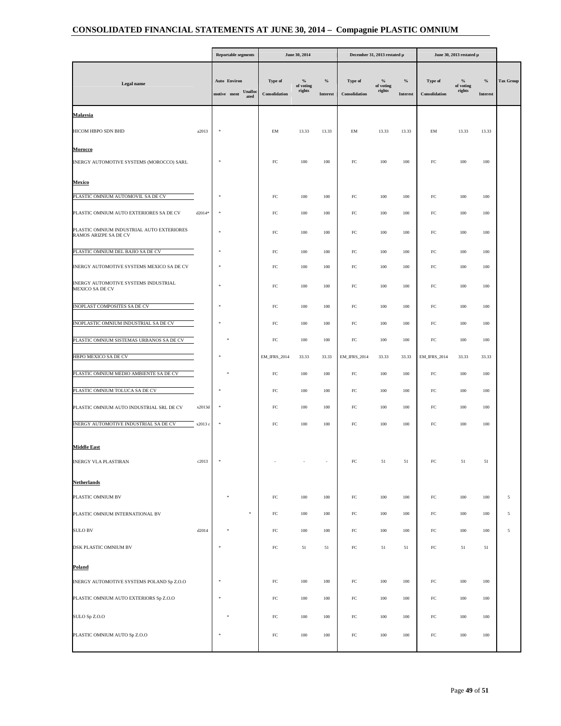|                                                                    |          | <b>Reportable segments</b>                    |                          | June 30, 2014               |                         |                          | December 31, 2013 restated µ |                         |                          | June 30, 2013 restated µ    |                  |                  |
|--------------------------------------------------------------------|----------|-----------------------------------------------|--------------------------|-----------------------------|-------------------------|--------------------------|------------------------------|-------------------------|--------------------------|-----------------------------|------------------|------------------|
| Legal name                                                         |          | Auto Environ<br>Unallo<br>motive ment<br>ated | Type of<br>Consolidation | $\%$<br>of voting<br>rights | $\%$<br><b>Interest</b> | Type of<br>Consolidation | $\%$<br>of voting<br>rights  | $\%$<br><b>Interest</b> | Type of<br>Consolidation | $\%$<br>of voting<br>rights | $\%$<br>Interest | <b>Tax Group</b> |
| Malaysia                                                           |          |                                               |                          |                             |                         |                          |                              |                         |                          |                             |                  |                  |
| HICOM HBPO SDN BHD                                                 | a2013    | $\frac{1}{2}$                                 | EM                       | 13.33                       | 13.33                   | EM                       | 13.33                        | 13.33                   | EM                       | 13.33                       | 13.33            |                  |
| Morocco                                                            |          |                                               |                          |                             |                         |                          |                              |                         |                          |                             |                  |                  |
| INERGY AUTOMOTIVE SYSTEMS (MOROCCO) SARL                           |          | $\frac{1}{2}$                                 | FC                       | 100                         | 100                     | $_{\rm FC}$              | 100                          | 100                     | $_{\rm FC}$              | 100                         | 100              |                  |
| Mexico                                                             |          |                                               |                          |                             |                         |                          |                              |                         |                          |                             |                  |                  |
| PLASTIC OMNIUM AUTOMOVIL SA DE CV                                  |          | w                                             | FC                       | 100                         | 100                     | $_{\rm FC}$              | 100                          | 100                     | $_{\rm FC}$              | 100                         | 100              |                  |
| PLASTIC OMNIUM AUTO EXTERIORES SA DE CV                            | $d2014*$ | 車                                             | FC                       | 100                         | 100                     | $_{\rm FC}$              | 100                          | 100                     | $_{\rm FC}$              | 100                         | 100              |                  |
| PLASTIC OMNIUM INDUSTRIAL AUTO EXTERIORES<br>RAMOS ARIZPE SA DE CV |          | $\frac{1}{2}$                                 | FC                       | 100                         | 100                     | $_{\rm FC}$              | 100                          | 100                     | $_{\rm FC}$              | 100                         | 100              |                  |
| PLASTIC OMNIUM DEL BAJIO SA DE CV                                  |          | ×,                                            | FC                       | 100                         | 100                     | ${\rm FC}$               | 100                          | 100                     | ${\rm FC}$               | 100                         | 100              |                  |
| INERGY AUTOMOTIVE SYSTEMS MEXICO SA DE CV                          |          | w                                             | FC                       | 100                         | 100                     | $_{\rm FC}$              | 100                          | 100                     | $_{\rm FC}$              | 100                         | 100              |                  |
| INERGY AUTOMOTIVE SYSTEMS INDUSTRIAL<br>MEXICO SA DE CV            |          |                                               | FC                       | 100                         | 100                     | $_{\rm FC}$              | 100                          | 100                     | $_{\rm FC}$              | 100                         | 100              |                  |
| INOPLAST COMPOSITES SA DE CV                                       |          |                                               | FC                       | 100                         | 100                     | $_{\rm FC}$              | 100                          | 100                     | $_{\rm FC}$              | 100                         | 100              |                  |
| INOPLASTIC OMNIUM INDUSTRIAL SA DE CV                              |          |                                               | FC                       | 100                         | 100                     | FC                       | 100                          | 100                     | FC                       | 100                         | 100              |                  |
| PLASTIC OMNIUM SISTEMAS URBANOS SA DE CV                           |          |                                               | FC                       | 100                         | 100                     | ${\rm FC}$               | 100                          | 100                     | ${\rm FC}$               | 100                         | 100              |                  |
| HBPO MEXICO SA DE CV                                               |          | 車                                             | <b>EM_IFRS_2014</b>      | 33.33                       | 33.33                   | <b>EM_IFRS_2014</b>      | 33.33                        | 33.33                   | <b>EM_IFRS_2014</b>      | 33.33                       | 33.33            |                  |
| PLASTIC OMNIUM MEDIO AMBIENTE SA DE CV                             |          |                                               | FC                       | 100                         | 100                     | $_{\rm FC}$              | 100                          | 100                     | $_{\rm FC}$              | 100                         | 100              |                  |
| PLASTIC OMNIUM TOLUCA SA DE CV                                     |          |                                               | FC                       | 100                         | 100                     | $_{\rm FC}$              | 100                          | 100                     | $_{\rm FC}$              | 100                         | 100              |                  |
| PLASTIC OMNIUM AUTO INDUSTRIAL SRL DE CV                           | x2013d   | Ŋ                                             | FC                       | 100                         | 100                     | FC                       | 100                          | 100                     | ${\rm FC}$               | 100                         | 100              |                  |
| INERGY AUTOMOTIVE INDUSTRIAL SA DE CV                              | x2013 c  |                                               | $_{\rm FC}$              | 100                         | 100                     | ${\rm FC}$               | 100                          | 100                     | ${\rm FC}$               | 100                         | $100\,$          |                  |
| <b>Middle East</b>                                                 |          |                                               |                          |                             |                         |                          |                              |                         |                          |                             |                  |                  |
| INERGY VLA PLASTIRAN                                               | c2013    |                                               |                          |                             |                         | FC                       | 51                           | 51                      | FC                       | 51                          | 51               |                  |
|                                                                    |          |                                               |                          |                             |                         |                          |                              |                         |                          |                             |                  |                  |
| <b>Netherlands</b><br>PLASTIC OMNIUM BV                            |          |                                               |                          |                             |                         |                          |                              |                         | ${\rm FC}$               |                             |                  |                  |
|                                                                    |          | $\eta$                                        | $_{\rm FC}$              | 100                         | $100\,$                 | ${\rm FC}$               | 100                          | 100                     |                          | 100                         | 100              | 5                |
| PLASTIC OMNIUM INTERNATIONAL BV                                    |          |                                               | ${\rm FC}$               | 100                         | $100\,$                 | ${\rm FC}$               | 100                          | 100                     | ${\rm FC}$               | 100                         | 100              | 5                |
| <b>SULO BV</b>                                                     | d2014    | ×,                                            | FC                       | 100                         | 100                     | $_{\rm FC}$              | 100                          | 100                     | $_{\rm FC}$              | 100                         | 100              | $\sqrt{5}$       |
| DSK PLASTIC OMNIUM BV                                              |          |                                               | FC                       | 51                          | 51                      | ${\rm FC}$               | 51                           | 51                      | ${\rm FC}$               | 51                          | 51               |                  |
| Poland                                                             |          |                                               |                          |                             |                         |                          |                              |                         |                          |                             |                  |                  |
| INERGY AUTOMOTIVE SYSTEMS POLAND Sp Z.O.O                          |          |                                               | $_{\rm FC}$              | 100                         | 100                     | ${\rm FC}$               | 100                          | 100                     | ${\rm FC}$               | 100                         | 100              |                  |
| PLASTIC OMNIUM AUTO EXTERIORS Sp Z.O.O                             |          |                                               | $_{\rm FC}$              | 100                         | 100                     | $_{\rm FC}$              | 100                          | 100                     | $_{\rm FC}$              | 100                         | 100              |                  |
| SULO Sp Z.O.O                                                      |          |                                               | $_{\rm FC}$              | $100\,$                     | $100\,$                 | ${\rm FC}$               | $100\,$                      | 100                     | ${\rm FC}$               | $100\,$                     | 100              |                  |
| PLASTIC OMNIUM AUTO Sp Z.O.O                                       |          | $\frac{1}{2}$                                 | FC                       | 100                         | 100                     | $_{\rm FC}$              | 100                          | 100                     | $_{\rm FC}$              | 100                         | 100              |                  |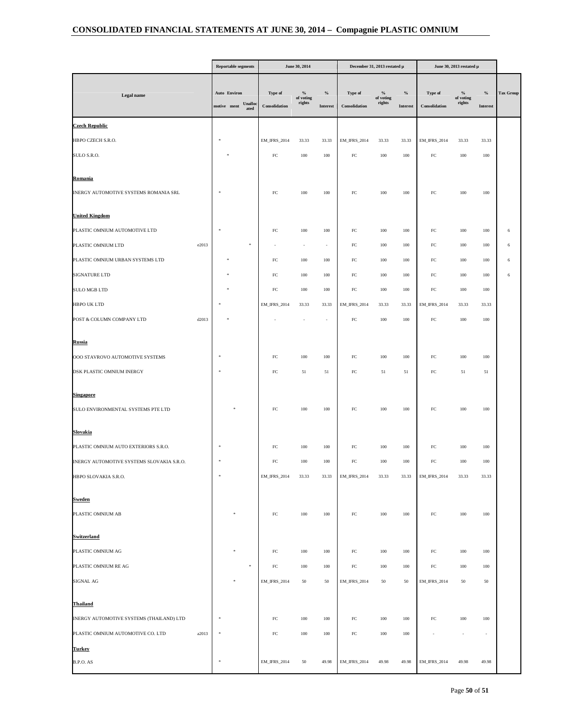|                                           |       | <b>Reportable segments</b>  |                 |                          | June 30, 2014               |                          |                          | December 31, 2013 restated $\upmu$   |                         |                          | June 30, 2013 restated μ    |                          |           |
|-------------------------------------------|-------|-----------------------------|-----------------|--------------------------|-----------------------------|--------------------------|--------------------------|--------------------------------------|-------------------------|--------------------------|-----------------------------|--------------------------|-----------|
| Legal name                                |       | Auto Environ<br>motive ment | Unalloc<br>ated | Type of<br>Consolidation | $\%$<br>of voting<br>rights | $\%$<br>Interest         | Type of<br>Consolidation | $\frac{9}{6}$<br>of voting<br>rights | $\%$<br><b>Interest</b> | Type of<br>Consolidation | $\%$<br>of voting<br>rights | $\%$<br>Interest         | Tax Group |
| <b>Czech Republic</b>                     |       |                             |                 |                          |                             |                          |                          |                                      |                         |                          |                             |                          |           |
| HBPO CZECH S.R.O.                         |       | *                           |                 | EM_IFRS_2014             | 33.33                       | 33.33                    | <b>EM_IFRS_2014</b>      | 33.33                                | 33.33                   | <b>EM_IFRS_2014</b>      | 33.33                       | 33.33                    |           |
| SULO S.R.O.                               |       |                             |                 | ${\rm FC}$               | $100\,$                     | 100                      | ${\rm FC}$               | $100\,$                              | $100\,$                 | ${\rm FC}$               | $100\,$                     | 100                      |           |
| <u>Romania</u>                            |       |                             |                 |                          |                             |                          |                          |                                      |                         |                          |                             |                          |           |
| INERGY AUTOMOTIVE SYSTEMS ROMANIA SRL     |       |                             |                 | FC                       | 100                         | 100                      | ${\rm FC}$               | 100                                  | 100                     | ${\rm FC}$               | 100                         | 100                      |           |
| <b>United Kingdom</b>                     |       |                             |                 |                          |                             |                          |                          |                                      |                         |                          |                             |                          |           |
| PLASTIC OMNIUM AUTOMOTIVE LTD             |       |                             |                 | ${\rm FC}$               | $100\,$                     | 100                      | $_{\rm FC}$              | 100                                  | 100                     | $_{\rm FC}$              | 100                         | 100                      | 6         |
| PLASTIC OMNIUM LTD                        | e2013 |                             | 永               |                          |                             | $\overline{\phantom{a}}$ | $_{\rm FC}$              | 100                                  | 100                     | $_{\rm FC}$              | 100                         | 100                      | 6         |
| PLASTIC OMNIUM URBAN SYSTEMS LTD          |       |                             |                 | $_{\rm FC}$              | 100                         | 100                      | $_{\rm FC}$              | 100                                  | 100                     | ${\rm FC}$               | 100                         | 100                      | 6         |
| SIGNATURE LTD                             |       |                             |                 | $_{\rm FC}$              | $100\,$                     | 100                      | ${\rm FC}$               | $100\,$                              | 100                     | ${\rm FC}$               | $100\,$                     | 100                      | 6         |
| SULO MGB LTD                              |       |                             |                 | FC                       | 100                         | 100                      | ${\rm FC}$               | 100                                  | 100                     | ${\rm FC}$               | 100                         | 100                      |           |
| <b>HBPO UK LTD</b>                        |       |                             |                 | <b>EM_IFRS_2014</b>      | 33.33                       | 33.33                    | EM_IFRS_2014             | 33.33                                | 33.33                   | <b>EM_IFRS_2014</b>      | 33.33                       | 33.33                    |           |
| POST & COLUMN COMPANY LTD                 | d2013 |                             |                 |                          |                             | $\overline{\phantom{a}}$ | $_{\rm FC}$              | 100                                  | 100                     | ${\rm FC}$               | 100                         | 100                      |           |
| <b>Russia</b>                             |       |                             |                 |                          |                             |                          |                          |                                      |                         |                          |                             |                          |           |
| OOO STAVROVO AUTOMOTIVE SYSTEMS           |       |                             |                 | FC                       | 100                         | 100                      | $_{\rm FC}$              | 100                                  | 100                     | ${\rm FC}$               | 100                         | 100                      |           |
| DSK PLASTIC OMNIUM INERGY                 |       |                             |                 | FC                       | 51                          | 51                       | $_{\rm FC}$              | 51                                   | 51                      | $_{\rm FC}$              | 51                          | 51                       |           |
| <u>Singapore</u>                          |       |                             |                 |                          |                             |                          |                          |                                      |                         |                          |                             |                          |           |
| SULO ENVIRONMENTAL SYSTEMS PTE LTD        |       |                             |                 | ${\rm FC}$               | 100                         | $100\,$                  | ${\rm FC}$               | 100                                  | 100                     | ${\rm FC}$               | 100                         | 100                      |           |
| Slovakia                                  |       |                             |                 |                          |                             |                          |                          |                                      |                         |                          |                             |                          |           |
| PLASTIC OMNIUM AUTO EXTERIORS S.R.O.      |       |                             |                 | $_{\rm FC}$              | 100                         | 100                      | ${\rm FC}$               | 100                                  | 100                     | ${\rm FC}$               | 100                         | 100                      |           |
| INERGY AUTOMOTIVE SYSTEMS SLOVAKIA S.R.O. |       |                             |                 | ${\rm FC}$               | $100\,$                     | $100\,$                  | ${\rm FC}$               | 100                                  | $100\,$                 | ${\rm FC}$               | 100                         | 100                      |           |
| HBPO SLOVAKIA S.R.O.                      |       |                             |                 | EM_IFRS_2014             | 33.33                       | 33.33                    | EM_IFRS_2014             | 33.33                                | 33.33                   | <b>EM_IFRS_2014</b>      | 33.33                       | 33.33                    |           |
| <u>Sweden</u>                             |       |                             |                 |                          |                             |                          |                          |                                      |                         |                          |                             |                          |           |
| PLASTIC OMNIUM AB                         |       |                             |                 | ${\rm FC}$               | $100\,$                     | 100                      | ${\rm FC}$               | $100\,$                              | $100\,$                 | ${\rm FC}$               | 100                         | 100                      |           |
| <u>Switzerland</u>                        |       |                             |                 |                          |                             |                          |                          |                                      |                         |                          |                             |                          |           |
| PLASTIC OMNIUM AG                         |       |                             |                 | $_{\rm FC}$              | 100                         | 100                      | ${\rm FC}$               | 100                                  | 100                     | ${\rm FC}$               | 100                         | 100                      |           |
| PLASTIC OMNIUM RE AG                      |       |                             | $\eta$          | ${\rm FC}$               | $100\,$                     | 100                      | ${\rm FC}$               | 100                                  | 100                     | ${\rm FC}$               | 100                         | 100                      |           |
| SIGNAL AG                                 |       |                             |                 | <b>EM_IFRS_2014</b>      | $50\,$                      | 50                       | EM_IFRS_2014             | 50                                   | 50                      | <b>EM_IFRS_2014</b>      | 50                          | 50                       |           |
| <b>Thailand</b>                           |       |                             |                 |                          |                             |                          |                          |                                      |                         |                          |                             |                          |           |
| INERGY AUTOMOTIVE SYSTEMS (THAILAND) LTD  |       |                             |                 | ${\rm FC}$               | $100\,$                     | 100                      | ${\rm FC}$               | 100                                  | 100                     | ${\rm FC}$               | 100                         | 100                      |           |
| PLASTIC OMNIUM AUTOMOTIVE CO. LTD         | a2013 |                             |                 | ${\rm FC}$               | $100\,$                     | 100                      | ${\rm FC}$               | 100                                  | $100\,$                 |                          |                             | $\overline{\phantom{a}}$ |           |
| Turkey                                    |       |                             |                 |                          |                             |                          |                          |                                      |                         |                          |                             |                          |           |
| B.P.O. AS                                 |       | $\frac{1}{2}$               |                 | <b>EM_IFRS_2014</b>      | 50                          | 49.98                    | <b>EM_IFRS_2014</b>      | 49.98                                | 49.98                   | <b>EM_IFRS_2014</b>      | 49.98                       | 49.98                    |           |